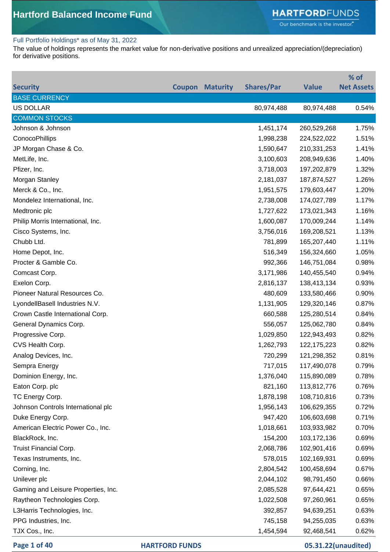#### Full Portfolio Holdings\* as of May 31, 2022

The value of holdings represents the market value for non-derivative positions and unrealized appreciation/(depreciation) for derivative positions.

|                                     |        |                 |                   |               | % of              |
|-------------------------------------|--------|-----------------|-------------------|---------------|-------------------|
| <b>Security</b>                     | Coupon | <b>Maturity</b> | <b>Shares/Par</b> | <b>Value</b>  | <b>Net Assets</b> |
| <b>BASE CURRENCY</b>                |        |                 |                   |               |                   |
| <b>US DOLLAR</b>                    |        |                 | 80,974,488        | 80,974,488    | 0.54%             |
| <b>COMMON STOCKS</b>                |        |                 |                   |               |                   |
| Johnson & Johnson                   |        |                 | 1,451,174         | 260,529,268   | 1.75%             |
| ConocoPhillips                      |        |                 | 1,998,238         | 224,522,022   | 1.51%             |
| JP Morgan Chase & Co.               |        |                 | 1,590,647         | 210,331,253   | 1.41%             |
| MetLife, Inc.                       |        |                 | 3,100,603         | 208,949,636   | 1.40%             |
| Pfizer, Inc.                        |        |                 | 3,718,003         | 197,202,879   | 1.32%             |
| Morgan Stanley                      |        |                 | 2,181,037         | 187,874,527   | 1.26%             |
| Merck & Co., Inc.                   |        |                 | 1,951,575         | 179,603,447   | 1.20%             |
| Mondelez International, Inc.        |        |                 | 2,738,008         | 174,027,789   | 1.17%             |
| Medtronic plc                       |        |                 | 1,727,622         | 173,021,343   | 1.16%             |
| Philip Morris International, Inc.   |        |                 | 1,600,087         | 170,009,244   | 1.14%             |
| Cisco Systems, Inc.                 |        |                 | 3,756,016         | 169,208,521   | 1.13%             |
| Chubb Ltd.                          |        |                 | 781,899           | 165,207,440   | 1.11%             |
| Home Depot, Inc.                    |        |                 | 516,349           | 156,324,660   | 1.05%             |
| Procter & Gamble Co.                |        |                 | 992,366           | 146,751,084   | 0.98%             |
| Comcast Corp.                       |        |                 | 3,171,986         | 140,455,540   | 0.94%             |
| Exelon Corp.                        |        |                 | 2,816,137         | 138,413,134   | 0.93%             |
| Pioneer Natural Resources Co.       |        |                 | 480,609           | 133,580,466   | 0.90%             |
| LyondellBasell Industries N.V.      |        |                 | 1,131,905         | 129,320,146   | 0.87%             |
| Crown Castle International Corp.    |        |                 | 660,588           | 125,280,514   | 0.84%             |
| General Dynamics Corp.              |        |                 | 556,057           | 125,062,780   | 0.84%             |
| Progressive Corp.                   |        |                 | 1,029,850         | 122,943,493   | 0.82%             |
| CVS Health Corp.                    |        |                 | 1,262,793         | 122, 175, 223 | 0.82%             |
| Analog Devices, Inc.                |        |                 | 720,299           | 121,298,352   | 0.81%             |
| Sempra Energy                       |        |                 | 717,015           | 117,490,078   | 0.79%             |
| Dominion Energy, Inc.               |        |                 | 1,376,040         | 115,890,089   | 0.78%             |
| Eaton Corp. plc                     |        |                 | 821,160           | 113,812,776   | 0.76%             |
| TC Energy Corp.                     |        |                 | 1,878,198         | 108,710,816   | 0.73%             |
| Johnson Controls International plc  |        |                 | 1,956,143         | 106,629,355   | 0.72%             |
| Duke Energy Corp.                   |        |                 | 947,420           | 106,603,698   | 0.71%             |
| American Electric Power Co., Inc.   |        |                 | 1,018,661         | 103,933,982   | 0.70%             |
| BlackRock, Inc.                     |        |                 | 154,200           | 103,172,136   | 0.69%             |
| Truist Financial Corp.              |        |                 | 2,068,786         | 102,901,416   | 0.69%             |
| Texas Instruments, Inc.             |        |                 | 578,015           | 102,169,931   | 0.69%             |
| Corning, Inc.                       |        |                 | 2,804,542         | 100,458,694   | 0.67%             |
| Unilever plc                        |        |                 | 2,044,102         | 98,791,450    | 0.66%             |
| Gaming and Leisure Properties, Inc. |        |                 | 2,085,528         | 97,644,421    | 0.65%             |
| Raytheon Technologies Corp.         |        |                 | 1,022,508         | 97,260,961    | 0.65%             |
| L3Harris Technologies, Inc.         |        |                 | 392,857           | 94,639,251    | 0.63%             |
| PPG Industries, Inc.                |        |                 | 745,158           | 94,255,035    | 0.63%             |
| TJX Cos., Inc.                      |        |                 | 1,454,594         | 92,468,541    | 0.62%             |

**Page 1 of 40 HARTFORD FUNDS 05.31.22(unaudited)**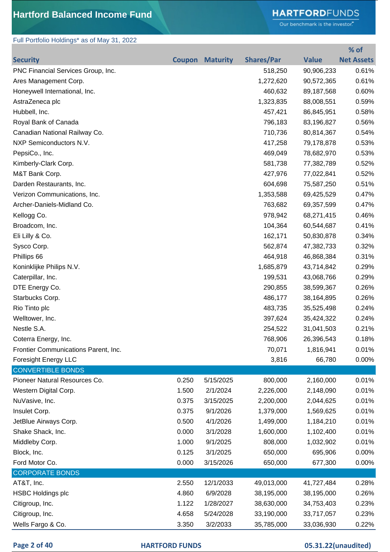### Full Portfolio Holdings\* as of May 31, 2022

## **HARTFORD**FUNDS

Our benchmark is the investor."

|                                      |       |                        |                   |              | % of              |
|--------------------------------------|-------|------------------------|-------------------|--------------|-------------------|
| <b>Security</b>                      |       | <b>Coupon Maturity</b> | <b>Shares/Par</b> | <b>Value</b> | <b>Net Assets</b> |
| PNC Financial Services Group, Inc.   |       |                        | 518,250           | 90,906,233   | 0.61%             |
| Ares Management Corp.                |       |                        | 1,272,620         | 90,572,365   | 0.61%             |
| Honeywell International, Inc.        |       |                        | 460,632           | 89,187,568   | 0.60%             |
| AstraZeneca plc                      |       |                        | 1,323,835         | 88,008,551   | 0.59%             |
| Hubbell, Inc.                        |       |                        | 457,421           | 86,845,951   | 0.58%             |
| Royal Bank of Canada                 |       |                        | 796,183           | 83,196,827   | 0.56%             |
| Canadian National Railway Co.        |       |                        | 710,736           | 80,814,367   | 0.54%             |
| NXP Semiconductors N.V.              |       |                        | 417,258           | 79,178,878   | 0.53%             |
| PepsiCo., Inc.                       |       |                        | 469,049           | 78,682,970   | 0.53%             |
| Kimberly-Clark Corp.                 |       |                        | 581,738           | 77,382,789   | 0.52%             |
| M&T Bank Corp.                       |       |                        | 427,976           | 77,022,841   | 0.52%             |
| Darden Restaurants, Inc.             |       |                        | 604,698           | 75,587,250   | 0.51%             |
| Verizon Communications, Inc.         |       |                        | 1,353,588         | 69,425,529   | 0.47%             |
| Archer-Daniels-Midland Co.           |       |                        | 763,682           | 69,357,599   | 0.47%             |
| Kellogg Co.                          |       |                        | 978,942           | 68,271,415   | 0.46%             |
| Broadcom, Inc.                       |       |                        | 104,364           | 60,544,687   | 0.41%             |
| Eli Lilly & Co.                      |       |                        | 162,171           | 50,830,878   | 0.34%             |
| Sysco Corp.                          |       |                        | 562,874           | 47,382,733   | 0.32%             |
| Phillips 66                          |       |                        | 464,918           | 46,868,384   | 0.31%             |
| Koninklijke Philips N.V.             |       |                        | 1,685,879         | 43,714,842   | 0.29%             |
| Caterpillar, Inc.                    |       |                        | 199,531           | 43,068,766   | 0.29%             |
| DTE Energy Co.                       |       |                        | 290,855           | 38,599,367   | 0.26%             |
| Starbucks Corp.                      |       |                        | 486,177           | 38,164,895   | 0.26%             |
| Rio Tinto plc                        |       |                        | 483,735           | 35,525,498   | 0.24%             |
| Welltower, Inc.                      |       |                        | 397,624           | 35,424,322   | 0.24%             |
| Nestle S.A.                          |       |                        | 254,522           | 31,041,503   | 0.21%             |
| Coterra Energy, Inc.                 |       |                        | 768,906           | 26,396,543   | 0.18%             |
| Frontier Communications Parent, Inc. |       |                        | 70,071            | 1,816,941    | 0.01%             |
| <b>Foresight Energy LLC</b>          |       |                        | 3,816             | 66,780       | 0.00%             |
| <b>CONVERTIBLE BONDS</b>             |       |                        |                   |              |                   |
| Pioneer Natural Resources Co.        | 0.250 | 5/15/2025              | 800,000           | 2,160,000    | 0.01%             |
| Western Digital Corp.                | 1.500 | 2/1/2024               | 2,226,000         | 2,148,090    | 0.01%             |
| NuVasive, Inc.                       | 0.375 | 3/15/2025              | 2,200,000         | 2,044,625    | 0.01%             |
| Insulet Corp.                        | 0.375 | 9/1/2026               | 1,379,000         | 1,569,625    | 0.01%             |
| JetBlue Airways Corp.                | 0.500 | 4/1/2026               | 1,499,000         | 1,184,210    | 0.01%             |
| Shake Shack, Inc.                    | 0.000 | 3/1/2028               | 1,600,000         | 1,102,400    | 0.01%             |
| Middleby Corp.                       | 1.000 | 9/1/2025               | 808,000           | 1,032,902    | 0.01%             |
| Block, Inc.                          | 0.125 | 3/1/2025               | 650,000           | 695,906      | 0.00%             |
| Ford Motor Co.                       | 0.000 | 3/15/2026              | 650,000           | 677,300      | 0.00%             |
| <b>CORPORATE BONDS</b>               |       |                        |                   |              |                   |
| AT&T, Inc.                           | 2.550 | 12/1/2033              | 49,013,000        | 41,727,484   | 0.28%             |
| <b>HSBC Holdings plc</b>             | 4.860 | 6/9/2028               | 38,195,000        | 38,195,000   | 0.26%             |
| Citigroup, Inc.                      | 1.122 | 1/28/2027              | 38,630,000        | 34,753,403   | 0.23%             |
| Citigroup, Inc.                      | 4.658 | 5/24/2028              | 33,190,000        | 33,717,057   | 0.23%             |
| Wells Fargo & Co.                    | 3.350 | 3/2/2033               | 35,785,000        | 33,036,930   | 0.22%             |

| Page 2 of 40 |  |  |  |
|--------------|--|--|--|
|--------------|--|--|--|

**PARTFORD FUNDS 05.31.22(unaudited)**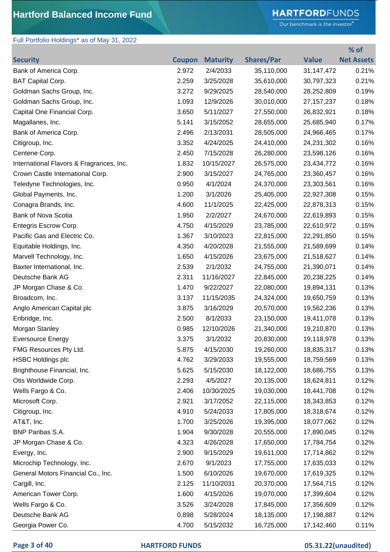## **HARTFORD**FUNDS

Our benchmark is the investor."

**% of** 

## Full Portfolio Holdings\* as of May 31, 2022

| <b>Security</b>                          | <b>Coupon</b> | <b>Maturity</b> | <b>Shares/Par</b> | <b>Value</b> | <b>Net Assets</b> |
|------------------------------------------|---------------|-----------------|-------------------|--------------|-------------------|
| Bank of America Corp.                    | 2.972         | 2/4/2033        | 35,110,000        | 31, 147, 472 | 0.21%             |
| <b>BAT Capital Corp.</b>                 | 2.259         | 3/25/2028       | 35,610,000        | 30,797,323   | 0.21%             |
| Goldman Sachs Group, Inc.                | 3.272         | 9/29/2025       | 28,540,000        | 28,252,809   | 0.19%             |
| Goldman Sachs Group, Inc.                | 1.093         | 12/9/2026       | 30,010,000        | 27, 157, 237 | 0.18%             |
| Capital One Financial Corp.              | 3.650         | 5/11/2027       | 27,550,000        | 26,832,921   | 0.18%             |
| Magallanes, Inc.                         | 5.141         | 3/15/2052       | 28,655,000        | 25,685,940   | 0.17%             |
| Bank of America Corp.                    | 2.496         | 2/13/2031       | 28,505,000        | 24,966,465   | 0.17%             |
| Citigroup, Inc.                          | 3.352         | 4/24/2025       | 24,410,000        | 24,231,302   | 0.16%             |
| Centene Corp.                            | 2.450         | 7/15/2028       | 26,280,000        | 23,598,126   | 0.16%             |
| International Flavors & Fragrances, Inc. | 1.832         | 10/15/2027      | 26,575,000        | 23,434,772   | 0.16%             |
| Crown Castle International Corp.         | 2.900         | 3/15/2027       | 24,765,000        | 23,360,457   | 0.16%             |
| Teledyne Technologies, Inc.              | 0.950         | 4/1/2024        | 24,370,000        | 23,303,561   | 0.16%             |
| Global Payments, Inc.                    | 1.200         | 3/1/2026        | 25,405,000        | 22,927,308   | 0.15%             |
| Conagra Brands, Inc.                     | 4.600         | 11/1/2025       | 22,425,000        | 22,878,313   | 0.15%             |
| Bank of Nova Scotia                      | 1.950         | 2/2/2027        | 24,670,000        | 22,619,893   | 0.15%             |
| Entegris Escrow Corp.                    | 4.750         | 4/15/2029       | 23,785,000        | 22,610,972   | 0.15%             |
| Pacific Gas and Electric Co.             | 1.367         | 3/10/2023       | 22,815,000        | 22,291,850   | 0.15%             |
| Equitable Holdings, Inc.                 | 4.350         | 4/20/2028       | 21,555,000        | 21,589,699   | 0.14%             |
| Marvell Technology, Inc.                 | 1.650         | 4/15/2026       | 23,675,000        | 21,518,627   | 0.14%             |
| Baxter International, Inc.               | 2.539         | 2/1/2032        | 24,755,000        | 21,390,071   | 0.14%             |
| Deutsche Bank AG                         | 2.311         | 11/16/2027      | 22,845,000        | 20,238,225   | 0.14%             |
| JP Morgan Chase & Co.                    | 1.470         | 9/22/2027       | 22,080,000        | 19,894,131   | 0.13%             |
| Broadcom, Inc.                           | 3.137         | 11/15/2035      | 24,324,000        | 19,650,759   | 0.13%             |
| Anglo American Capital plc               | 3.875         | 3/16/2029       | 20,570,000        | 19,562,236   | 0.13%             |
| Enbridge, Inc.                           | 2.500         | 8/1/2033        | 23,150,000        | 19,411,078   | 0.13%             |
| Morgan Stanley                           | 0.985         | 12/10/2026      | 21,340,000        | 19,210,870   | 0.13%             |
| <b>Eversource Energy</b>                 | 3.375         | 3/1/2032        | 20,830,000        | 19,118,978   | 0.13%             |
| FMG Resources Pty Ltd.                   | 5.875         | 4/15/2030       | 19,260,000        | 18,835,317   | 0.13%             |
| <b>HSBC Holdings plc</b>                 | 4.762         | 3/29/2033       | 19,555,000        | 18,759,569   | 0.13%             |
| Brighthouse Financial, Inc.              | 5.625         | 5/15/2030       | 18,122,000        | 18,686,755   | 0.13%             |
| Otis Worldwide Corp.                     | 2.293         | 4/5/2027        | 20,135,000        | 18,624,811   | 0.12%             |
| Wells Fargo & Co.                        | 2.406         | 10/30/2025      | 19,030,000        | 18,441,708   | 0.12%             |
| Microsoft Corp.                          | 2.921         | 3/17/2052       | 22,115,000        | 18,343,853   | 0.12%             |
| Citigroup, Inc.                          | 4.910         | 5/24/2033       | 17,805,000        | 18,318,674   | 0.12%             |
| AT&T, Inc.                               | 1.700         | 3/25/2026       | 19,395,000        | 18,077,062   | 0.12%             |
| BNP Paribas S.A.                         | 1.904         | 9/30/2028       | 20,555,000        | 17,890,045   | 0.12%             |
| JP Morgan Chase & Co.                    | 4.323         | 4/26/2028       | 17,650,000        | 17,784,754   | 0.12%             |
| Evergy, Inc.                             | 2.900         | 9/15/2029       | 19,611,000        | 17,714,862   | 0.12%             |
| Microchip Technology, Inc.               | 2.670         | 9/1/2023        | 17,755,000        | 17,635,033   | 0.12%             |
| General Motors Financial Co., Inc.       | 1.500         | 6/10/2026       | 19,670,000        | 17,619,325   | 0.12%             |
| Cargill, Inc.                            | 2.125         | 11/10/2031      | 20,370,000        | 17,564,715   | 0.12%             |
| American Tower Corp.                     | 1.600         | 4/15/2026       | 19,070,000        | 17,399,604   | 0.12%             |
| Wells Fargo & Co.                        | 3.526         | 3/24/2028       | 17,845,000        | 17,356,609   | 0.12%             |
| Deutsche Bank AG                         | 0.898         | 5/28/2024       | 18,135,000        | 17,198,887   | 0.12%             |
| Georgia Power Co.                        | 4.700         | 5/15/2032       | 16,725,000        | 17,142,460   | 0.11%             |

### **Page 3 of 40 HARTFORD FUNDS 05.31.22(unaudited)**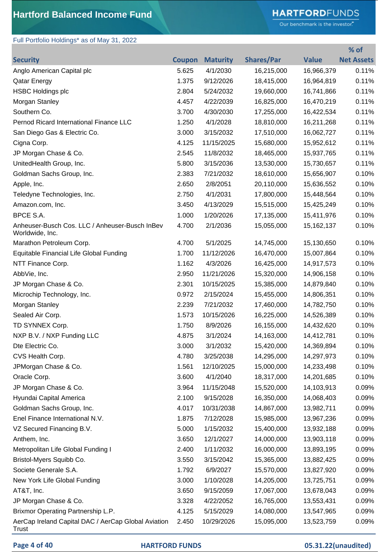# **HARTFORD**FUNDS

Our benchmark is the investor."

**% of** 

## Full Portfolio Holdings\* as of May 31, 2022

| <b>Security</b>                                                     | <b>Coupon</b> | <b>Maturity</b> | <b>Shares/Par</b> | <b>Value</b> | <b>Net Assets</b> |
|---------------------------------------------------------------------|---------------|-----------------|-------------------|--------------|-------------------|
| Anglo American Capital plc                                          | 5.625         | 4/1/2030        | 16,215,000        | 16,966,379   | 0.11%             |
| <b>Qatar Energy</b>                                                 | 1.375         | 9/12/2026       | 18,415,000        | 16,964,819   | 0.11%             |
| <b>HSBC Holdings plc</b>                                            | 2.804         | 5/24/2032       | 19,660,000        | 16,741,866   | 0.11%             |
| Morgan Stanley                                                      | 4.457         | 4/22/2039       | 16,825,000        | 16,470,219   | 0.11%             |
| Southern Co.                                                        | 3.700         | 4/30/2030       | 17,255,000        | 16,422,534   | 0.11%             |
| Pernod Ricard International Finance LLC                             | 1.250         | 4/1/2028        | 18,810,000        | 16,211,268   | 0.11%             |
| San Diego Gas & Electric Co.                                        | 3.000         | 3/15/2032       | 17,510,000        | 16,062,727   | 0.11%             |
| Cigna Corp.                                                         | 4.125         | 11/15/2025      | 15,680,000        | 15,952,612   | 0.11%             |
| JP Morgan Chase & Co.                                               | 2.545         | 11/8/2032       | 18,465,000        | 15,937,765   | 0.11%             |
| UnitedHealth Group, Inc.                                            | 5.800         | 3/15/2036       | 13,530,000        | 15,730,657   | 0.11%             |
| Goldman Sachs Group, Inc.                                           | 2.383         | 7/21/2032       | 18,610,000        | 15,656,907   | 0.10%             |
| Apple, Inc.                                                         | 2.650         | 2/8/2051        | 20,110,000        | 15,636,552   | 0.10%             |
| Teledyne Technologies, Inc.                                         | 2.750         | 4/1/2031        | 17,800,000        | 15,448,564   | 0.10%             |
| Amazon.com, Inc.                                                    | 3.450         | 4/13/2029       | 15,515,000        | 15,425,249   | 0.10%             |
| BPCE S.A.                                                           | 1.000         | 1/20/2026       | 17,135,000        | 15,411,976   | 0.10%             |
| Anheuser-Busch Cos. LLC / Anheuser-Busch InBev<br>Worldwide, Inc.   | 4.700         | 2/1/2036        | 15,055,000        | 15, 162, 137 | 0.10%             |
| Marathon Petroleum Corp.                                            | 4.700         | 5/1/2025        | 14,745,000        | 15,130,650   | 0.10%             |
| Equitable Financial Life Global Funding                             | 1.700         | 11/12/2026      | 16,470,000        | 15,007,864   | 0.10%             |
| NTT Finance Corp.                                                   | 1.162         | 4/3/2026        | 16,425,000        | 14,917,573   | 0.10%             |
| AbbVie, Inc.                                                        | 2.950         | 11/21/2026      | 15,320,000        | 14,906,158   | 0.10%             |
| JP Morgan Chase & Co.                                               | 2.301         | 10/15/2025      | 15,385,000        | 14,879,840   | 0.10%             |
| Microchip Technology, Inc.                                          | 0.972         | 2/15/2024       | 15,455,000        | 14,806,351   | 0.10%             |
| Morgan Stanley                                                      | 2.239         | 7/21/2032       | 17,460,000        | 14,782,750   | 0.10%             |
| Sealed Air Corp.                                                    | 1.573         | 10/15/2026      | 16,225,000        | 14,526,389   | 0.10%             |
| TD SYNNEX Corp.                                                     | 1.750         | 8/9/2026        | 16,155,000        | 14,432,620   | 0.10%             |
| NXP B.V. / NXP Funding LLC                                          | 4.875         | 3/1/2024        | 14,163,000        | 14,412,781   | 0.10%             |
| Dte Electric Co.                                                    | 3.000         | 3/1/2032        | 15,420,000        | 14,369,894   | 0.10%             |
| CVS Health Corp.                                                    | 4.780         | 3/25/2038       | 14,295,000        | 14,297,973   | 0.10%             |
| JPMorgan Chase & Co.                                                | 1.561         | 12/10/2025      | 15,000,000        | 14,233,498   | 0.10%             |
| Oracle Corp.                                                        | 3.600         | 4/1/2040        | 18,317,000        | 14,201,685   | 0.10%             |
| JP Morgan Chase & Co.                                               | 3.964         | 11/15/2048      | 15,520,000        | 14,103,913   | 0.09%             |
| Hyundai Capital America                                             | 2.100         | 9/15/2028       | 16,350,000        | 14,068,403   | 0.09%             |
| Goldman Sachs Group, Inc.                                           | 4.017         | 10/31/2038      | 14,867,000        | 13,982,711   | 0.09%             |
| Enel Finance International N.V.                                     | 1.875         | 7/12/2028       | 15,985,000        | 13,967,236   | 0.09%             |
| VZ Secured Financing B.V.                                           | 5.000         | 1/15/2032       | 15,400,000        | 13,932,188   | 0.09%             |
| Anthem, Inc.                                                        | 3.650         | 12/1/2027       | 14,000,000        | 13,903,118   | 0.09%             |
| Metropolitan Life Global Funding I                                  | 2.400         | 1/11/2032       | 16,000,000        | 13,893,195   | 0.09%             |
| Bristol-Myers Squibb Co.                                            | 3.550         | 3/15/2042       | 15,365,000        | 13,882,425   | 0.09%             |
| Societe Generale S.A.                                               | 1.792         | 6/9/2027        | 15,570,000        | 13,827,920   | 0.09%             |
| New York Life Global Funding                                        | 3.000         | 1/10/2028       | 14,205,000        | 13,725,751   | 0.09%             |
| AT&T, Inc.                                                          | 3.650         | 9/15/2059       | 17,067,000        | 13,678,043   | 0.09%             |
| JP Morgan Chase & Co.                                               | 3.328         | 4/22/2052       | 16,765,000        | 13,553,431   | 0.09%             |
| Brixmor Operating Partnership L.P.                                  | 4.125         | 5/15/2029       | 14,080,000        | 13,547,965   | 0.09%             |
| AerCap Ireland Capital DAC / AerCap Global Aviation<br><b>Trust</b> | 2.450         | 10/29/2026      | 15,095,000        | 13,523,759   | 0.09%             |

### **Page 4 of 40 HARTFORD FUNDS 05.31.22(unaudited)**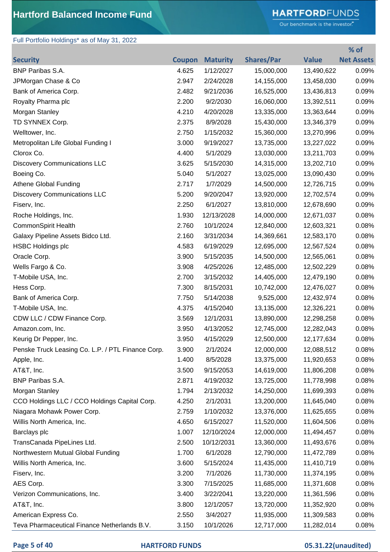# **HARTFORD**FUNDS

Our benchmark is the investor."

**% of** 

## Full Portfolio Holdings\* as of May 31, 2022

| <b>Security</b>                                   |       | <b>Coupon Maturity</b> | <b>Shares/Par</b> | <b>Value</b> | <b>Net Assets</b> |
|---------------------------------------------------|-------|------------------------|-------------------|--------------|-------------------|
| BNP Paribas S.A.                                  | 4.625 | 1/12/2027              | 15,000,000        | 13,490,622   | 0.09%             |
| JPMorgan Chase & Co                               | 2.947 | 2/24/2028              | 14,155,000        | 13,458,030   | 0.09%             |
| Bank of America Corp.                             | 2.482 | 9/21/2036              | 16,525,000        | 13,436,813   | 0.09%             |
| Royalty Pharma plc                                | 2.200 | 9/2/2030               | 16,060,000        | 13,392,511   | 0.09%             |
| Morgan Stanley                                    | 4.210 | 4/20/2028              | 13,335,000        | 13,363,644   | 0.09%             |
| TD SYNNEX Corp.                                   | 2.375 | 8/9/2028               | 15,430,000        | 13,346,379   | 0.09%             |
| Welltower, Inc.                                   | 2.750 | 1/15/2032              | 15,360,000        | 13,270,996   | 0.09%             |
| Metropolitan Life Global Funding I                | 3.000 | 9/19/2027              | 13,735,000        | 13,227,022   | 0.09%             |
| Clorox Co.                                        | 4.400 | 5/1/2029               | 13,030,000        | 13,211,703   | 0.09%             |
| <b>Discovery Communications LLC</b>               | 3.625 | 5/15/2030              | 14,315,000        | 13,202,710   | 0.09%             |
| Boeing Co.                                        | 5.040 | 5/1/2027               | 13,025,000        | 13,090,430   | 0.09%             |
| <b>Athene Global Funding</b>                      | 2.717 | 1/7/2029               | 14,500,000        | 12,726,715   | 0.09%             |
| <b>Discovery Communications LLC</b>               | 5.200 | 9/20/2047              | 13,920,000        | 12,702,574   | 0.09%             |
| Fiserv, Inc.                                      | 2.250 | 6/1/2027               | 13,810,000        | 12,678,690   | 0.09%             |
| Roche Holdings, Inc.                              | 1.930 | 12/13/2028             | 14,000,000        | 12,671,037   | 0.08%             |
| <b>CommonSpirit Health</b>                        | 2.760 | 10/1/2024              | 12,840,000        | 12,603,321   | 0.08%             |
| Galaxy Pipeline Assets Bidco Ltd.                 | 2.160 | 3/31/2034              | 14,369,661        | 12,583,170   | 0.08%             |
| <b>HSBC Holdings plc</b>                          | 4.583 | 6/19/2029              | 12,695,000        | 12,567,524   | 0.08%             |
| Oracle Corp.                                      | 3.900 | 5/15/2035              | 14,500,000        | 12,565,061   | 0.08%             |
| Wells Fargo & Co.                                 | 3.908 | 4/25/2026              | 12,485,000        | 12,502,229   | 0.08%             |
| T-Mobile USA, Inc.                                | 2.700 | 3/15/2032              | 14,405,000        | 12,479,190   | 0.08%             |
| Hess Corp.                                        | 7.300 | 8/15/2031              | 10,742,000        | 12,476,027   | 0.08%             |
| Bank of America Corp.                             | 7.750 | 5/14/2038              | 9,525,000         | 12,432,974   | 0.08%             |
| T-Mobile USA, Inc.                                | 4.375 | 4/15/2040              | 13,135,000        | 12,326,221   | 0.08%             |
| CDW LLC / CDW Finance Corp.                       | 3.569 | 12/1/2031              | 13,890,000        | 12,298,258   | 0.08%             |
| Amazon.com, Inc.                                  | 3.950 | 4/13/2052              | 12,745,000        | 12,282,043   | 0.08%             |
| Keurig Dr Pepper, Inc.                            | 3.950 | 4/15/2029              | 12,500,000        | 12,177,634   | 0.08%             |
| Penske Truck Leasing Co. L.P. / PTL Finance Corp. | 3.900 | 2/1/2024               | 12,000,000        | 12,088,512   | 0.08%             |
| Apple, Inc.                                       | 1.400 | 8/5/2028               | 13,375,000        | 11,920,653   | 0.08%             |
| AT&T, Inc.                                        | 3.500 | 9/15/2053              | 14,619,000        | 11,806,208   | 0.08%             |
| <b>BNP Paribas S.A.</b>                           | 2.871 | 4/19/2032              | 13,725,000        | 11,778,998   | 0.08%             |
| Morgan Stanley                                    | 1.794 | 2/13/2032              | 14,250,000        | 11,699,393   | 0.08%             |
| CCO Holdings LLC / CCO Holdings Capital Corp.     | 4.250 | 2/1/2031               | 13,200,000        | 11,645,040   | 0.08%             |
| Niagara Mohawk Power Corp.                        | 2.759 | 1/10/2032              | 13,376,000        | 11,625,655   | 0.08%             |
| Willis North America, Inc.                        | 4.650 | 6/15/2027              | 11,520,000        | 11,604,506   | 0.08%             |
| Barclays plc                                      | 1.007 | 12/10/2024             | 12,000,000        | 11,494,457   | 0.08%             |
| TransCanada PipeLines Ltd.                        | 2.500 | 10/12/2031             | 13,360,000        | 11,493,676   | 0.08%             |
| Northwestern Mutual Global Funding                | 1.700 | 6/1/2028               | 12,790,000        | 11,472,789   | 0.08%             |
| Willis North America, Inc.                        | 3.600 | 5/15/2024              | 11,435,000        | 11,410,719   | 0.08%             |
| Fiserv, Inc.                                      | 3.200 | 7/1/2026               | 11,730,000        | 11,374,195   | 0.08%             |
| AES Corp.                                         | 3.300 | 7/15/2025              | 11,685,000        | 11,371,608   | 0.08%             |
| Verizon Communications, Inc.                      | 3.400 | 3/22/2041              | 13,220,000        | 11,361,596   | 0.08%             |
| AT&T, Inc.                                        | 3.800 | 12/1/2057              | 13,720,000        | 11,352,920   | 0.08%             |
| American Express Co.                              | 2.550 | 3/4/2027               | 11,935,000        | 11,309,583   | 0.08%             |
| Teva Pharmaceutical Finance Netherlands B.V.      | 3.150 | 10/1/2026              | 12,717,000        | 11,282,014   | 0.08%             |

### **Page 5 of 40 HARTFORD FUNDS 05.31.22(unaudited)**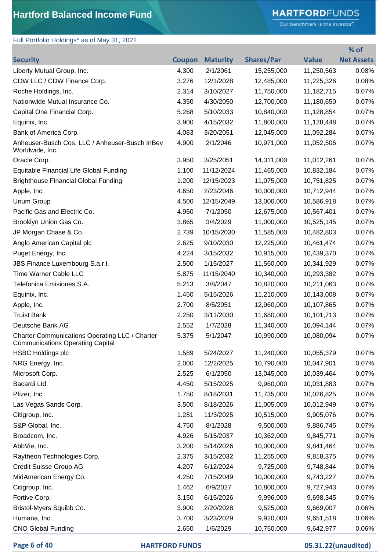# **HARTFORD**FUNDS

Our benchmark is the investor."

## Full Portfolio Holdings\* as of May 31, 2022

|                                                                                           |               |                 |                   |              | % of              |
|-------------------------------------------------------------------------------------------|---------------|-----------------|-------------------|--------------|-------------------|
| <b>Security</b>                                                                           | <b>Coupon</b> | <b>Maturity</b> | <b>Shares/Par</b> | <b>Value</b> | <b>Net Assets</b> |
| Liberty Mutual Group, Inc.                                                                | 4.300         | 2/1/2061        | 15,255,000        | 11,250,563   | 0.08%             |
| CDW LLC / CDW Finance Corp.                                                               | 3.276         | 12/1/2028       | 12,485,000        | 11,225,326   | 0.08%             |
| Roche Holdings, Inc.                                                                      | 2.314         | 3/10/2027       | 11,750,000        | 11,182,715   | 0.07%             |
| Nationwide Mutual Insurance Co.                                                           | 4.350         | 4/30/2050       | 12,700,000        | 11,180,650   | 0.07%             |
| Capital One Financial Corp.                                                               | 5.268         | 5/10/2033       | 10,840,000        | 11,128,854   | 0.07%             |
| Equinix, Inc.                                                                             | 3.900         | 4/15/2032       | 11,800,000        | 11,128,448   | 0.07%             |
| Bank of America Corp.                                                                     | 4.083         | 3/20/2051       | 12,045,000        | 11,092,284   | 0.07%             |
| Anheuser-Busch Cos. LLC / Anheuser-Busch InBev<br>Worldwide, Inc.                         | 4.900         | 2/1/2046        | 10,971,000        | 11,052,506   | 0.07%             |
| Oracle Corp.                                                                              | 3.950         | 3/25/2051       | 14,311,000        | 11,012,261   | 0.07%             |
| Equitable Financial Life Global Funding                                                   | 1.100         | 11/12/2024      | 11,465,000        | 10,832,184   | 0.07%             |
| <b>Brighthouse Financial Global Funding</b>                                               | 1.200         | 12/15/2023      | 11,075,000        | 10,751,825   | 0.07%             |
| Apple, Inc.                                                                               | 4.650         | 2/23/2046       | 10,000,000        | 10,712,944   | 0.07%             |
| <b>Unum Group</b>                                                                         | 4.500         | 12/15/2049      | 13,000,000        | 10,586,918   | 0.07%             |
| Pacific Gas and Electric Co.                                                              | 4.950         | 7/1/2050        | 12,675,000        | 10,567,401   | 0.07%             |
| Brooklyn Union Gas Co.                                                                    | 3.865         | 3/4/2029        | 11,000,000        | 10,525,145   | 0.07%             |
| JP Morgan Chase & Co.                                                                     | 2.739         | 10/15/2030      | 11,585,000        | 10,482,803   | 0.07%             |
| Anglo American Capital plc                                                                | 2.625         | 9/10/2030       | 12,225,000        | 10,461,474   | 0.07%             |
| Puget Energy, Inc.                                                                        | 4.224         | 3/15/2032       | 10,915,000        | 10,439,370   | 0.07%             |
| JBS Finance Luxembourg S.a.r.l.                                                           | 2.500         | 1/15/2027       | 11,560,000        | 10,341,929   | 0.07%             |
| Time Warner Cable LLC                                                                     | 5.875         | 11/15/2040      | 10,340,000        | 10,293,382   | 0.07%             |
| Telefonica Emisiones S.A.                                                                 | 5.213         | 3/8/2047        | 10,820,000        | 10,211,063   | 0.07%             |
| Equinix, Inc.                                                                             | 1.450         | 5/15/2026       | 11,210,000        | 10,143,008   | 0.07%             |
| Apple, Inc.                                                                               | 2.700         | 8/5/2051        | 12,960,000        | 10,107,865   | 0.07%             |
| <b>Truist Bank</b>                                                                        | 2.250         | 3/11/2030       | 11,680,000        | 10,101,713   | 0.07%             |
| Deutsche Bank AG                                                                          | 2.552         | 1/7/2028        | 11,340,000        | 10,094,144   | 0.07%             |
| Charter Communications Operating LLC / Charter<br><b>Communications Operating Capital</b> | 5.375         | 5/1/2047        | 10,990,000        | 10,080,094   | 0.07%             |
| <b>HSBC Holdings plc</b>                                                                  | 1.589         | 5/24/2027       | 11,240,000        | 10,055,379   | 0.07%             |
| NRG Energy, Inc.                                                                          | 2.000         | 12/2/2025       | 10,790,000        | 10,047,901   | 0.07%             |
| Microsoft Corp.                                                                           | 2.525         | 6/1/2050        | 13,045,000        | 10,039,464   | 0.07%             |
| Bacardi Ltd.                                                                              | 4.450         | 5/15/2025       | 9,960,000         | 10,031,883   | 0.07%             |
| Pfizer, Inc.                                                                              | 1.750         | 8/18/2031       | 11,735,000        | 10,026,825   | 0.07%             |
| Las Vegas Sands Corp.                                                                     | 3.500         | 8/18/2026       | 11,005,000        | 10,012,949   | 0.07%             |
| Citigroup, Inc.                                                                           | 1.281         | 11/3/2025       | 10,515,000        | 9,905,076    | 0.07%             |
| S&P Global, Inc.                                                                          | 4.750         | 8/1/2028        | 9,500,000         | 9,886,745    | 0.07%             |
| Broadcom, Inc.                                                                            | 4.926         | 5/15/2037       | 10,362,000        | 9,845,771    | 0.07%             |
| AbbVie, Inc.                                                                              | 3.200         | 5/14/2026       | 10,000,000        | 9,841,464    | 0.07%             |
| Raytheon Technologies Corp.                                                               | 2.375         | 3/15/2032       | 11,255,000        | 9,818,375    | 0.07%             |
| Credit Suisse Group AG                                                                    | 4.207         | 6/12/2024       | 9,725,000         | 9,748,844    | 0.07%             |
| MidAmerican Energy Co.                                                                    | 4.250         | 7/15/2049       | 10,000,000        | 9,743,227    | 0.07%             |
| Citigroup, Inc.                                                                           | 1.462         | 6/9/2027        | 10,800,000        | 9,727,943    | 0.07%             |
| Fortive Corp.                                                                             | 3.150         | 6/15/2026       | 9,996,000         | 9,698,345    | 0.07%             |
| Bristol-Myers Squibb Co.                                                                  | 3.900         | 2/20/2028       | 9,525,000         | 9,669,007    | 0.06%             |
| Humana, Inc.                                                                              | 3.700         | 3/23/2029       | 9,920,000         | 9,651,518    | 0.06%             |
| <b>CNO Global Funding</b>                                                                 | 2.650         | 1/6/2029        | 10,750,000        | 9,642,977    | 0.06%             |

**Page 6 of 40 HARTFORD FUNDS 05.31.22(unaudited)**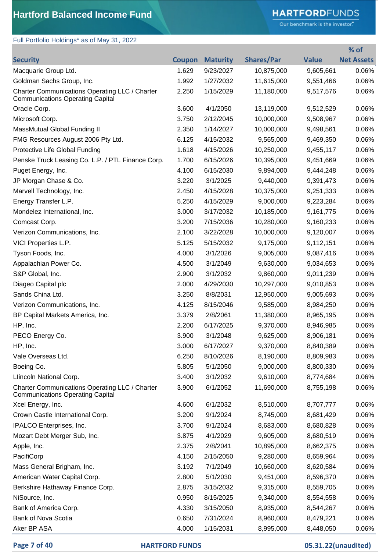# **HARTFORD**FUNDS

Our benchmark is the investor."

**% of** 

## Full Portfolio Holdings\* as of May 31, 2022

| <b>Security</b>                                                                           | <b>Coupon</b> | <b>Maturity</b> | <b>Shares/Par</b> | <b>Value</b> | <b>Net Assets</b> |
|-------------------------------------------------------------------------------------------|---------------|-----------------|-------------------|--------------|-------------------|
| Macquarie Group Ltd.                                                                      | 1.629         | 9/23/2027       | 10,875,000        | 9,605,661    | 0.06%             |
| Goldman Sachs Group, Inc.                                                                 | 1.992         | 1/27/2032       | 11,615,000        | 9,551,466    | 0.06%             |
| Charter Communications Operating LLC / Charter<br><b>Communications Operating Capital</b> | 2.250         | 1/15/2029       | 11,180,000        | 9,517,576    | 0.06%             |
| Oracle Corp.                                                                              | 3.600         | 4/1/2050        | 13,119,000        | 9,512,529    | 0.06%             |
| Microsoft Corp.                                                                           | 3.750         | 2/12/2045       | 10,000,000        | 9,508,967    | 0.06%             |
| MassMutual Global Funding II                                                              | 2.350         | 1/14/2027       | 10,000,000        | 9,498,561    | 0.06%             |
| FMG Resources August 2006 Pty Ltd.                                                        | 6.125         | 4/15/2032       | 9,565,000         | 9,469,350    | 0.06%             |
| Protective Life Global Funding                                                            | 1.618         | 4/15/2026       | 10,250,000        | 9,455,117    | 0.06%             |
| Penske Truck Leasing Co. L.P. / PTL Finance Corp.                                         | 1.700         | 6/15/2026       | 10,395,000        | 9,451,669    | 0.06%             |
| Puget Energy, Inc.                                                                        | 4.100         | 6/15/2030       | 9,894,000         | 9,444,248    | 0.06%             |
| JP Morgan Chase & Co.                                                                     | 3.220         | 3/1/2025        | 9,440,000         | 9,391,473    | 0.06%             |
| Marvell Technology, Inc.                                                                  | 2.450         | 4/15/2028       | 10,375,000        | 9,251,333    | 0.06%             |
| Energy Transfer L.P.                                                                      | 5.250         | 4/15/2029       | 9,000,000         | 9,223,284    | 0.06%             |
| Mondelez International, Inc.                                                              | 3.000         | 3/17/2032       | 10,185,000        | 9,161,775    | 0.06%             |
| Comcast Corp.                                                                             | 3.200         | 7/15/2036       | 10,280,000        | 9,160,233    | 0.06%             |
| Verizon Communications, Inc.                                                              | 2.100         | 3/22/2028       | 10,000,000        | 9,120,007    | 0.06%             |
| VICI Properties L.P.                                                                      | 5.125         | 5/15/2032       | 9,175,000         | 9,112,151    | 0.06%             |
| Tyson Foods, Inc.                                                                         | 4.000         | 3/1/2026        | 9,005,000         | 9,087,416    | 0.06%             |
| Appalachian Power Co.                                                                     | 4.500         | 3/1/2049        | 9,630,000         | 9,034,653    | 0.06%             |
| S&P Global, Inc.                                                                          | 2.900         | 3/1/2032        | 9,860,000         | 9,011,239    | 0.06%             |
| Diageo Capital plc                                                                        | 2.000         | 4/29/2030       | 10,297,000        | 9,010,853    | 0.06%             |
| Sands China Ltd.                                                                          | 3.250         | 8/8/2031        | 12,950,000        | 9,005,693    | 0.06%             |
| Verizon Communications, Inc.                                                              | 4.125         | 8/15/2046       | 9,585,000         | 8,984,250    | 0.06%             |
| BP Capital Markets America, Inc.                                                          | 3.379         | 2/8/2061        | 11,380,000        | 8,965,195    | 0.06%             |
| HP, Inc.                                                                                  | 2.200         | 6/17/2025       | 9,370,000         | 8,946,985    | 0.06%             |
| PECO Energy Co.                                                                           | 3.900         | 3/1/2048        | 9,625,000         | 8,906,181    | 0.06%             |
| HP, Inc.                                                                                  | 3.000         | 6/17/2027       | 9,370,000         | 8,840,389    | 0.06%             |
| Vale Overseas Ltd.                                                                        | 6.250         | 8/10/2026       | 8,190,000         | 8,809,983    | 0.06%             |
| Boeing Co.                                                                                | 5.805         | 5/1/2050        | 9,000,000         | 8,800,330    | 0.06%             |
| Llincoln National Corp.                                                                   | 3.400         | 3/1/2032        | 9,610,000         | 8,774,684    | 0.06%             |
| Charter Communications Operating LLC / Charter<br><b>Communications Operating Capital</b> | 3.900         | 6/1/2052        | 11,690,000        | 8,755,198    | 0.06%             |
| Xcel Energy, Inc.                                                                         | 4.600         | 6/1/2032        | 8,510,000         | 8,707,777    | 0.06%             |
| Crown Castle International Corp.                                                          | 3.200         | 9/1/2024        | 8,745,000         | 8,681,429    | 0.06%             |
| IPALCO Enterprises, Inc.                                                                  | 3.700         | 9/1/2024        | 8,683,000         | 8,680,828    | 0.06%             |
| Mozart Debt Merger Sub, Inc.                                                              | 3.875         | 4/1/2029        | 9,605,000         | 8,680,519    | 0.06%             |
| Apple, Inc.                                                                               | 2.375         | 2/8/2041        | 10,895,000        | 8,662,375    | 0.06%             |
| PacifiCorp                                                                                | 4.150         | 2/15/2050       | 9,280,000         | 8,659,964    | 0.06%             |
| Mass General Brigham, Inc.                                                                | 3.192         | 7/1/2049        | 10,660,000        | 8,620,584    | 0.06%             |
| American Water Capital Corp.                                                              | 2.800         | 5/1/2030        | 9,451,000         | 8,596,370    | 0.06%             |
| Berkshire Hathaway Finance Corp.                                                          | 2.875         | 3/15/2032       | 9,315,000         | 8,559,705    | 0.06%             |
| NiSource, Inc.                                                                            | 0.950         | 8/15/2025       | 9,340,000         | 8,554,558    | 0.06%             |
| Bank of America Corp.                                                                     | 4.330         | 3/15/2050       | 8,935,000         | 8,544,267    | 0.06%             |
| Bank of Nova Scotia                                                                       | 0.650         | 7/31/2024       | 8,960,000         | 8,479,221    | 0.06%             |
| Aker BP ASA                                                                               | 4.000         | 1/15/2031       | 8,995,000         | 8,448,050    | 0.06%             |

#### **Page 7 of 40 HARTFORD FUNDS 05.31.22(unaudited)**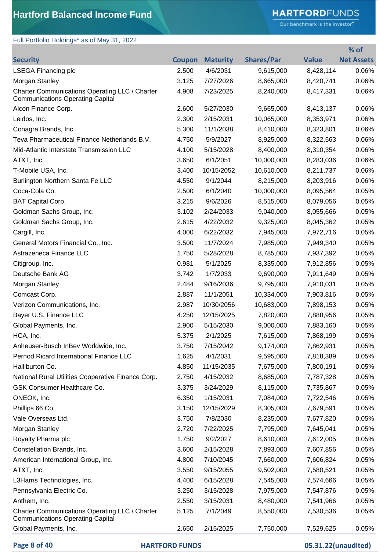Full Portfolio Holdings\* as of May 31, 2022

# **HARTFORD**FUNDS

Our benchmark is the investor."

|                                                                                           |        |                 |                   |              | % of              |
|-------------------------------------------------------------------------------------------|--------|-----------------|-------------------|--------------|-------------------|
| <b>Security</b>                                                                           | Coupon | <b>Maturity</b> | <b>Shares/Par</b> | <b>Value</b> | <b>Net Assets</b> |
| <b>LSEGA Financing plc</b>                                                                | 2.500  | 4/6/2031        | 9,615,000         | 8,428,114    | 0.06%             |
| Morgan Stanley                                                                            | 3.125  | 7/27/2026       | 8,665,000         | 8,420,741    | 0.06%             |
| Charter Communications Operating LLC / Charter<br><b>Communications Operating Capital</b> | 4.908  | 7/23/2025       | 8,240,000         | 8,417,331    | 0.06%             |
| Alcon Finance Corp.                                                                       | 2.600  | 5/27/2030       | 9,665,000         | 8,413,137    | 0.06%             |
| Leidos, Inc.                                                                              | 2.300  | 2/15/2031       | 10,065,000        | 8,353,971    | 0.06%             |
| Conagra Brands, Inc.                                                                      | 5.300  | 11/1/2038       | 8,410,000         | 8,323,801    | 0.06%             |
| Teva Pharmaceutical Finance Netherlands B.V.                                              | 4.750  | 5/9/2027        | 8,925,000         | 8,322,563    | 0.06%             |
| Mid-Atlantic Interstate Transmission LLC                                                  | 4.100  | 5/15/2028       | 8,400,000         | 8,310,354    | 0.06%             |
| AT&T, Inc.                                                                                | 3.650  | 6/1/2051        | 10,000,000        | 8,283,036    | 0.06%             |
| T-Mobile USA, Inc.                                                                        | 3.400  | 10/15/2052      | 10,610,000        | 8,211,737    | 0.06%             |
| Burlington Northern Santa Fe LLC                                                          | 4.550  | 9/1/2044        | 8,215,000         | 8,203,916    | 0.06%             |
| Coca-Cola Co.                                                                             | 2.500  | 6/1/2040        | 10,000,000        | 8,095,564    | 0.05%             |
| <b>BAT Capital Corp.</b>                                                                  | 3.215  | 9/6/2026        | 8,515,000         | 8,079,056    | 0.05%             |
| Goldman Sachs Group, Inc.                                                                 | 3.102  | 2/24/2033       | 9,040,000         | 8,055,666    | 0.05%             |
| Goldman Sachs Group, Inc.                                                                 | 2.615  | 4/22/2032       | 9,325,000         | 8,045,362    | 0.05%             |
| Cargill, Inc.                                                                             | 4.000  | 6/22/2032       | 7,945,000         | 7,972,716    | 0.05%             |
| General Motors Financial Co., Inc.                                                        | 3.500  | 11/7/2024       | 7,985,000         | 7,949,340    | 0.05%             |
| Astrazeneca Finance LLC                                                                   | 1.750  | 5/28/2028       | 8,785,000         | 7,937,392    | 0.05%             |
| Citigroup, Inc.                                                                           | 0.981  | 5/1/2025        | 8,335,000         | 7,912,856    | 0.05%             |
| Deutsche Bank AG                                                                          | 3.742  | 1/7/2033        | 9,690,000         | 7,911,649    | 0.05%             |
| Morgan Stanley                                                                            | 2.484  | 9/16/2036       | 9,795,000         | 7,910,031    | 0.05%             |
| Comcast Corp.                                                                             | 2.887  | 11/1/2051       | 10,334,000        | 7,903,816    | 0.05%             |
| Verizon Communications, Inc.                                                              | 2.987  | 10/30/2056      | 10,683,000        | 7,898,153    | 0.05%             |
| Bayer U.S. Finance LLC                                                                    | 4.250  | 12/15/2025      | 7,820,000         | 7,888,956    | 0.05%             |
| Global Payments, Inc.                                                                     | 2.900  | 5/15/2030       | 9,000,000         | 7,883,160    | 0.05%             |
| HCA, Inc.                                                                                 | 5.375  | 2/1/2025        | 7,615,000         | 7,868,199    | 0.05%             |
| Anheuser-Busch InBev Worldwide, Inc.                                                      | 3.750  | 7/15/2042       | 9,174,000         | 7,862,931    | 0.05%             |
| Pernod Ricard International Finance LLC                                                   | 1.625  | 4/1/2031        | 9,595,000         | 7,818,389    | 0.05%             |
| Halliburton Co.                                                                           | 4.850  | 11/15/2035      | 7,675,000         | 7,800,191    | 0.05%             |
| National Rural Utilities Cooperative Finance Corp.                                        | 2.750  | 4/15/2032       | 8,685,000         | 7,787,328    | 0.05%             |
| <b>GSK Consumer Healthcare Co.</b>                                                        | 3.375  | 3/24/2029       | 8,115,000         | 7,735,867    | 0.05%             |
| ONEOK, Inc.                                                                               | 6.350  | 1/15/2031       | 7,084,000         | 7,722,546    | 0.05%             |
| Phillips 66 Co.                                                                           | 3.150  | 12/15/2029      | 8,305,000         | 7,679,591    | 0.05%             |
| Vale Overseas Ltd.                                                                        | 3.750  | 7/8/2030        | 8,235,000         | 7,677,820    | 0.05%             |
| Morgan Stanley                                                                            | 2.720  | 7/22/2025       | 7,795,000         | 7,645,041    | 0.05%             |
| Royalty Pharma plc                                                                        | 1.750  | 9/2/2027        | 8,610,000         | 7,612,005    | 0.05%             |
| Constellation Brands, Inc.                                                                | 3.600  | 2/15/2028       | 7,893,000         | 7,607,856    | 0.05%             |
| American International Group, Inc.                                                        | 4.800  | 7/10/2045       | 7,660,000         | 7,606,824    | 0.05%             |
| AT&T, Inc.                                                                                | 3.550  | 9/15/2055       | 9,502,000         | 7,580,521    | 0.05%             |
| L3Harris Technologies, Inc.                                                               | 4.400  | 6/15/2028       | 7,545,000         | 7,574,666    | 0.05%             |
| Pennsylvania Electric Co.                                                                 | 3.250  | 3/15/2028       | 7,975,000         | 7,547,876    | 0.05%             |
| Anthem, Inc.                                                                              | 2.550  | 3/15/2031       | 8,480,000         | 7,541,966    | 0.05%             |
| Charter Communications Operating LLC / Charter<br><b>Communications Operating Capital</b> | 5.125  | 7/1/2049        | 8,550,000         | 7,530,536    | 0.05%             |
| Global Payments, Inc.                                                                     | 2.650  | 2/15/2025       | 7,750,000         | 7,529,625    | 0.05%             |

**Page 8 of 40 HARTFORD FUNDS 05.31.22(unaudited)**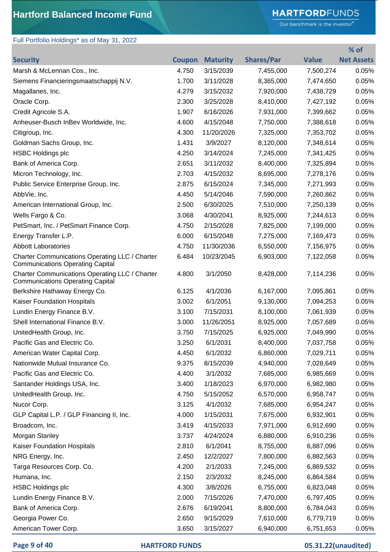## **HARTFORD**FUNDS

Our benchmark is the investor."

## Full Portfolio Holdings\* as of May 31, 2022

|                                                                                           |               |                 |                   |              | $%$ of            |
|-------------------------------------------------------------------------------------------|---------------|-----------------|-------------------|--------------|-------------------|
| <b>Security</b>                                                                           | <b>Coupon</b> | <b>Maturity</b> | <b>Shares/Par</b> | <b>Value</b> | <b>Net Assets</b> |
| Marsh & McLennan Cos., Inc.                                                               | 4.750         | 3/15/2039       | 7,455,000         | 7,500,274    | 0.05%             |
| Siemens Financieringsmaatschappij N.V.                                                    | 1.700         | 3/11/2028       | 8,365,000         | 7,474,650    | 0.05%             |
| Magallanes, Inc.                                                                          | 4.279         | 3/15/2032       | 7,920,000         | 7,438,729    | 0.05%             |
| Oracle Corp.                                                                              | 2.300         | 3/25/2028       | 8,410,000         | 7,427,192    | 0.05%             |
| Credit Agricole S.A.                                                                      | 1.907         | 6/16/2026       | 7,931,000         | 7,399,662    | 0.05%             |
| Anheuser-Busch InBev Worldwide, Inc.                                                      | 4.600         | 4/15/2048       | 7,750,000         | 7,388,618    | 0.05%             |
| Citigroup, Inc.                                                                           | 4.300         | 11/20/2026      | 7,325,000         | 7,353,702    | 0.05%             |
| Goldman Sachs Group, Inc.                                                                 | 1.431         | 3/9/2027        | 8,120,000         | 7,348,614    | 0.05%             |
| <b>HSBC Holdings plc</b>                                                                  | 4.250         | 3/14/2024       | 7,245,000         | 7,341,425    | 0.05%             |
| Bank of America Corp.                                                                     | 2.651         | 3/11/2032       | 8,400,000         | 7,325,894    | 0.05%             |
| Micron Technology, Inc.                                                                   | 2.703         | 4/15/2032       | 8,695,000         | 7,278,176    | 0.05%             |
| Public Service Enterprise Group, Inc.                                                     | 2.875         | 6/15/2024       | 7,345,000         | 7,271,993    | 0.05%             |
| AbbVie, Inc.                                                                              | 4.450         | 5/14/2046       | 7,590,000         | 7,260,862    | 0.05%             |
| American International Group, Inc.                                                        | 2.500         | 6/30/2025       | 7,510,000         | 7,250,139    | 0.05%             |
| Wells Fargo & Co.                                                                         | 3.068         | 4/30/2041       | 8,925,000         | 7,244,613    | 0.05%             |
| PetSmart, Inc. / PetSmart Finance Corp.                                                   | 4.750         | 2/15/2028       | 7,825,000         | 7,199,000    | 0.05%             |
| Energy Transfer L.P.                                                                      | 6.000         | 6/15/2048       | 7,275,000         | 7,169,473    | 0.05%             |
| <b>Abbott Laboratories</b>                                                                | 4.750         | 11/30/2036      | 6,550,000         | 7,156,975    | 0.05%             |
| Charter Communications Operating LLC / Charter<br><b>Communications Operating Capital</b> | 6.484         | 10/23/2045      | 6,903,000         | 7,122,058    | 0.05%             |
| Charter Communications Operating LLC / Charter<br><b>Communications Operating Capital</b> | 4.800         | 3/1/2050        | 8,428,000         | 7,114,236    | 0.05%             |
| Berkshire Hathaway Energy Co.                                                             | 6.125         | 4/1/2036        | 6,167,000         | 7,095,861    | 0.05%             |
| Kaiser Foundation Hospitals                                                               | 3.002         | 6/1/2051        | 9,130,000         | 7,094,253    | 0.05%             |
| Lundin Energy Finance B.V.                                                                | 3.100         | 7/15/2031       | 8,100,000         | 7,061,939    | 0.05%             |
| Shell International Finance B.V.                                                          | 3.000         | 11/26/2051      | 8,925,000         | 7,057,689    | 0.05%             |
| UnitedHealth Group, Inc.                                                                  | 3.750         | 7/15/2025       | 6,925,000         | 7,049,990    | 0.05%             |
| Pacific Gas and Electric Co.                                                              | 3.250         | 6/1/2031        | 8,400,000         | 7,037,758    | 0.05%             |
| American Water Capital Corp.                                                              | 4.450         | 6/1/2032        | 6,860,000         | 7,029,711    | 0.05%             |
| Nationwide Mutual Insurance Co.                                                           | 9.375         | 8/15/2039       | 4,940,000         | 7,028,649    | 0.05%             |
| Pacific Gas and Electric Co.                                                              | 4.400         | 3/1/2032        | 7,685,000         | 6,985,669    | 0.05%             |
| Santander Holdings USA, Inc.                                                              | 3.400         | 1/18/2023       | 6,970,000         | 6,982,980    | 0.05%             |
| UnitedHealth Group, Inc.                                                                  | 4.750         | 5/15/2052       | 6,570,000         | 6,958,747    | 0.05%             |
| Nucor Corp.                                                                               | 3.125         | 4/1/2032        | 7,685,000         | 6,954,247    | 0.05%             |
| GLP Capital L.P. / GLP Financing II, Inc.                                                 | 4.000         | 1/15/2031       | 7,675,000         | 6,932,901    | 0.05%             |
| Broadcom, Inc.                                                                            | 3.419         | 4/15/2033       | 7,971,000         | 6,912,690    | 0.05%             |
| Morgan Stanley                                                                            | 3.737         | 4/24/2024       | 6,880,000         | 6,910,236    | 0.05%             |
| Kaiser Foundation Hospitals                                                               | 2.810         | 6/1/2041        | 8,755,000         | 6,887,096    | 0.05%             |
| NRG Energy, Inc.                                                                          | 2.450         | 12/2/2027       | 7,800,000         | 6,882,563    | 0.05%             |
| Targa Resources Corp. Co.                                                                 | 4.200         | 2/1/2033        | 7,245,000         | 6,869,532    | 0.05%             |
| Humana, Inc.                                                                              | 2.150         | 2/3/2032        | 8,245,000         | 6,864,584    | 0.05%             |
| <b>HSBC Holdings plc</b>                                                                  | 4.300         | 3/8/2026        | 6,755,000         | 6,823,048    | 0.05%             |
| Lundin Energy Finance B.V.                                                                | 2.000         | 7/15/2026       | 7,470,000         | 6,797,405    | 0.05%             |
| Bank of America Corp.                                                                     | 2.676         | 6/19/2041       | 8,800,000         | 6,784,043    | 0.05%             |
| Georgia Power Co.                                                                         | 2.650         | 9/15/2029       | 7,610,000         | 6,779,719    | 0.05%             |
| American Tower Corp.                                                                      | 3.650         | 3/15/2027       | 6,940,000         | 6,751,653    | 0.05%             |

### **Page 9 of 40 HARTFORD FUNDS 05.31.22(unaudited)**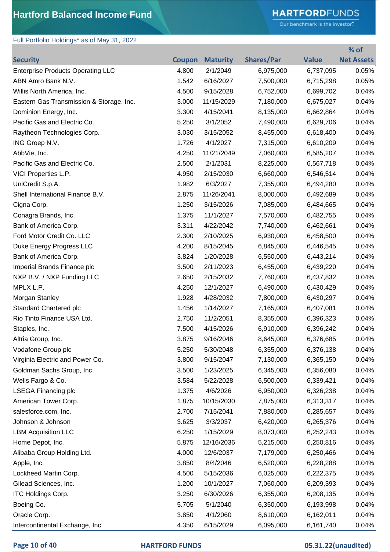# **HARTFORD**FUNDS

Our benchmark is the investor."

**% of** 

## Full Portfolio Holdings\* as of May 31, 2022

| <b>Security</b>                          | <b>Coupon</b> | <b>Maturity</b> | <b>Shares/Par</b> | <b>Value</b> | <b>Net Assets</b> |
|------------------------------------------|---------------|-----------------|-------------------|--------------|-------------------|
| <b>Enterprise Products Operating LLC</b> | 4.800         | 2/1/2049        | 6,975,000         | 6,737,095    | 0.05%             |
| ABN Amro Bank N.V.                       | 1.542         | 6/16/2027       | 7,500,000         | 6,715,298    | 0.05%             |
| Willis North America, Inc.               | 4.500         | 9/15/2028       | 6,752,000         | 6,699,702    | 0.04%             |
| Eastern Gas Transmission & Storage, Inc. | 3.000         | 11/15/2029      | 7,180,000         | 6,675,027    | 0.04%             |
| Dominion Energy, Inc.                    | 3.300         | 4/15/2041       | 8,135,000         | 6,662,864    | 0.04%             |
| Pacific Gas and Electric Co.             | 5.250         | 3/1/2052        | 7,490,000         | 6,629,706    | 0.04%             |
| Raytheon Technologies Corp.              | 3.030         | 3/15/2052       | 8,455,000         | 6,618,400    | 0.04%             |
| ING Groep N.V.                           | 1.726         | 4/1/2027        | 7,315,000         | 6,610,209    | 0.04%             |
| AbbVie, Inc.                             | 4.250         | 11/21/2049      | 7,060,000         | 6,585,207    | 0.04%             |
| Pacific Gas and Electric Co.             | 2.500         | 2/1/2031        | 8,225,000         | 6,567,718    | 0.04%             |
| VICI Properties L.P.                     | 4.950         | 2/15/2030       | 6,660,000         | 6,546,514    | 0.04%             |
| UniCredit S.p.A.                         | 1.982         | 6/3/2027        | 7,355,000         | 6,494,280    | 0.04%             |
| Shell International Finance B.V.         | 2.875         | 11/26/2041      | 8,000,000         | 6,492,689    | 0.04%             |
| Cigna Corp.                              | 1.250         | 3/15/2026       | 7,085,000         | 6,484,665    | 0.04%             |
| Conagra Brands, Inc.                     | 1.375         | 11/1/2027       | 7,570,000         | 6,482,755    | 0.04%             |
| Bank of America Corp.                    | 3.311         | 4/22/2042       | 7,740,000         | 6,462,661    | 0.04%             |
| Ford Motor Credit Co. LLC                | 2.300         | 2/10/2025       | 6,930,000         | 6,458,500    | 0.04%             |
| Duke Energy Progress LLC                 | 4.200         | 8/15/2045       | 6,845,000         | 6,446,545    | 0.04%             |
| Bank of America Corp.                    | 3.824         | 1/20/2028       | 6,550,000         | 6,443,214    | 0.04%             |
| Imperial Brands Finance plc              | 3.500         | 2/11/2023       | 6,455,000         | 6,439,220    | 0.04%             |
| NXP B.V. / NXP Funding LLC               | 2.650         | 2/15/2032       | 7,760,000         | 6,437,832    | 0.04%             |
| MPLX L.P.                                | 4.250         | 12/1/2027       | 6,490,000         | 6,430,429    | 0.04%             |
| Morgan Stanley                           | 1.928         | 4/28/2032       | 7,800,000         | 6,430,297    | 0.04%             |
| Standard Chartered plc                   | 1.456         | 1/14/2027       | 7,165,000         | 6,407,081    | 0.04%             |
| Rio Tinto Finance USA Ltd.               | 2.750         | 11/2/2051       | 8,355,000         | 6,396,323    | 0.04%             |
| Staples, Inc.                            | 7.500         | 4/15/2026       | 6,910,000         | 6,396,242    | 0.04%             |
| Altria Group, Inc.                       | 3.875         | 9/16/2046       | 8,645,000         | 6,376,685    | 0.04%             |
| Vodafone Group plc                       | 5.250         | 5/30/2048       | 6,355,000         | 6,376,138    | $0.04\%$          |
| Virginia Electric and Power Co.          | 3.800         | 9/15/2047       | 7,130,000         | 6,365,150    | 0.04%             |
| Goldman Sachs Group, Inc.                | 3.500         | 1/23/2025       | 6,345,000         | 6,356,080    | 0.04%             |
| Wells Fargo & Co.                        | 3.584         | 5/22/2028       | 6,500,000         | 6,339,421    | 0.04%             |
| <b>LSEGA Financing plc</b>               | 1.375         | 4/6/2026        | 6,950,000         | 6,326,238    | 0.04%             |
| American Tower Corp.                     | 1.875         | 10/15/2030      | 7,875,000         | 6,313,317    | 0.04%             |
| salesforce.com, Inc.                     | 2.700         | 7/15/2041       | 7,880,000         | 6,285,657    | 0.04%             |
| Johnson & Johnson                        | 3.625         | 3/3/2037        | 6,420,000         | 6,265,376    | 0.04%             |
| <b>LBM Acquisition LLC</b>               | 6.250         | 1/15/2029       | 8,073,000         | 6,252,243    | 0.04%             |
| Home Depot, Inc.                         | 5.875         | 12/16/2036      | 5,215,000         | 6,250,816    | 0.04%             |
| Alibaba Group Holding Ltd.               | 4.000         | 12/6/2037       | 7,179,000         | 6,250,466    | 0.04%             |
| Apple, Inc.                              | 3.850         | 8/4/2046        | 6,520,000         | 6,228,288    | 0.04%             |
| Lockheed Martin Corp.                    | 4.500         | 5/15/2036       | 6,025,000         | 6,222,375    | 0.04%             |
| Gilead Sciences, Inc.                    | 1.200         | 10/1/2027       | 7,060,000         | 6,209,393    | 0.04%             |
| <b>ITC Holdings Corp.</b>                | 3.250         | 6/30/2026       | 6,355,000         | 6,208,135    | 0.04%             |
| Boeing Co.                               | 5.705         | 5/1/2040        | 6,350,000         | 6,193,998    | 0.04%             |
| Oracle Corp.                             | 3.850         | 4/1/2060        | 8,610,000         | 6,162,011    | 0.04%             |
| Intercontinental Exchange, Inc.          | 4.350         | 6/15/2029       | 6,095,000         | 6,161,740    | 0.04%             |

### **Page 10 of 40 HARTFORD FUNDS 05.31.22(unaudited)**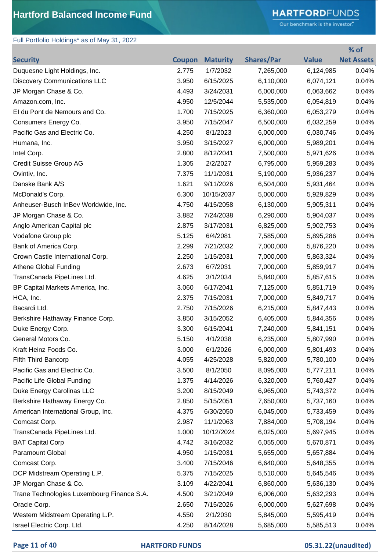# **HARTFORD**FUNDS

Our benchmark is the investor."

**% of** 

## Full Portfolio Holdings\* as of May 31, 2022

| <b>Security</b>                            | <b>Coupon</b> | <b>Maturity</b> | <b>Shares/Par</b> | <b>Value</b> | <b>Net Assets</b> |
|--------------------------------------------|---------------|-----------------|-------------------|--------------|-------------------|
| Duquesne Light Holdings, Inc.              | 2.775         | 1/7/2032        | 7,265,000         | 6,124,985    | 0.04%             |
| <b>Discovery Communications LLC</b>        | 3.950         | 6/15/2025       | 6,110,000         | 6,074,121    | 0.04%             |
| JP Morgan Chase & Co.                      | 4.493         | 3/24/2031       | 6,000,000         | 6,063,662    | 0.04%             |
| Amazon.com, Inc.                           | 4.950         | 12/5/2044       | 5,535,000         | 6,054,819    | 0.04%             |
| El du Pont de Nemours and Co.              | 1.700         | 7/15/2025       | 6,360,000         | 6,053,279    | 0.04%             |
| Consumers Energy Co.                       | 3.950         | 7/15/2047       | 6,500,000         | 6,032,259    | 0.04%             |
| Pacific Gas and Electric Co.               | 4.250         | 8/1/2023        | 6,000,000         | 6,030,746    | 0.04%             |
| Humana, Inc.                               | 3.950         | 3/15/2027       | 6,000,000         | 5,989,201    | 0.04%             |
| Intel Corp.                                | 2.800         | 8/12/2041       | 7,500,000         | 5,971,626    | 0.04%             |
| Credit Suisse Group AG                     | 1.305         | 2/2/2027        | 6,795,000         | 5,959,283    | 0.04%             |
| Ovintiv, Inc.                              | 7.375         | 11/1/2031       | 5,190,000         | 5,936,237    | 0.04%             |
| Danske Bank A/S                            | 1.621         | 9/11/2026       | 6,504,000         | 5,931,464    | 0.04%             |
| McDonald's Corp.                           | 6.300         | 10/15/2037      | 5,000,000         | 5,929,829    | 0.04%             |
| Anheuser-Busch InBev Worldwide, Inc.       | 4.750         | 4/15/2058       | 6,130,000         | 5,905,311    | 0.04%             |
| JP Morgan Chase & Co.                      | 3.882         | 7/24/2038       | 6,290,000         | 5,904,037    | 0.04%             |
| Anglo American Capital plc                 | 2.875         | 3/17/2031       | 6,825,000         | 5,902,753    | 0.04%             |
| Vodafone Group plc                         | 5.125         | 6/4/2081        | 7,585,000         | 5,895,286    | 0.04%             |
| Bank of America Corp.                      | 2.299         | 7/21/2032       | 7,000,000         | 5,876,220    | 0.04%             |
| Crown Castle International Corp.           | 2.250         | 1/15/2031       | 7,000,000         | 5,863,324    | 0.04%             |
| <b>Athene Global Funding</b>               | 2.673         | 6/7/2031        | 7,000,000         | 5,859,917    | 0.04%             |
| TransCanada PipeLines Ltd.                 | 4.625         | 3/1/2034        | 5,840,000         | 5,857,615    | 0.04%             |
| BP Capital Markets America, Inc.           | 3.060         | 6/17/2041       | 7,125,000         | 5,851,719    | 0.04%             |
| HCA, Inc.                                  | 2.375         | 7/15/2031       | 7,000,000         | 5,849,717    | 0.04%             |
| Bacardi Ltd.                               | 2.750         | 7/15/2026       | 6,215,000         | 5,847,443    | 0.04%             |
| Berkshire Hathaway Finance Corp.           | 3.850         | 3/15/2052       | 6,405,000         | 5,844,356    | 0.04%             |
| Duke Energy Corp.                          | 3.300         | 6/15/2041       | 7,240,000         | 5,841,151    | 0.04%             |
| General Motors Co.                         | 5.150         | 4/1/2038        | 6,235,000         | 5,807,990    | 0.04%             |
| Kraft Heinz Foods Co.                      | 3.000         | 6/1/2026        | 6,000,000         | 5,801,493    | 0.04%             |
| Fifth Third Bancorp                        | 4.055         | 4/25/2028       | 5,820,000         | 5,780,100    | 0.04%             |
| Pacific Gas and Electric Co.               | 3.500         | 8/1/2050        | 8,095,000         | 5,777,211    | 0.04%             |
| Pacific Life Global Funding                | 1.375         | 4/14/2026       | 6,320,000         | 5,760,427    | 0.04%             |
| Duke Energy Carolinas LLC                  | 3.200         | 8/15/2049       | 6,965,000         | 5,743,372    | 0.04%             |
| Berkshire Hathaway Energy Co.              | 2.850         | 5/15/2051       | 7,650,000         | 5,737,160    | 0.04%             |
| American International Group, Inc.         | 4.375         | 6/30/2050       | 6,045,000         | 5,733,459    | 0.04%             |
| Comcast Corp.                              | 2.987         | 11/1/2063       | 7,884,000         | 5,708,194    | 0.04%             |
| TransCanada PipeLines Ltd.                 | 1.000         | 10/12/2024      | 6,025,000         | 5,697,945    | 0.04%             |
| <b>BAT Capital Corp</b>                    | 4.742         | 3/16/2032       | 6,055,000         | 5,670,871    | 0.04%             |
| Paramount Global                           | 4.950         | 1/15/2031       | 5,655,000         | 5,657,884    | 0.04%             |
| Comcast Corp.                              | 3.400         | 7/15/2046       | 6,640,000         | 5,648,355    | 0.04%             |
| DCP Midstream Operating L.P.               | 5.375         | 7/15/2025       | 5,510,000         | 5,645,546    | 0.04%             |
| JP Morgan Chase & Co.                      | 3.109         | 4/22/2041       | 6,860,000         | 5,636,130    | 0.04%             |
| Trane Technologies Luxembourg Finance S.A. | 4.500         | 3/21/2049       | 6,006,000         | 5,632,293    | 0.04%             |
| Oracle Corp.                               | 2.650         | 7/15/2026       | 6,000,000         | 5,627,698    | 0.04%             |
| Western Midstream Operating L.P.           | 4.550         | 2/1/2030        | 5,845,000         | 5,595,419    | 0.04%             |
| Israel Electric Corp. Ltd.                 | 4.250         | 8/14/2028       | 5,685,000         | 5,585,513    | 0.04%             |

#### **Page 11 of 40 HARTFORD FUNDS 05.31.22(unaudited)**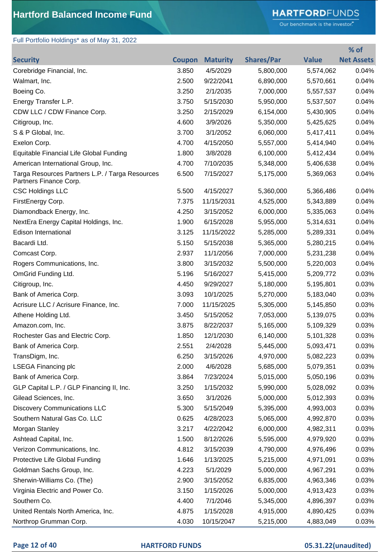# **HARTFORD**FUNDS

Our benchmark is the investor."

**% of** 

# Full Portfolio Holdings\* as of May 31, 2022

| <b>Security</b>                                                           | Coupon | <b>Maturity</b> | <b>Shares/Par</b> | <b>Value</b> | <b>Net Assets</b> |
|---------------------------------------------------------------------------|--------|-----------------|-------------------|--------------|-------------------|
| Corebridge Financial, Inc.                                                | 3.850  | 4/5/2029        | 5,800,000         | 5,574,062    | 0.04%             |
| Walmart, Inc.                                                             | 2.500  | 9/22/2041       | 6,890,000         | 5,570,661    | 0.04%             |
| Boeing Co.                                                                | 3.250  | 2/1/2035        | 7,000,000         | 5,557,537    | 0.04%             |
| Energy Transfer L.P.                                                      | 3.750  | 5/15/2030       | 5,950,000         | 5,537,507    | 0.04%             |
| CDW LLC / CDW Finance Corp.                                               | 3.250  | 2/15/2029       | 6,154,000         | 5,430,905    | 0.04%             |
| Citigroup, Inc.                                                           | 4.600  | 3/9/2026        | 5,350,000         | 5,425,625    | 0.04%             |
| S & P Global, Inc.                                                        | 3.700  | 3/1/2052        | 6,060,000         | 5,417,411    | 0.04%             |
| Exelon Corp.                                                              | 4.700  | 4/15/2050       | 5,557,000         | 5,414,940    | 0.04%             |
| Equitable Financial Life Global Funding                                   | 1.800  | 3/8/2028        | 6,100,000         | 5,412,434    | 0.04%             |
| American International Group, Inc.                                        | 4.700  | 7/10/2035       | 5,348,000         | 5,406,638    | 0.04%             |
| Targa Resources Partners L.P. / Targa Resources<br>Partners Finance Corp. | 6.500  | 7/15/2027       | 5,175,000         | 5,369,063    | 0.04%             |
| <b>CSC Holdings LLC</b>                                                   | 5.500  | 4/15/2027       | 5,360,000         | 5,366,486    | 0.04%             |
| FirstEnergy Corp.                                                         | 7.375  | 11/15/2031      | 4,525,000         | 5,343,889    | 0.04%             |
| Diamondback Energy, Inc.                                                  | 4.250  | 3/15/2052       | 6,000,000         | 5,335,063    | 0.04%             |
| NextEra Energy Capital Holdings, Inc.                                     | 1.900  | 6/15/2028       | 5,955,000         | 5,314,631    | 0.04%             |
| <b>Edison International</b>                                               | 3.125  | 11/15/2022      | 5,285,000         | 5,289,331    | 0.04%             |
| Bacardi Ltd.                                                              | 5.150  | 5/15/2038       | 5,365,000         | 5,280,215    | 0.04%             |
| Comcast Corp.                                                             | 2.937  | 11/1/2056       | 7,000,000         | 5,231,238    | 0.04%             |
| Rogers Communications, Inc.                                               | 3.800  | 3/15/2032       | 5,500,000         | 5,220,003    | 0.04%             |
| OmGrid Funding Ltd.                                                       | 5.196  | 5/16/2027       | 5,415,000         | 5,209,772    | 0.03%             |
| Citigroup, Inc.                                                           | 4.450  | 9/29/2027       | 5,180,000         | 5,195,801    | 0.03%             |
| Bank of America Corp.                                                     | 3.093  | 10/1/2025       | 5,270,000         | 5,183,040    | 0.03%             |
| Acrisure LLC / Acrisure Finance, Inc.                                     | 7.000  | 11/15/2025      | 5,305,000         | 5,145,850    | 0.03%             |
| Athene Holding Ltd.                                                       | 3.450  | 5/15/2052       | 7,053,000         | 5,139,075    | 0.03%             |
| Amazon.com, Inc.                                                          | 3.875  | 8/22/2037       | 5,165,000         | 5,109,329    | 0.03%             |
| Rochester Gas and Electric Corp.                                          | 1.850  | 12/1/2030       | 6,140,000         | 5,101,328    | 0.03%             |
| Bank of America Corp.                                                     | 2.551  | 2/4/2028        | 5,445,000         | 5,093,471    | 0.03%             |
| TransDigm, Inc.                                                           | 6.250  | 3/15/2026       | 4,970,000         | 5,082,223    | 0.03%             |
| <b>LSEGA Financing plc</b>                                                | 2.000  | 4/6/2028        | 5,685,000         | 5,079,351    | 0.03%             |
| Bank of America Corp.                                                     | 3.864  | 7/23/2024       | 5,015,000         | 5,050,196    | 0.03%             |
| GLP Capital L.P. / GLP Financing II, Inc.                                 | 3.250  | 1/15/2032       | 5,990,000         | 5,028,092    | 0.03%             |
| Gilead Sciences, Inc.                                                     | 3.650  | 3/1/2026        | 5,000,000         | 5,012,393    | 0.03%             |
| <b>Discovery Communications LLC</b>                                       | 5.300  | 5/15/2049       | 5,395,000         | 4,993,003    | 0.03%             |
| Southern Natural Gas Co. LLC                                              | 0.625  | 4/28/2023       | 5,065,000         | 4,992,870    | 0.03%             |
| Morgan Stanley                                                            | 3.217  | 4/22/2042       | 6,000,000         | 4,982,311    | 0.03%             |
| Ashtead Capital, Inc.                                                     | 1.500  | 8/12/2026       | 5,595,000         | 4,979,920    | 0.03%             |
| Verizon Communications, Inc.                                              | 4.812  | 3/15/2039       | 4,790,000         | 4,976,496    | 0.03%             |
| Protective Life Global Funding                                            | 1.646  | 1/13/2025       | 5,215,000         | 4,971,091    | 0.03%             |
| Goldman Sachs Group, Inc.                                                 | 4.223  | 5/1/2029        | 5,000,000         | 4,967,291    | 0.03%             |
| Sherwin-Williams Co. (The)                                                | 2.900  | 3/15/2052       | 6,835,000         | 4,963,346    | 0.03%             |
| Virginia Electric and Power Co.                                           | 3.150  | 1/15/2026       | 5,000,000         | 4,913,423    | 0.03%             |
| Southern Co.                                                              | 4.400  | 7/1/2046        | 5,345,000         | 4,896,397    | 0.03%             |
| United Rentals North America, Inc.                                        | 4.875  | 1/15/2028       | 4,915,000         | 4,890,425    | 0.03%             |
| Northrop Grumman Corp.                                                    | 4.030  | 10/15/2047      | 5,215,000         | 4,883,049    | 0.03%             |

#### **Page 12 of 40 HARTFORD FUNDS 05.31.22(unaudited)**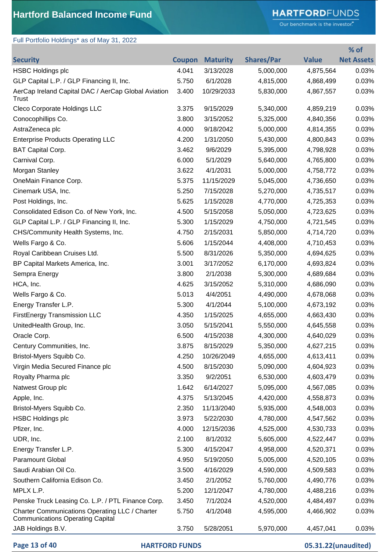# **HARTFORD**FUNDS

Our benchmark is the investor."

**% of** 

# Full Portfolio Holdings\* as of May 31, 2022

| <b>Security</b>                                                                           |       | <b>Coupon Maturity</b> | <b>Shares/Par</b> | <b>Value</b> | <b>Net Assets</b> |
|-------------------------------------------------------------------------------------------|-------|------------------------|-------------------|--------------|-------------------|
| <b>HSBC Holdings plc</b>                                                                  | 4.041 | 3/13/2028              | 5,000,000         | 4,875,564    | 0.03%             |
| GLP Capital L.P. / GLP Financing II, Inc.                                                 | 5.750 | 6/1/2028               | 4,815,000         | 4,868,499    | 0.03%             |
| AerCap Ireland Capital DAC / AerCap Global Aviation<br>Trust                              | 3.400 | 10/29/2033             | 5,830,000         | 4,867,557    | 0.03%             |
| Cleco Corporate Holdings LLC                                                              | 3.375 | 9/15/2029              | 5,340,000         | 4,859,219    | 0.03%             |
| Conocophillips Co.                                                                        | 3.800 | 3/15/2052              | 5,325,000         | 4,840,356    | 0.03%             |
| AstraZeneca plc                                                                           | 4.000 | 9/18/2042              | 5,000,000         | 4,814,355    | 0.03%             |
| <b>Enterprise Products Operating LLC</b>                                                  | 4.200 | 1/31/2050              | 5,430,000         | 4,800,843    | 0.03%             |
| <b>BAT Capital Corp.</b>                                                                  | 3.462 | 9/6/2029               | 5,395,000         | 4,798,928    | 0.03%             |
| Carnival Corp.                                                                            | 6.000 | 5/1/2029               | 5,640,000         | 4,765,800    | 0.03%             |
| Morgan Stanley                                                                            | 3.622 | 4/1/2031               | 5,000,000         | 4,758,772    | 0.03%             |
| OneMain Finance Corp.                                                                     | 5.375 | 11/15/2029             | 5,045,000         | 4,736,650    | 0.03%             |
| Cinemark USA, Inc.                                                                        | 5.250 | 7/15/2028              | 5,270,000         | 4,735,517    | 0.03%             |
| Post Holdings, Inc.                                                                       | 5.625 | 1/15/2028              | 4,770,000         | 4,725,353    | 0.03%             |
| Consolidated Edison Co. of New York, Inc.                                                 | 4.500 | 5/15/2058              | 5,050,000         | 4,723,625    | 0.03%             |
| GLP Capital L.P. / GLP Financing II, Inc.                                                 | 5.300 | 1/15/2029              | 4,750,000         | 4,721,545    | 0.03%             |
| CHS/Community Health Systems, Inc.                                                        | 4.750 | 2/15/2031              | 5,850,000         | 4,714,720    | 0.03%             |
| Wells Fargo & Co.                                                                         | 5.606 | 1/15/2044              | 4,408,000         | 4,710,453    | 0.03%             |
| Royal Caribbean Cruises Ltd.                                                              | 5.500 | 8/31/2026              | 5,350,000         | 4,694,625    | 0.03%             |
| BP Capital Markets America, Inc.                                                          | 3.001 | 3/17/2052              | 6,170,000         | 4,693,824    | 0.03%             |
| Sempra Energy                                                                             | 3.800 | 2/1/2038               | 5,300,000         | 4,689,684    | 0.03%             |
| HCA, Inc.                                                                                 | 4.625 | 3/15/2052              | 5,310,000         | 4,686,090    | 0.03%             |
| Wells Fargo & Co.                                                                         | 5.013 | 4/4/2051               | 4,490,000         | 4,678,068    | 0.03%             |
| Energy Transfer L.P.                                                                      | 5.300 | 4/1/2044               | 5,100,000         | 4,673,192    | 0.03%             |
| FirstEnergy Transmission LLC                                                              | 4.350 | 1/15/2025              | 4,655,000         | 4,663,430    | 0.03%             |
| UnitedHealth Group, Inc.                                                                  | 3.050 | 5/15/2041              | 5,550,000         | 4,645,558    | 0.03%             |
| Oracle Corp.                                                                              | 6.500 | 4/15/2038              | 4,300,000         | 4,640,029    | 0.03%             |
| Century Communities, Inc.                                                                 | 3.875 | 8/15/2029              | 5,350,000         | 4,627,215    | 0.03%             |
| Bristol-Myers Squibb Co.                                                                  | 4.250 | 10/26/2049             | 4,655,000         | 4,613,411    | 0.03%             |
| Virgin Media Secured Finance plc                                                          | 4.500 | 8/15/2030              | 5,090,000         | 4,604,923    | 0.03%             |
| Royalty Pharma plc                                                                        | 3.350 | 9/2/2051               | 6,530,000         | 4,603,479    | 0.03%             |
| Natwest Group plc                                                                         | 1.642 | 6/14/2027              | 5,095,000         | 4,567,085    | 0.03%             |
| Apple, Inc.                                                                               | 4.375 | 5/13/2045              | 4,420,000         | 4,558,873    | 0.03%             |
| Bristol-Myers Squibb Co.                                                                  | 2.350 | 11/13/2040             | 5,935,000         | 4,548,003    | 0.03%             |
| <b>HSBC Holdings plc</b>                                                                  | 3.973 | 5/22/2030              | 4,780,000         | 4,547,562    | 0.03%             |
| Pfizer, Inc.                                                                              | 4.000 | 12/15/2036             | 4,525,000         | 4,530,733    | 0.03%             |
| UDR, Inc.                                                                                 | 2.100 | 8/1/2032               | 5,605,000         | 4,522,447    | 0.03%             |
| Energy Transfer L.P.                                                                      | 5.300 | 4/15/2047              | 4,958,000         | 4,520,371    | 0.03%             |
| <b>Paramount Global</b>                                                                   | 4.950 | 5/19/2050              | 5,005,000         | 4,520,105    | 0.03%             |
| Saudi Arabian Oil Co.                                                                     | 3.500 | 4/16/2029              | 4,590,000         | 4,509,583    | 0.03%             |
| Southern California Edison Co.                                                            | 3.450 | 2/1/2052               | 5,760,000         | 4,490,776    | 0.03%             |
| MPLX L.P.                                                                                 | 5.200 | 12/1/2047              | 4,780,000         | 4,488,216    | 0.03%             |
| Penske Truck Leasing Co. L.P. / PTL Finance Corp.                                         | 3.450 | 7/1/2024               | 4,520,000         | 4,484,497    | 0.03%             |
| Charter Communications Operating LLC / Charter<br><b>Communications Operating Capital</b> | 5.750 | 4/1/2048               | 4,595,000         | 4,466,902    | 0.03%             |
| JAB Holdings B.V.                                                                         | 3.750 | 5/28/2051              | 5,970,000         | 4,457,041    | 0.03%             |

**Page 13 of 40 HARTFORD FUNDS 05.31.22(unaudited)**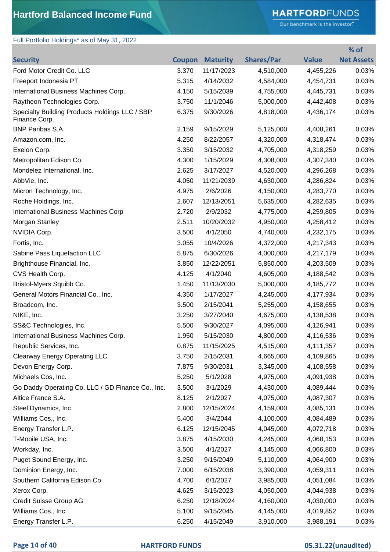## **HARTFORD**FUNDS

Our benchmark is the investor."

**% of** 

# Full Portfolio Holdings\* as of May 31, 2022

| <b>Security</b>                                                 | <b>Coupon</b> | <b>Maturity</b> | <b>Shares/Par</b> | <b>Value</b> | <b>Net Assets</b> |
|-----------------------------------------------------------------|---------------|-----------------|-------------------|--------------|-------------------|
| Ford Motor Credit Co. LLC                                       | 3.370         | 11/17/2023      | 4,510,000         | 4,455,226    | 0.03%             |
| Freeport Indonesia PT                                           | 5.315         | 4/14/2032       | 4,584,000         | 4,454,731    | 0.03%             |
| International Business Machines Corp.                           | 4.150         | 5/15/2039       | 4,755,000         | 4,445,731    | 0.03%             |
| Raytheon Technologies Corp.                                     | 3.750         | 11/1/2046       | 5,000,000         | 4,442,408    | 0.03%             |
| Specialty Building Products Holdings LLC / SBP<br>Finance Corp. | 6.375         | 9/30/2026       | 4,818,000         | 4,436,174    | 0.03%             |
| <b>BNP Paribas S.A.</b>                                         | 2.159         | 9/15/2029       | 5,125,000         | 4,408,261    | 0.03%             |
| Amazon.com, Inc.                                                | 4.250         | 8/22/2057       | 4,320,000         | 4,318,474    | 0.03%             |
| Exelon Corp.                                                    | 3.350         | 3/15/2032       | 4,705,000         | 4,318,259    | 0.03%             |
| Metropolitan Edison Co.                                         | 4.300         | 1/15/2029       | 4,308,000         | 4,307,340    | 0.03%             |
| Mondelez International, Inc.                                    | 2.625         | 3/17/2027       | 4,520,000         | 4,296,268    | 0.03%             |
| AbbVie, Inc.                                                    | 4.050         | 11/21/2039      | 4,630,000         | 4,286,824    | 0.03%             |
| Micron Technology, Inc.                                         | 4.975         | 2/6/2026        | 4,150,000         | 4,283,770    | 0.03%             |
| Roche Holdings, Inc.                                            | 2.607         | 12/13/2051      | 5,635,000         | 4,282,635    | 0.03%             |
| International Business Machines Corp                            | 2.720         | 2/9/2032        | 4,775,000         | 4,259,805    | 0.03%             |
| Morgan Stanley                                                  | 2.511         | 10/20/2032      | 4,950,000         | 4,258,412    | 0.03%             |
| NVIDIA Corp.                                                    | 3.500         | 4/1/2050        | 4,740,000         | 4,232,175    | 0.03%             |
| Fortis, Inc.                                                    | 3.055         | 10/4/2026       | 4,372,000         | 4,217,343    | 0.03%             |
| Sabine Pass Liquefaction LLC                                    | 5.875         | 6/30/2026       | 4,000,000         | 4,217,179    | 0.03%             |
| Brighthouse Financial, Inc.                                     | 3.850         | 12/22/2051      | 5,850,000         | 4,203,509    | 0.03%             |
| CVS Health Corp.                                                | 4.125         | 4/1/2040        | 4,605,000         | 4,188,542    | 0.03%             |
| Bristol-Myers Squibb Co.                                        | 1.450         | 11/13/2030      | 5,000,000         | 4,185,772    | 0.03%             |
| General Motors Financial Co., Inc.                              | 4.350         | 1/17/2027       | 4,245,000         | 4,177,934    | 0.03%             |
| Broadcom, Inc.                                                  | 3.500         | 2/15/2041       | 5,255,000         | 4,158,655    | 0.03%             |
| NIKE, Inc.                                                      | 3.250         | 3/27/2040       | 4,675,000         | 4,138,538    | 0.03%             |
| SS&C Technologies, Inc.                                         | 5.500         | 9/30/2027       | 4,095,000         | 4,126,941    | 0.03%             |
| International Business Machines Corp.                           | 1.950         | 5/15/2030       | 4,800,000         | 4,116,536    | 0.03%             |
| Republic Services, Inc.                                         | 0.875         | 11/15/2025      | 4,515,000         | 4,111,357    | 0.03%             |
| <b>Clearway Energy Operating LLC</b>                            | 3.750         | 2/15/2031       | 4,665,000         | 4,109,865    | 0.03%             |
| Devon Energy Corp.                                              | 7.875         | 9/30/2031       | 3,345,000         | 4,108,558    | 0.03%             |
| Michaels Cos, Inc.                                              | 5.250         | 5/1/2028        | 4,975,000         | 4,091,938    | 0.03%             |
| Go Daddy Operating Co. LLC / GD Finance Co., Inc.               | 3.500         | 3/1/2029        | 4,430,000         | 4,089,444    | 0.03%             |
| Altice France S.A.                                              | 8.125         | 2/1/2027        | 4,075,000         | 4,087,307    | 0.03%             |
| Steel Dynamics, Inc.                                            | 2.800         | 12/15/2024      | 4,159,000         | 4,085,131    | 0.03%             |
| Williams Cos., Inc.                                             | 5.400         | 3/4/2044        | 4,100,000         | 4,084,489    | 0.03%             |
| Energy Transfer L.P.                                            | 6.125         | 12/15/2045      | 4,045,000         | 4,072,718    | 0.03%             |
| T-Mobile USA, Inc.                                              | 3.875         | 4/15/2030       | 4,245,000         | 4,068,153    | 0.03%             |
| Workday, Inc.                                                   | 3.500         | 4/1/2027        | 4,145,000         | 4,066,800    | 0.03%             |
| Puget Sound Energy, Inc.                                        | 3.250         | 9/15/2049       | 5,110,000         | 4,064,900    | 0.03%             |
| Dominion Energy, Inc.                                           | 7.000         | 6/15/2038       | 3,390,000         | 4,059,311    | 0.03%             |
| Southern California Edison Co.                                  | 4.700         | 6/1/2027        | 3,985,000         | 4,051,084    | 0.03%             |
| Xerox Corp.                                                     | 4.625         | 3/15/2023       | 4,050,000         | 4,044,938    | 0.03%             |
| Credit Suisse Group AG                                          | 6.250         | 12/18/2024      | 4,160,000         | 4,030,000    | 0.03%             |
| Williams Cos., Inc.                                             | 5.100         | 9/15/2045       | 4,145,000         | 4,019,852    | 0.03%             |
| Energy Transfer L.P.                                            | 6.250         | 4/15/2049       | 3,910,000         | 3,988,191    | 0.03%             |

### **Page 14 of 40 HARTFORD FUNDS 05.31.22(unaudited)**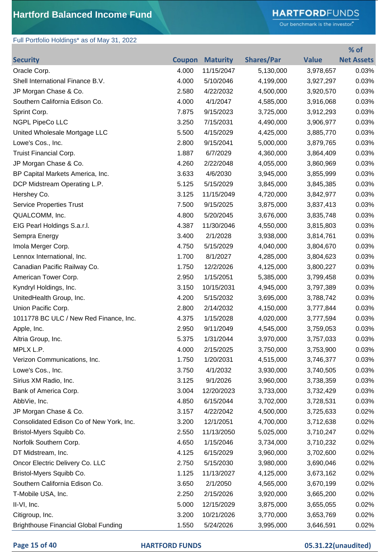# **HARTFORD**FUNDS

Our benchmark is the investor."

**% of** 

## Full Portfolio Holdings\* as of May 31, 2022

| <b>Security</b>                             |       | <b>Coupon Maturity</b> | <b>Shares/Par</b> | <b>Value</b> | <b>Net Assets</b> |
|---------------------------------------------|-------|------------------------|-------------------|--------------|-------------------|
| Oracle Corp.                                | 4.000 | 11/15/2047             | 5,130,000         | 3,978,657    | 0.03%             |
| Shell International Finance B.V.            | 4.000 | 5/10/2046              | 4,199,000         | 3,927,297    | 0.03%             |
| JP Morgan Chase & Co.                       | 2.580 | 4/22/2032              | 4,500,000         | 3,920,570    | 0.03%             |
| Southern California Edison Co.              | 4.000 | 4/1/2047               | 4,585,000         | 3,916,068    | 0.03%             |
| Sprint Corp.                                | 7.875 | 9/15/2023              | 3,725,000         | 3,912,293    | 0.03%             |
| NGPL PipeCo LLC                             | 3.250 | 7/15/2031              | 4,490,000         | 3,906,977    | 0.03%             |
| United Wholesale Mortgage LLC               | 5.500 | 4/15/2029              | 4,425,000         | 3,885,770    | 0.03%             |
| Lowe's Cos., Inc.                           | 2.800 | 9/15/2041              | 5,000,000         | 3,879,765    | 0.03%             |
| Truist Financial Corp.                      | 1.887 | 6/7/2029               | 4,360,000         | 3,864,409    | 0.03%             |
| JP Morgan Chase & Co.                       | 4.260 | 2/22/2048              | 4,055,000         | 3,860,969    | 0.03%             |
| BP Capital Markets America, Inc.            | 3.633 | 4/6/2030               | 3,945,000         | 3,855,999    | 0.03%             |
| DCP Midstream Operating L.P.                | 5.125 | 5/15/2029              | 3,845,000         | 3,845,385    | 0.03%             |
| Hershey Co.                                 | 3.125 | 11/15/2049             | 4,720,000         | 3,842,977    | 0.03%             |
| <b>Service Properties Trust</b>             | 7.500 | 9/15/2025              | 3,875,000         | 3,837,413    | 0.03%             |
| QUALCOMM, Inc.                              | 4.800 | 5/20/2045              | 3,676,000         | 3,835,748    | 0.03%             |
| EIG Pearl Holdings S.a.r.l.                 | 4.387 | 11/30/2046             | 4,550,000         | 3,815,803    | 0.03%             |
| Sempra Energy                               | 3.400 | 2/1/2028               | 3,938,000         | 3,814,761    | 0.03%             |
| Imola Merger Corp.                          | 4.750 | 5/15/2029              | 4,040,000         | 3,804,670    | 0.03%             |
| Lennox International, Inc.                  | 1.700 | 8/1/2027               | 4,285,000         | 3,804,623    | 0.03%             |
| Canadian Pacific Railway Co.                | 1.750 | 12/2/2026              | 4,125,000         | 3,800,227    | 0.03%             |
| American Tower Corp.                        | 2.950 | 1/15/2051              | 5,385,000         | 3,799,458    | 0.03%             |
| Kyndryl Holdings, Inc.                      | 3.150 | 10/15/2031             | 4,945,000         | 3,797,389    | 0.03%             |
| UnitedHealth Group, Inc.                    | 4.200 | 5/15/2032              | 3,695,000         | 3,788,742    | 0.03%             |
| Union Pacific Corp.                         | 2.800 | 2/14/2032              | 4,150,000         | 3,777,844    | 0.03%             |
| 1011778 BC ULC / New Red Finance, Inc.      | 4.375 | 1/15/2028              | 4,020,000         | 3,777,594    | 0.03%             |
| Apple, Inc.                                 | 2.950 | 9/11/2049              | 4,545,000         | 3,759,053    | 0.03%             |
| Altria Group, Inc.                          | 5.375 | 1/31/2044              | 3,970,000         | 3,757,033    | 0.03%             |
| MPLX L.P.                                   | 4.000 | 2/15/2025              | 3,750,000         | 3,753,900    | 0.03%             |
| Verizon Communications, Inc.                | 1.750 | 1/20/2031              | 4,515,000         | 3,746,377    | 0.03%             |
| Lowe's Cos., Inc.                           | 3.750 | 4/1/2032               | 3,930,000         | 3,740,505    | 0.03%             |
| Sirius XM Radio, Inc.                       | 3.125 | 9/1/2026               | 3,960,000         | 3,738,359    | 0.03%             |
| Bank of America Corp.                       | 3.004 | 12/20/2023             | 3,733,000         | 3,732,429    | 0.03%             |
| AbbVie, Inc.                                | 4.850 | 6/15/2044              | 3,702,000         | 3,728,531    | 0.03%             |
| JP Morgan Chase & Co.                       | 3.157 | 4/22/2042              | 4,500,000         | 3,725,633    | 0.02%             |
| Consolidated Edison Co of New York, Inc.    | 3.200 | 12/1/2051              | 4,700,000         | 3,712,638    | 0.02%             |
| Bristol-Myers Squibb Co.                    | 2.550 | 11/13/2050             | 5,025,000         | 3,710,247    | 0.02%             |
| Norfolk Southern Corp.                      | 4.650 | 1/15/2046              | 3,734,000         | 3,710,232    | 0.02%             |
| DT Midstream, Inc.                          | 4.125 | 6/15/2029              | 3,960,000         | 3,702,600    | 0.02%             |
| Oncor Electric Delivery Co. LLC             | 2.750 | 5/15/2030              | 3,980,000         | 3,690,046    | 0.02%             |
| Bristol-Myers Squibb Co.                    | 1.125 | 11/13/2027             | 4,125,000         | 3,673,162    | 0.02%             |
| Southern California Edison Co.              | 3.650 | 2/1/2050               | 4,565,000         | 3,670,199    | 0.02%             |
| T-Mobile USA, Inc.                          | 2.250 | 2/15/2026              | 3,920,000         | 3,665,200    | 0.02%             |
| II-VI, Inc.                                 | 5.000 | 12/15/2029             | 3,875,000         | 3,655,055    | 0.02%             |
| Citigroup, Inc.                             | 3.200 | 10/21/2026             | 3,770,000         | 3,653,769    | 0.02%             |
| <b>Brighthouse Financial Global Funding</b> | 1.550 | 5/24/2026              | 3,995,000         | 3,646,591    | 0.02%             |

## **Page 15 of 40 HARTFORD FUNDS 05.31.22(unaudited)**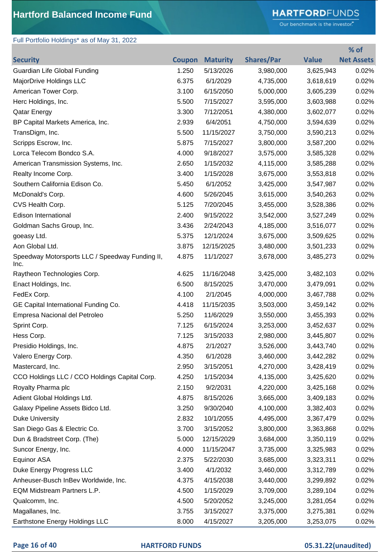# **HARTFORD**FUNDS

Our benchmark is the investor."

## Full Portfolio Holdings\* as of May 31, 2022

|                                                         |               |                 |                   |              | % of              |
|---------------------------------------------------------|---------------|-----------------|-------------------|--------------|-------------------|
| <b>Security</b>                                         | <b>Coupon</b> | <b>Maturity</b> | <b>Shares/Par</b> | <b>Value</b> | <b>Net Assets</b> |
| Guardian Life Global Funding                            | 1.250         | 5/13/2026       | 3,980,000         | 3,625,943    | 0.02%             |
| MajorDrive Holdings LLC                                 | 6.375         | 6/1/2029        | 4,735,000         | 3,618,619    | 0.02%             |
| American Tower Corp.                                    | 3.100         | 6/15/2050       | 5,000,000         | 3,605,239    | 0.02%             |
| Herc Holdings, Inc.                                     | 5.500         | 7/15/2027       | 3,595,000         | 3,603,988    | 0.02%             |
| <b>Qatar Energy</b>                                     | 3.300         | 7/12/2051       | 4,380,000         | 3,602,077    | 0.02%             |
| BP Capital Markets America, Inc.                        | 2.939         | 6/4/2051        | 4,750,000         | 3,594,639    | 0.02%             |
| TransDigm, Inc.                                         | 5.500         | 11/15/2027      | 3,750,000         | 3,590,213    | 0.02%             |
| Scripps Escrow, Inc.                                    | 5.875         | 7/15/2027       | 3,800,000         | 3,587,200    | 0.02%             |
| Lorca Telecom Bondco S.A.                               | 4.000         | 9/18/2027       | 3,575,000         | 3,585,328    | 0.02%             |
| American Transmission Systems, Inc.                     | 2.650         | 1/15/2032       | 4,115,000         | 3,585,288    | 0.02%             |
| Realty Income Corp.                                     | 3.400         | 1/15/2028       | 3,675,000         | 3,553,818    | 0.02%             |
| Southern California Edison Co.                          | 5.450         | 6/1/2052        | 3,425,000         | 3,547,987    | 0.02%             |
| McDonald's Corp.                                        | 4.600         | 5/26/2045       | 3,615,000         | 3,540,263    | 0.02%             |
| CVS Health Corp.                                        | 5.125         | 7/20/2045       | 3,455,000         | 3,528,386    | 0.02%             |
| <b>Edison International</b>                             | 2.400         | 9/15/2022       | 3,542,000         | 3,527,249    | 0.02%             |
| Goldman Sachs Group, Inc.                               | 3.436         | 2/24/2043       | 4,185,000         | 3,516,077    | 0.02%             |
| goeasy Ltd.                                             | 5.375         | 12/1/2024       | 3,675,000         | 3,509,625    | 0.02%             |
| Aon Global Ltd.                                         | 3.875         | 12/15/2025      | 3,480,000         | 3,501,233    | 0.02%             |
| Speedway Motorsports LLC / Speedway Funding II,<br>Inc. | 4.875         | 11/1/2027       | 3,678,000         | 3,485,273    | 0.02%             |
| Raytheon Technologies Corp.                             | 4.625         | 11/16/2048      | 3,425,000         | 3,482,103    | 0.02%             |
| Enact Holdings, Inc.                                    | 6.500         | 8/15/2025       | 3,470,000         | 3,479,091    | 0.02%             |
| FedEx Corp.                                             | 4.100         | 2/1/2045        | 4,000,000         | 3,467,788    | 0.02%             |
| GE Capital International Funding Co.                    | 4.418         | 11/15/2035      | 3,503,000         | 3,459,142    | 0.02%             |
| Empresa Nacional del Petroleo                           | 5.250         | 11/6/2029       | 3,550,000         | 3,455,393    | 0.02%             |
| Sprint Corp.                                            | 7.125         | 6/15/2024       | 3,253,000         | 3,452,637    | 0.02%             |
| Hess Corp.                                              | 7.125         | 3/15/2033       | 2,980,000         | 3,445,807    | 0.02%             |
| Presidio Holdings, Inc.                                 | 4.875         | 2/1/2027        | 3,526,000         | 3,443,740    | 0.02%             |
| Valero Energy Corp.                                     | 4.350         | 6/1/2028        | 3,460,000         | 3,442,282    | 0.02%             |
| Mastercard, Inc.                                        | 2.950         | 3/15/2051       | 4,270,000         | 3,428,419    | 0.02%             |
| CCO Holdings LLC / CCO Holdings Capital Corp.           | 4.250         | 1/15/2034       | 4,135,000         | 3,425,620    | 0.02%             |
| Royalty Pharma plc                                      | 2.150         | 9/2/2031        | 4,220,000         | 3,425,168    | 0.02%             |
| Adient Global Holdings Ltd.                             | 4.875         | 8/15/2026       | 3,665,000         | 3,409,183    | 0.02%             |
| Galaxy Pipeline Assets Bidco Ltd.                       | 3.250         | 9/30/2040       | 4,100,000         | 3,382,403    | 0.02%             |
| <b>Duke University</b>                                  | 2.832         | 10/1/2055       | 4,495,000         | 3,367,479    | 0.02%             |
| San Diego Gas & Electric Co.                            | 3.700         | 3/15/2052       | 3,800,000         | 3,363,868    | 0.02%             |
| Dun & Bradstreet Corp. (The)                            | 5.000         | 12/15/2029      | 3,684,000         | 3,350,119    | 0.02%             |
| Suncor Energy, Inc.                                     | 4.000         | 11/15/2047      | 3,735,000         | 3,325,983    | 0.02%             |
| Equinor ASA                                             | 2.375         | 5/22/2030       | 3,685,000         | 3,323,311    | 0.02%             |
| Duke Energy Progress LLC                                | 3.400         | 4/1/2032        | 3,460,000         | 3,312,789    | 0.02%             |
| Anheuser-Busch InBev Worldwide, Inc.                    | 4.375         | 4/15/2038       | 3,440,000         | 3,299,892    | 0.02%             |
| EQM Midstream Partners L.P.                             | 4.500         | 1/15/2029       | 3,709,000         | 3,289,104    | 0.02%             |
| Qualcomm, Inc.                                          | 4.500         | 5/20/2052       | 3,245,000         | 3,281,054    | 0.02%             |
| Magallanes, Inc.                                        | 3.755         | 3/15/2027       | 3,375,000         | 3,275,381    | 0.02%             |
| Earthstone Energy Holdings LLC                          | 8.000         | 4/15/2027       | 3,205,000         | 3,253,075    | 0.02%             |

### **Page 16 of 40 HARTFORD FUNDS 05.31.22(unaudited)**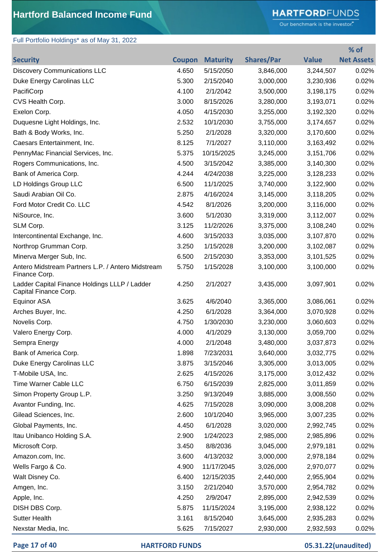# **HARTFORD**FUNDS

Our benchmark is the investor."

**% of** 

## Full Portfolio Holdings\* as of May 31, 2022

| <b>Security</b>                                                        |       | <b>Coupon Maturity</b> | <b>Shares/Par</b> | <b>Value</b> | <b>Net Assets</b> |
|------------------------------------------------------------------------|-------|------------------------|-------------------|--------------|-------------------|
| <b>Discovery Communications LLC</b>                                    | 4.650 | 5/15/2050              | 3,846,000         | 3,244,507    | 0.02%             |
| Duke Energy Carolinas LLC                                              | 5.300 | 2/15/2040              | 3,000,000         | 3,230,936    | 0.02%             |
| PacifiCorp                                                             | 4.100 | 2/1/2042               | 3,500,000         | 3,198,175    | 0.02%             |
| CVS Health Corp.                                                       | 3.000 | 8/15/2026              | 3,280,000         | 3,193,071    | 0.02%             |
| Exelon Corp.                                                           | 4.050 | 4/15/2030              | 3,255,000         | 3,192,320    | 0.02%             |
| Duquesne Light Holdings, Inc.                                          | 2.532 | 10/1/2030              | 3,755,000         | 3,174,657    | 0.02%             |
| Bath & Body Works, Inc.                                                | 5.250 | 2/1/2028               | 3,320,000         | 3,170,600    | 0.02%             |
| Caesars Entertainment, Inc.                                            | 8.125 | 7/1/2027               | 3,110,000         | 3,163,492    | 0.02%             |
| PennyMac Financial Services, Inc.                                      | 5.375 | 10/15/2025             | 3,245,000         | 3,151,706    | 0.02%             |
| Rogers Communications, Inc.                                            | 4.500 | 3/15/2042              | 3,385,000         | 3,140,300    | 0.02%             |
| Bank of America Corp.                                                  | 4.244 | 4/24/2038              | 3,225,000         | 3,128,233    | 0.02%             |
| LD Holdings Group LLC                                                  | 6.500 | 11/1/2025              | 3,740,000         | 3,122,900    | 0.02%             |
| Saudi Arabian Oil Co.                                                  | 2.875 | 4/16/2024              | 3,145,000         | 3,118,205    | 0.02%             |
| Ford Motor Credit Co. LLC                                              | 4.542 | 8/1/2026               | 3,200,000         | 3,116,000    | 0.02%             |
| NiSource, Inc.                                                         | 3.600 | 5/1/2030               | 3,319,000         | 3,112,007    | 0.02%             |
| SLM Corp.                                                              | 3.125 | 11/2/2026              | 3,375,000         | 3,108,240    | 0.02%             |
| Intercontinental Exchange, Inc.                                        | 4.600 | 3/15/2033              | 3,035,000         | 3,107,870    | 0.02%             |
| Northrop Grumman Corp.                                                 | 3.250 | 1/15/2028              | 3,200,000         | 3,102,087    | 0.02%             |
| Minerva Merger Sub, Inc.                                               | 6.500 | 2/15/2030              | 3,353,000         | 3,101,525    | 0.02%             |
| Antero Midstream Partners L.P. / Antero Midstream<br>Finance Corp.     | 5.750 | 1/15/2028              | 3,100,000         | 3,100,000    | 0.02%             |
| Ladder Capital Finance Holdings LLLP / Ladder<br>Capital Finance Corp. | 4.250 | 2/1/2027               | 3,435,000         | 3,097,901    | 0.02%             |
| Equinor ASA                                                            | 3.625 | 4/6/2040               | 3,365,000         | 3,086,061    | 0.02%             |
| Arches Buyer, Inc.                                                     | 4.250 | 6/1/2028               | 3,364,000         | 3,070,928    | 0.02%             |
| Novelis Corp.                                                          | 4.750 | 1/30/2030              | 3,230,000         | 3,060,603    | 0.02%             |
| Valero Energy Corp.                                                    | 4.000 | 4/1/2029               | 3,130,000         | 3,059,700    | 0.02%             |
| Sempra Energy                                                          | 4.000 | 2/1/2048               | 3,480,000         | 3,037,873    | 0.02%             |
| Bank of America Corp.                                                  | 1.898 | 7/23/2031              | 3,640,000         | 3,032,775    | 0.02%             |
| Duke Energy Carolinas LLC                                              | 3.875 | 3/15/2046              | 3,305,000         | 3,013,005    | 0.02%             |
| T-Mobile USA, Inc.                                                     | 2.625 | 4/15/2026              | 3,175,000         | 3,012,432    | 0.02%             |
| Time Warner Cable LLC                                                  | 6.750 | 6/15/2039              | 2,825,000         | 3,011,859    | 0.02%             |
| Simon Property Group L.P.                                              | 3.250 | 9/13/2049              | 3,885,000         | 3,008,550    | 0.02%             |
| Avantor Funding, Inc.                                                  | 4.625 | 7/15/2028              | 3,090,000         | 3,008,208    | 0.02%             |
| Gilead Sciences, Inc.                                                  | 2.600 | 10/1/2040              | 3,965,000         | 3,007,235    | 0.02%             |
| Global Payments, Inc.                                                  | 4.450 | 6/1/2028               | 3,020,000         | 2,992,745    | 0.02%             |
| Itau Unibanco Holding S.A.                                             | 2.900 | 1/24/2023              | 2,985,000         | 2,985,896    | 0.02%             |
| Microsoft Corp.                                                        | 3.450 | 8/8/2036               | 3,045,000         | 2,979,181    | 0.02%             |
| Amazon.com, Inc.                                                       | 3.600 | 4/13/2032              | 3,000,000         | 2,978,184    | 0.02%             |
| Wells Fargo & Co.                                                      | 4.900 | 11/17/2045             | 3,026,000         | 2,970,077    | 0.02%             |
| Walt Disney Co.                                                        | 6.400 | 12/15/2035             | 2,440,000         | 2,955,904    | 0.02%             |
| Amgen, Inc.                                                            | 3.150 | 2/21/2040              | 3,570,000         | 2,954,782    | 0.02%             |
| Apple, Inc.                                                            | 4.250 | 2/9/2047               | 2,895,000         | 2,942,539    | 0.02%             |
| DISH DBS Corp.                                                         | 5.875 | 11/15/2024             | 3,195,000         | 2,938,122    | 0.02%             |
| <b>Sutter Health</b>                                                   | 3.161 | 8/15/2040              | 3,645,000         | 2,935,283    | 0.02%             |
| Nexstar Media, Inc.                                                    | 5.625 | 7/15/2027              | 2,930,000         | 2,932,593    | 0.02%             |

**Page 17 of 40 HARTFORD FUNDS 05.31.22(unaudited)**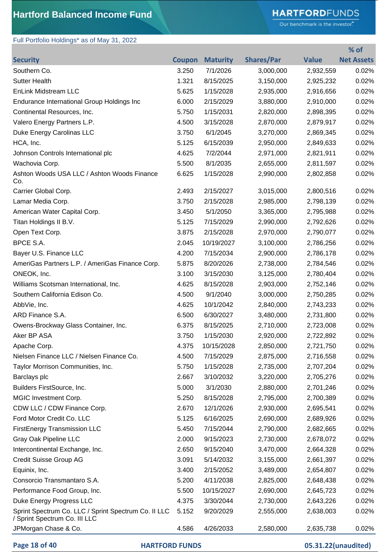# **HARTFORD**FUNDS

Our benchmark is the investor."

**% of** 

### Full Portfolio Holdings\* as of May 31, 2022

| Southern Co.<br>3.250<br>7/1/2026<br>3,000,000<br>2,932,559<br>0.02%<br><b>Sutter Health</b><br>1.321<br>8/15/2025<br>3,150,000<br>0.02%<br>2,925,232<br><b>EnLink Midstream LLC</b><br>5.625<br>1/15/2028<br>2,935,000<br>2,916,656<br>0.02%<br>Endurance International Group Holdings Inc<br>6.000<br>2/15/2029<br>3,880,000<br>2,910,000<br>0.02%<br>Continental Resources, Inc.<br>5.750<br>1/15/2031<br>0.02%<br>2,820,000<br>2,898,395<br>Valero Energy Partners L.P.<br>4.500<br>3/15/2028<br>2,870,000<br>2,879,917<br>0.02%<br>Duke Energy Carolinas LLC<br>3.750<br>6/1/2045<br>3,270,000<br>0.02%<br>2,869,345<br>HCA, Inc.<br>5.125<br>6/15/2039<br>2,950,000<br>0.02%<br>2,849,633<br>4.625<br>7/2/2044<br>0.02%<br>Johnson Controls International plc<br>2,971,000<br>2,821,911<br>5.500<br>8/1/2035<br>2,655,000<br>0.02%<br>Wachovia Corp.<br>2,811,597<br>Ashton Woods USA LLC / Ashton Woods Finance<br>6.625<br>1/15/2028<br>0.02%<br>2,990,000<br>2,802,858<br>Co.<br>2.493<br>2/15/2027<br>0.02%<br>Carrier Global Corp.<br>3,015,000<br>2,800,516<br>Lamar Media Corp.<br>3.750<br>2/15/2028<br>2,985,000<br>0.02%<br>2,798,139<br>American Water Capital Corp.<br>3.450<br>5/1/2050<br>0.02%<br>3,365,000<br>2,795,988<br>Titan Holdings II B.V.<br>5.125<br>7/15/2029<br>0.02%<br>2,990,000<br>2,792,626<br>Open Text Corp.<br>3.875<br>2/15/2028<br>2,970,000<br>0.02%<br>2,790,077<br>BPCE S.A.<br>2.045<br>10/19/2027<br>3,100,000<br>0.02%<br>2,786,256<br>Bayer U.S. Finance LLC<br>4.200<br>7/15/2034<br>0.02%<br>2,900,000<br>2,786,178<br>AmeriGas Partners L.P. / AmeriGas Finance Corp.<br>5.875<br>0.02%<br>8/20/2026<br>2,738,000<br>2,784,546<br>ONEOK, Inc.<br>3.100<br>3/15/2030<br>3,125,000<br>2,780,404<br>0.02%<br>Williams Scotsman International, Inc.<br>4.625<br>8/15/2028<br>0.02%<br>2,903,000<br>2,752,146<br>Southern California Edison Co.<br>4.500<br>9/1/2040<br>0.02%<br>3,000,000<br>2,750,285<br>AbbVie, Inc.<br>4.625<br>10/1/2042<br>2,840,000<br>0.02%<br>2,743,233<br>ARD Finance S.A.<br>6.500<br>6/30/2027<br>3,480,000<br>0.02%<br>2,731,800<br>Owens-Brockway Glass Container, Inc.<br>6.375<br>0.02%<br>8/15/2025<br>2,710,000<br>2,723,008<br>Aker BP ASA<br>3.750<br>1/15/2030<br>2,920,000<br>0.02%<br>2,722,892<br>4.375<br>10/15/2028<br>2,850,000<br>2,721,750<br>0.02%<br>Apache Corp.<br>Nielsen Finance LLC / Nielsen Finance Co.<br>4.500<br>7/15/2029<br>0.02%<br>2,875,000<br>2,716,558<br>Taylor Morrison Communities, Inc.<br>5.750<br>1/15/2028<br>2,735,000<br>2,707,204<br>0.02%<br>3/10/2032<br>3,220,000<br>0.02%<br>Barclays plc<br>2.667<br>2,705,276<br>Builders FirstSource, Inc.<br>5.000<br>3/1/2030<br>2,880,000<br>0.02%<br>2,701,246<br>MGIC Investment Corp.<br>5.250<br>8/15/2028<br>0.02%<br>2,795,000<br>2,700,389<br>CDW LLC / CDW Finance Corp.<br>2.670<br>12/1/2026<br>0.02%<br>2,930,000<br>2,695,541<br>Ford Motor Credit Co. LLC<br>5.125<br>6/16/2025<br>2,690,000<br>0.02%<br>2,689,926<br><b>FirstEnergy Transmission LLC</b><br>7/15/2044<br>0.02%<br>5.450<br>2,790,000<br>2,682,665<br>Gray Oak Pipeline LLC<br>2.000<br>9/15/2023<br>0.02%<br>2,730,000<br>2,678,072<br>Intercontinental Exchange, Inc.<br>2.650<br>9/15/2040<br>3,470,000<br>0.02%<br>2,664,328<br>Credit Suisse Group AG<br>3.091<br>5/14/2032<br>0.02%<br>3,155,000<br>2,661,397<br>Equinix, Inc.<br>3.400<br>2/15/2052<br>0.02%<br>3,489,000<br>2,654,807<br>Consorcio Transmantaro S.A.<br>5.200<br>4/11/2038<br>2,825,000<br>0.02%<br>2,648,438<br>Performance Food Group, Inc.<br>5.500<br>10/15/2027<br>0.02%<br>2,690,000<br>2,645,723<br>Duke Energy Progress LLC<br>4.375<br>3/30/2044<br>0.02%<br>2,730,000<br>2,643,226<br>Sprint Spectrum Co. LLC / Sprint Spectrum Co. II LLC<br>5.152<br>0.02%<br>9/20/2029<br>2,555,000<br>2,638,003<br>/ Sprint Spectrum Co. III LLC<br>JPMorgan Chase & Co.<br>4.586<br>4/26/2033<br>2,580,000<br>2,635,738<br>0.02% | <b>Security</b> | Coupon | <b>Maturity</b> | <b>Shares/Par</b> | <b>Value</b> | <b>Net Assets</b> |
|---------------------------------------------------------------------------------------------------------------------------------------------------------------------------------------------------------------------------------------------------------------------------------------------------------------------------------------------------------------------------------------------------------------------------------------------------------------------------------------------------------------------------------------------------------------------------------------------------------------------------------------------------------------------------------------------------------------------------------------------------------------------------------------------------------------------------------------------------------------------------------------------------------------------------------------------------------------------------------------------------------------------------------------------------------------------------------------------------------------------------------------------------------------------------------------------------------------------------------------------------------------------------------------------------------------------------------------------------------------------------------------------------------------------------------------------------------------------------------------------------------------------------------------------------------------------------------------------------------------------------------------------------------------------------------------------------------------------------------------------------------------------------------------------------------------------------------------------------------------------------------------------------------------------------------------------------------------------------------------------------------------------------------------------------------------------------------------------------------------------------------------------------------------------------------------------------------------------------------------------------------------------------------------------------------------------------------------------------------------------------------------------------------------------------------------------------------------------------------------------------------------------------------------------------------------------------------------------------------------------------------------------------------------------------------------------------------------------------------------------------------------------------------------------------------------------------------------------------------------------------------------------------------------------------------------------------------------------------------------------------------------------------------------------------------------------------------------------------------------------------------------------------------------------------------------------------------------------------------------------------------------------------------------------------------------------------------------------------------------------------------------------------------------------------------------------------------------------------------------------------------------------------------------------------------------------------------------------------------------------------------------------------------------------------------------------------------------------------------------------------------------------------------------------------------------------------------------------------------------------------------------------------------------------------------------------------------|-----------------|--------|-----------------|-------------------|--------------|-------------------|
|                                                                                                                                                                                                                                                                                                                                                                                                                                                                                                                                                                                                                                                                                                                                                                                                                                                                                                                                                                                                                                                                                                                                                                                                                                                                                                                                                                                                                                                                                                                                                                                                                                                                                                                                                                                                                                                                                                                                                                                                                                                                                                                                                                                                                                                                                                                                                                                                                                                                                                                                                                                                                                                                                                                                                                                                                                                                                                                                                                                                                                                                                                                                                                                                                                                                                                                                                                                                                                                                                                                                                                                                                                                                                                                                                                                                                                                                                                                                                         |                 |        |                 |                   |              |                   |
|                                                                                                                                                                                                                                                                                                                                                                                                                                                                                                                                                                                                                                                                                                                                                                                                                                                                                                                                                                                                                                                                                                                                                                                                                                                                                                                                                                                                                                                                                                                                                                                                                                                                                                                                                                                                                                                                                                                                                                                                                                                                                                                                                                                                                                                                                                                                                                                                                                                                                                                                                                                                                                                                                                                                                                                                                                                                                                                                                                                                                                                                                                                                                                                                                                                                                                                                                                                                                                                                                                                                                                                                                                                                                                                                                                                                                                                                                                                                                         |                 |        |                 |                   |              |                   |
|                                                                                                                                                                                                                                                                                                                                                                                                                                                                                                                                                                                                                                                                                                                                                                                                                                                                                                                                                                                                                                                                                                                                                                                                                                                                                                                                                                                                                                                                                                                                                                                                                                                                                                                                                                                                                                                                                                                                                                                                                                                                                                                                                                                                                                                                                                                                                                                                                                                                                                                                                                                                                                                                                                                                                                                                                                                                                                                                                                                                                                                                                                                                                                                                                                                                                                                                                                                                                                                                                                                                                                                                                                                                                                                                                                                                                                                                                                                                                         |                 |        |                 |                   |              |                   |
|                                                                                                                                                                                                                                                                                                                                                                                                                                                                                                                                                                                                                                                                                                                                                                                                                                                                                                                                                                                                                                                                                                                                                                                                                                                                                                                                                                                                                                                                                                                                                                                                                                                                                                                                                                                                                                                                                                                                                                                                                                                                                                                                                                                                                                                                                                                                                                                                                                                                                                                                                                                                                                                                                                                                                                                                                                                                                                                                                                                                                                                                                                                                                                                                                                                                                                                                                                                                                                                                                                                                                                                                                                                                                                                                                                                                                                                                                                                                                         |                 |        |                 |                   |              |                   |
|                                                                                                                                                                                                                                                                                                                                                                                                                                                                                                                                                                                                                                                                                                                                                                                                                                                                                                                                                                                                                                                                                                                                                                                                                                                                                                                                                                                                                                                                                                                                                                                                                                                                                                                                                                                                                                                                                                                                                                                                                                                                                                                                                                                                                                                                                                                                                                                                                                                                                                                                                                                                                                                                                                                                                                                                                                                                                                                                                                                                                                                                                                                                                                                                                                                                                                                                                                                                                                                                                                                                                                                                                                                                                                                                                                                                                                                                                                                                                         |                 |        |                 |                   |              |                   |
|                                                                                                                                                                                                                                                                                                                                                                                                                                                                                                                                                                                                                                                                                                                                                                                                                                                                                                                                                                                                                                                                                                                                                                                                                                                                                                                                                                                                                                                                                                                                                                                                                                                                                                                                                                                                                                                                                                                                                                                                                                                                                                                                                                                                                                                                                                                                                                                                                                                                                                                                                                                                                                                                                                                                                                                                                                                                                                                                                                                                                                                                                                                                                                                                                                                                                                                                                                                                                                                                                                                                                                                                                                                                                                                                                                                                                                                                                                                                                         |                 |        |                 |                   |              |                   |
|                                                                                                                                                                                                                                                                                                                                                                                                                                                                                                                                                                                                                                                                                                                                                                                                                                                                                                                                                                                                                                                                                                                                                                                                                                                                                                                                                                                                                                                                                                                                                                                                                                                                                                                                                                                                                                                                                                                                                                                                                                                                                                                                                                                                                                                                                                                                                                                                                                                                                                                                                                                                                                                                                                                                                                                                                                                                                                                                                                                                                                                                                                                                                                                                                                                                                                                                                                                                                                                                                                                                                                                                                                                                                                                                                                                                                                                                                                                                                         |                 |        |                 |                   |              |                   |
|                                                                                                                                                                                                                                                                                                                                                                                                                                                                                                                                                                                                                                                                                                                                                                                                                                                                                                                                                                                                                                                                                                                                                                                                                                                                                                                                                                                                                                                                                                                                                                                                                                                                                                                                                                                                                                                                                                                                                                                                                                                                                                                                                                                                                                                                                                                                                                                                                                                                                                                                                                                                                                                                                                                                                                                                                                                                                                                                                                                                                                                                                                                                                                                                                                                                                                                                                                                                                                                                                                                                                                                                                                                                                                                                                                                                                                                                                                                                                         |                 |        |                 |                   |              |                   |
|                                                                                                                                                                                                                                                                                                                                                                                                                                                                                                                                                                                                                                                                                                                                                                                                                                                                                                                                                                                                                                                                                                                                                                                                                                                                                                                                                                                                                                                                                                                                                                                                                                                                                                                                                                                                                                                                                                                                                                                                                                                                                                                                                                                                                                                                                                                                                                                                                                                                                                                                                                                                                                                                                                                                                                                                                                                                                                                                                                                                                                                                                                                                                                                                                                                                                                                                                                                                                                                                                                                                                                                                                                                                                                                                                                                                                                                                                                                                                         |                 |        |                 |                   |              |                   |
|                                                                                                                                                                                                                                                                                                                                                                                                                                                                                                                                                                                                                                                                                                                                                                                                                                                                                                                                                                                                                                                                                                                                                                                                                                                                                                                                                                                                                                                                                                                                                                                                                                                                                                                                                                                                                                                                                                                                                                                                                                                                                                                                                                                                                                                                                                                                                                                                                                                                                                                                                                                                                                                                                                                                                                                                                                                                                                                                                                                                                                                                                                                                                                                                                                                                                                                                                                                                                                                                                                                                                                                                                                                                                                                                                                                                                                                                                                                                                         |                 |        |                 |                   |              |                   |
|                                                                                                                                                                                                                                                                                                                                                                                                                                                                                                                                                                                                                                                                                                                                                                                                                                                                                                                                                                                                                                                                                                                                                                                                                                                                                                                                                                                                                                                                                                                                                                                                                                                                                                                                                                                                                                                                                                                                                                                                                                                                                                                                                                                                                                                                                                                                                                                                                                                                                                                                                                                                                                                                                                                                                                                                                                                                                                                                                                                                                                                                                                                                                                                                                                                                                                                                                                                                                                                                                                                                                                                                                                                                                                                                                                                                                                                                                                                                                         |                 |        |                 |                   |              |                   |
|                                                                                                                                                                                                                                                                                                                                                                                                                                                                                                                                                                                                                                                                                                                                                                                                                                                                                                                                                                                                                                                                                                                                                                                                                                                                                                                                                                                                                                                                                                                                                                                                                                                                                                                                                                                                                                                                                                                                                                                                                                                                                                                                                                                                                                                                                                                                                                                                                                                                                                                                                                                                                                                                                                                                                                                                                                                                                                                                                                                                                                                                                                                                                                                                                                                                                                                                                                                                                                                                                                                                                                                                                                                                                                                                                                                                                                                                                                                                                         |                 |        |                 |                   |              |                   |
|                                                                                                                                                                                                                                                                                                                                                                                                                                                                                                                                                                                                                                                                                                                                                                                                                                                                                                                                                                                                                                                                                                                                                                                                                                                                                                                                                                                                                                                                                                                                                                                                                                                                                                                                                                                                                                                                                                                                                                                                                                                                                                                                                                                                                                                                                                                                                                                                                                                                                                                                                                                                                                                                                                                                                                                                                                                                                                                                                                                                                                                                                                                                                                                                                                                                                                                                                                                                                                                                                                                                                                                                                                                                                                                                                                                                                                                                                                                                                         |                 |        |                 |                   |              |                   |
|                                                                                                                                                                                                                                                                                                                                                                                                                                                                                                                                                                                                                                                                                                                                                                                                                                                                                                                                                                                                                                                                                                                                                                                                                                                                                                                                                                                                                                                                                                                                                                                                                                                                                                                                                                                                                                                                                                                                                                                                                                                                                                                                                                                                                                                                                                                                                                                                                                                                                                                                                                                                                                                                                                                                                                                                                                                                                                                                                                                                                                                                                                                                                                                                                                                                                                                                                                                                                                                                                                                                                                                                                                                                                                                                                                                                                                                                                                                                                         |                 |        |                 |                   |              |                   |
|                                                                                                                                                                                                                                                                                                                                                                                                                                                                                                                                                                                                                                                                                                                                                                                                                                                                                                                                                                                                                                                                                                                                                                                                                                                                                                                                                                                                                                                                                                                                                                                                                                                                                                                                                                                                                                                                                                                                                                                                                                                                                                                                                                                                                                                                                                                                                                                                                                                                                                                                                                                                                                                                                                                                                                                                                                                                                                                                                                                                                                                                                                                                                                                                                                                                                                                                                                                                                                                                                                                                                                                                                                                                                                                                                                                                                                                                                                                                                         |                 |        |                 |                   |              |                   |
|                                                                                                                                                                                                                                                                                                                                                                                                                                                                                                                                                                                                                                                                                                                                                                                                                                                                                                                                                                                                                                                                                                                                                                                                                                                                                                                                                                                                                                                                                                                                                                                                                                                                                                                                                                                                                                                                                                                                                                                                                                                                                                                                                                                                                                                                                                                                                                                                                                                                                                                                                                                                                                                                                                                                                                                                                                                                                                                                                                                                                                                                                                                                                                                                                                                                                                                                                                                                                                                                                                                                                                                                                                                                                                                                                                                                                                                                                                                                                         |                 |        |                 |                   |              |                   |
|                                                                                                                                                                                                                                                                                                                                                                                                                                                                                                                                                                                                                                                                                                                                                                                                                                                                                                                                                                                                                                                                                                                                                                                                                                                                                                                                                                                                                                                                                                                                                                                                                                                                                                                                                                                                                                                                                                                                                                                                                                                                                                                                                                                                                                                                                                                                                                                                                                                                                                                                                                                                                                                                                                                                                                                                                                                                                                                                                                                                                                                                                                                                                                                                                                                                                                                                                                                                                                                                                                                                                                                                                                                                                                                                                                                                                                                                                                                                                         |                 |        |                 |                   |              |                   |
|                                                                                                                                                                                                                                                                                                                                                                                                                                                                                                                                                                                                                                                                                                                                                                                                                                                                                                                                                                                                                                                                                                                                                                                                                                                                                                                                                                                                                                                                                                                                                                                                                                                                                                                                                                                                                                                                                                                                                                                                                                                                                                                                                                                                                                                                                                                                                                                                                                                                                                                                                                                                                                                                                                                                                                                                                                                                                                                                                                                                                                                                                                                                                                                                                                                                                                                                                                                                                                                                                                                                                                                                                                                                                                                                                                                                                                                                                                                                                         |                 |        |                 |                   |              |                   |
|                                                                                                                                                                                                                                                                                                                                                                                                                                                                                                                                                                                                                                                                                                                                                                                                                                                                                                                                                                                                                                                                                                                                                                                                                                                                                                                                                                                                                                                                                                                                                                                                                                                                                                                                                                                                                                                                                                                                                                                                                                                                                                                                                                                                                                                                                                                                                                                                                                                                                                                                                                                                                                                                                                                                                                                                                                                                                                                                                                                                                                                                                                                                                                                                                                                                                                                                                                                                                                                                                                                                                                                                                                                                                                                                                                                                                                                                                                                                                         |                 |        |                 |                   |              |                   |
|                                                                                                                                                                                                                                                                                                                                                                                                                                                                                                                                                                                                                                                                                                                                                                                                                                                                                                                                                                                                                                                                                                                                                                                                                                                                                                                                                                                                                                                                                                                                                                                                                                                                                                                                                                                                                                                                                                                                                                                                                                                                                                                                                                                                                                                                                                                                                                                                                                                                                                                                                                                                                                                                                                                                                                                                                                                                                                                                                                                                                                                                                                                                                                                                                                                                                                                                                                                                                                                                                                                                                                                                                                                                                                                                                                                                                                                                                                                                                         |                 |        |                 |                   |              |                   |
|                                                                                                                                                                                                                                                                                                                                                                                                                                                                                                                                                                                                                                                                                                                                                                                                                                                                                                                                                                                                                                                                                                                                                                                                                                                                                                                                                                                                                                                                                                                                                                                                                                                                                                                                                                                                                                                                                                                                                                                                                                                                                                                                                                                                                                                                                                                                                                                                                                                                                                                                                                                                                                                                                                                                                                                                                                                                                                                                                                                                                                                                                                                                                                                                                                                                                                                                                                                                                                                                                                                                                                                                                                                                                                                                                                                                                                                                                                                                                         |                 |        |                 |                   |              |                   |
|                                                                                                                                                                                                                                                                                                                                                                                                                                                                                                                                                                                                                                                                                                                                                                                                                                                                                                                                                                                                                                                                                                                                                                                                                                                                                                                                                                                                                                                                                                                                                                                                                                                                                                                                                                                                                                                                                                                                                                                                                                                                                                                                                                                                                                                                                                                                                                                                                                                                                                                                                                                                                                                                                                                                                                                                                                                                                                                                                                                                                                                                                                                                                                                                                                                                                                                                                                                                                                                                                                                                                                                                                                                                                                                                                                                                                                                                                                                                                         |                 |        |                 |                   |              |                   |
|                                                                                                                                                                                                                                                                                                                                                                                                                                                                                                                                                                                                                                                                                                                                                                                                                                                                                                                                                                                                                                                                                                                                                                                                                                                                                                                                                                                                                                                                                                                                                                                                                                                                                                                                                                                                                                                                                                                                                                                                                                                                                                                                                                                                                                                                                                                                                                                                                                                                                                                                                                                                                                                                                                                                                                                                                                                                                                                                                                                                                                                                                                                                                                                                                                                                                                                                                                                                                                                                                                                                                                                                                                                                                                                                                                                                                                                                                                                                                         |                 |        |                 |                   |              |                   |
|                                                                                                                                                                                                                                                                                                                                                                                                                                                                                                                                                                                                                                                                                                                                                                                                                                                                                                                                                                                                                                                                                                                                                                                                                                                                                                                                                                                                                                                                                                                                                                                                                                                                                                                                                                                                                                                                                                                                                                                                                                                                                                                                                                                                                                                                                                                                                                                                                                                                                                                                                                                                                                                                                                                                                                                                                                                                                                                                                                                                                                                                                                                                                                                                                                                                                                                                                                                                                                                                                                                                                                                                                                                                                                                                                                                                                                                                                                                                                         |                 |        |                 |                   |              |                   |
|                                                                                                                                                                                                                                                                                                                                                                                                                                                                                                                                                                                                                                                                                                                                                                                                                                                                                                                                                                                                                                                                                                                                                                                                                                                                                                                                                                                                                                                                                                                                                                                                                                                                                                                                                                                                                                                                                                                                                                                                                                                                                                                                                                                                                                                                                                                                                                                                                                                                                                                                                                                                                                                                                                                                                                                                                                                                                                                                                                                                                                                                                                                                                                                                                                                                                                                                                                                                                                                                                                                                                                                                                                                                                                                                                                                                                                                                                                                                                         |                 |        |                 |                   |              |                   |
|                                                                                                                                                                                                                                                                                                                                                                                                                                                                                                                                                                                                                                                                                                                                                                                                                                                                                                                                                                                                                                                                                                                                                                                                                                                                                                                                                                                                                                                                                                                                                                                                                                                                                                                                                                                                                                                                                                                                                                                                                                                                                                                                                                                                                                                                                                                                                                                                                                                                                                                                                                                                                                                                                                                                                                                                                                                                                                                                                                                                                                                                                                                                                                                                                                                                                                                                                                                                                                                                                                                                                                                                                                                                                                                                                                                                                                                                                                                                                         |                 |        |                 |                   |              |                   |
|                                                                                                                                                                                                                                                                                                                                                                                                                                                                                                                                                                                                                                                                                                                                                                                                                                                                                                                                                                                                                                                                                                                                                                                                                                                                                                                                                                                                                                                                                                                                                                                                                                                                                                                                                                                                                                                                                                                                                                                                                                                                                                                                                                                                                                                                                                                                                                                                                                                                                                                                                                                                                                                                                                                                                                                                                                                                                                                                                                                                                                                                                                                                                                                                                                                                                                                                                                                                                                                                                                                                                                                                                                                                                                                                                                                                                                                                                                                                                         |                 |        |                 |                   |              |                   |
|                                                                                                                                                                                                                                                                                                                                                                                                                                                                                                                                                                                                                                                                                                                                                                                                                                                                                                                                                                                                                                                                                                                                                                                                                                                                                                                                                                                                                                                                                                                                                                                                                                                                                                                                                                                                                                                                                                                                                                                                                                                                                                                                                                                                                                                                                                                                                                                                                                                                                                                                                                                                                                                                                                                                                                                                                                                                                                                                                                                                                                                                                                                                                                                                                                                                                                                                                                                                                                                                                                                                                                                                                                                                                                                                                                                                                                                                                                                                                         |                 |        |                 |                   |              |                   |
|                                                                                                                                                                                                                                                                                                                                                                                                                                                                                                                                                                                                                                                                                                                                                                                                                                                                                                                                                                                                                                                                                                                                                                                                                                                                                                                                                                                                                                                                                                                                                                                                                                                                                                                                                                                                                                                                                                                                                                                                                                                                                                                                                                                                                                                                                                                                                                                                                                                                                                                                                                                                                                                                                                                                                                                                                                                                                                                                                                                                                                                                                                                                                                                                                                                                                                                                                                                                                                                                                                                                                                                                                                                                                                                                                                                                                                                                                                                                                         |                 |        |                 |                   |              |                   |
|                                                                                                                                                                                                                                                                                                                                                                                                                                                                                                                                                                                                                                                                                                                                                                                                                                                                                                                                                                                                                                                                                                                                                                                                                                                                                                                                                                                                                                                                                                                                                                                                                                                                                                                                                                                                                                                                                                                                                                                                                                                                                                                                                                                                                                                                                                                                                                                                                                                                                                                                                                                                                                                                                                                                                                                                                                                                                                                                                                                                                                                                                                                                                                                                                                                                                                                                                                                                                                                                                                                                                                                                                                                                                                                                                                                                                                                                                                                                                         |                 |        |                 |                   |              |                   |
|                                                                                                                                                                                                                                                                                                                                                                                                                                                                                                                                                                                                                                                                                                                                                                                                                                                                                                                                                                                                                                                                                                                                                                                                                                                                                                                                                                                                                                                                                                                                                                                                                                                                                                                                                                                                                                                                                                                                                                                                                                                                                                                                                                                                                                                                                                                                                                                                                                                                                                                                                                                                                                                                                                                                                                                                                                                                                                                                                                                                                                                                                                                                                                                                                                                                                                                                                                                                                                                                                                                                                                                                                                                                                                                                                                                                                                                                                                                                                         |                 |        |                 |                   |              |                   |
|                                                                                                                                                                                                                                                                                                                                                                                                                                                                                                                                                                                                                                                                                                                                                                                                                                                                                                                                                                                                                                                                                                                                                                                                                                                                                                                                                                                                                                                                                                                                                                                                                                                                                                                                                                                                                                                                                                                                                                                                                                                                                                                                                                                                                                                                                                                                                                                                                                                                                                                                                                                                                                                                                                                                                                                                                                                                                                                                                                                                                                                                                                                                                                                                                                                                                                                                                                                                                                                                                                                                                                                                                                                                                                                                                                                                                                                                                                                                                         |                 |        |                 |                   |              |                   |
|                                                                                                                                                                                                                                                                                                                                                                                                                                                                                                                                                                                                                                                                                                                                                                                                                                                                                                                                                                                                                                                                                                                                                                                                                                                                                                                                                                                                                                                                                                                                                                                                                                                                                                                                                                                                                                                                                                                                                                                                                                                                                                                                                                                                                                                                                                                                                                                                                                                                                                                                                                                                                                                                                                                                                                                                                                                                                                                                                                                                                                                                                                                                                                                                                                                                                                                                                                                                                                                                                                                                                                                                                                                                                                                                                                                                                                                                                                                                                         |                 |        |                 |                   |              |                   |
|                                                                                                                                                                                                                                                                                                                                                                                                                                                                                                                                                                                                                                                                                                                                                                                                                                                                                                                                                                                                                                                                                                                                                                                                                                                                                                                                                                                                                                                                                                                                                                                                                                                                                                                                                                                                                                                                                                                                                                                                                                                                                                                                                                                                                                                                                                                                                                                                                                                                                                                                                                                                                                                                                                                                                                                                                                                                                                                                                                                                                                                                                                                                                                                                                                                                                                                                                                                                                                                                                                                                                                                                                                                                                                                                                                                                                                                                                                                                                         |                 |        |                 |                   |              |                   |
|                                                                                                                                                                                                                                                                                                                                                                                                                                                                                                                                                                                                                                                                                                                                                                                                                                                                                                                                                                                                                                                                                                                                                                                                                                                                                                                                                                                                                                                                                                                                                                                                                                                                                                                                                                                                                                                                                                                                                                                                                                                                                                                                                                                                                                                                                                                                                                                                                                                                                                                                                                                                                                                                                                                                                                                                                                                                                                                                                                                                                                                                                                                                                                                                                                                                                                                                                                                                                                                                                                                                                                                                                                                                                                                                                                                                                                                                                                                                                         |                 |        |                 |                   |              |                   |
|                                                                                                                                                                                                                                                                                                                                                                                                                                                                                                                                                                                                                                                                                                                                                                                                                                                                                                                                                                                                                                                                                                                                                                                                                                                                                                                                                                                                                                                                                                                                                                                                                                                                                                                                                                                                                                                                                                                                                                                                                                                                                                                                                                                                                                                                                                                                                                                                                                                                                                                                                                                                                                                                                                                                                                                                                                                                                                                                                                                                                                                                                                                                                                                                                                                                                                                                                                                                                                                                                                                                                                                                                                                                                                                                                                                                                                                                                                                                                         |                 |        |                 |                   |              |                   |
|                                                                                                                                                                                                                                                                                                                                                                                                                                                                                                                                                                                                                                                                                                                                                                                                                                                                                                                                                                                                                                                                                                                                                                                                                                                                                                                                                                                                                                                                                                                                                                                                                                                                                                                                                                                                                                                                                                                                                                                                                                                                                                                                                                                                                                                                                                                                                                                                                                                                                                                                                                                                                                                                                                                                                                                                                                                                                                                                                                                                                                                                                                                                                                                                                                                                                                                                                                                                                                                                                                                                                                                                                                                                                                                                                                                                                                                                                                                                                         |                 |        |                 |                   |              |                   |
|                                                                                                                                                                                                                                                                                                                                                                                                                                                                                                                                                                                                                                                                                                                                                                                                                                                                                                                                                                                                                                                                                                                                                                                                                                                                                                                                                                                                                                                                                                                                                                                                                                                                                                                                                                                                                                                                                                                                                                                                                                                                                                                                                                                                                                                                                                                                                                                                                                                                                                                                                                                                                                                                                                                                                                                                                                                                                                                                                                                                                                                                                                                                                                                                                                                                                                                                                                                                                                                                                                                                                                                                                                                                                                                                                                                                                                                                                                                                                         |                 |        |                 |                   |              |                   |
|                                                                                                                                                                                                                                                                                                                                                                                                                                                                                                                                                                                                                                                                                                                                                                                                                                                                                                                                                                                                                                                                                                                                                                                                                                                                                                                                                                                                                                                                                                                                                                                                                                                                                                                                                                                                                                                                                                                                                                                                                                                                                                                                                                                                                                                                                                                                                                                                                                                                                                                                                                                                                                                                                                                                                                                                                                                                                                                                                                                                                                                                                                                                                                                                                                                                                                                                                                                                                                                                                                                                                                                                                                                                                                                                                                                                                                                                                                                                                         |                 |        |                 |                   |              |                   |
|                                                                                                                                                                                                                                                                                                                                                                                                                                                                                                                                                                                                                                                                                                                                                                                                                                                                                                                                                                                                                                                                                                                                                                                                                                                                                                                                                                                                                                                                                                                                                                                                                                                                                                                                                                                                                                                                                                                                                                                                                                                                                                                                                                                                                                                                                                                                                                                                                                                                                                                                                                                                                                                                                                                                                                                                                                                                                                                                                                                                                                                                                                                                                                                                                                                                                                                                                                                                                                                                                                                                                                                                                                                                                                                                                                                                                                                                                                                                                         |                 |        |                 |                   |              |                   |
|                                                                                                                                                                                                                                                                                                                                                                                                                                                                                                                                                                                                                                                                                                                                                                                                                                                                                                                                                                                                                                                                                                                                                                                                                                                                                                                                                                                                                                                                                                                                                                                                                                                                                                                                                                                                                                                                                                                                                                                                                                                                                                                                                                                                                                                                                                                                                                                                                                                                                                                                                                                                                                                                                                                                                                                                                                                                                                                                                                                                                                                                                                                                                                                                                                                                                                                                                                                                                                                                                                                                                                                                                                                                                                                                                                                                                                                                                                                                                         |                 |        |                 |                   |              |                   |
|                                                                                                                                                                                                                                                                                                                                                                                                                                                                                                                                                                                                                                                                                                                                                                                                                                                                                                                                                                                                                                                                                                                                                                                                                                                                                                                                                                                                                                                                                                                                                                                                                                                                                                                                                                                                                                                                                                                                                                                                                                                                                                                                                                                                                                                                                                                                                                                                                                                                                                                                                                                                                                                                                                                                                                                                                                                                                                                                                                                                                                                                                                                                                                                                                                                                                                                                                                                                                                                                                                                                                                                                                                                                                                                                                                                                                                                                                                                                                         |                 |        |                 |                   |              |                   |
|                                                                                                                                                                                                                                                                                                                                                                                                                                                                                                                                                                                                                                                                                                                                                                                                                                                                                                                                                                                                                                                                                                                                                                                                                                                                                                                                                                                                                                                                                                                                                                                                                                                                                                                                                                                                                                                                                                                                                                                                                                                                                                                                                                                                                                                                                                                                                                                                                                                                                                                                                                                                                                                                                                                                                                                                                                                                                                                                                                                                                                                                                                                                                                                                                                                                                                                                                                                                                                                                                                                                                                                                                                                                                                                                                                                                                                                                                                                                                         |                 |        |                 |                   |              |                   |
|                                                                                                                                                                                                                                                                                                                                                                                                                                                                                                                                                                                                                                                                                                                                                                                                                                                                                                                                                                                                                                                                                                                                                                                                                                                                                                                                                                                                                                                                                                                                                                                                                                                                                                                                                                                                                                                                                                                                                                                                                                                                                                                                                                                                                                                                                                                                                                                                                                                                                                                                                                                                                                                                                                                                                                                                                                                                                                                                                                                                                                                                                                                                                                                                                                                                                                                                                                                                                                                                                                                                                                                                                                                                                                                                                                                                                                                                                                                                                         |                 |        |                 |                   |              |                   |

**Page 18 of 40 HARTFORD FUNDS 05.31.22(unaudited)**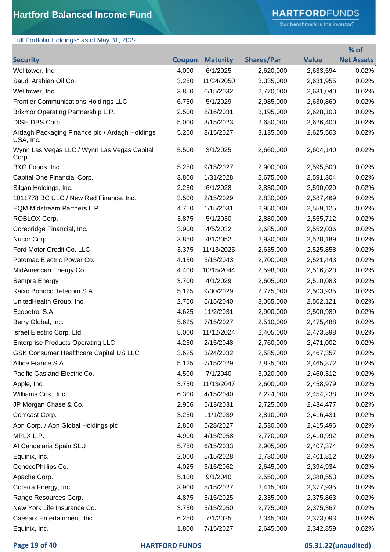# **HARTFORD**FUNDS

Our benchmark is the investor."

**% of** 

# Full Portfolio Holdings\* as of May 31, 2022

| <b>Security</b>                                             | <b>Coupon</b> | <b>Maturity</b> | <b>Shares/Par</b> | <b>Value</b> | <b>Net Assets</b> |
|-------------------------------------------------------------|---------------|-----------------|-------------------|--------------|-------------------|
| Welltower, Inc.                                             | 4.000         | 6/1/2025        | 2,620,000         | 2,633,594    | 0.02%             |
| Saudi Arabian Oil Co.                                       | 3.250         | 11/24/2050      | 3,335,000         | 2,631,955    | 0.02%             |
| Welltower, Inc.                                             | 3.850         | 6/15/2032       | 2,770,000         | 2,631,040    | 0.02%             |
| <b>Frontier Communications Holdings LLC</b>                 | 6.750         | 5/1/2029        | 2,985,000         | 2,630,860    | 0.02%             |
| Brixmor Operating Partnership L.P.                          | 2.500         | 8/16/2031       | 3,195,000         | 2,628,103    | 0.02%             |
| DISH DBS Corp.                                              | 5.000         | 3/15/2023       | 2,680,000         | 2,626,400    | 0.02%             |
| Ardagh Packaging Finance plc / Ardagh Holdings<br>USA, Inc. | 5.250         | 8/15/2027       | 3,135,000         | 2,625,563    | 0.02%             |
| Wynn Las Vegas LLC / Wynn Las Vegas Capital<br>Corp.        | 5.500         | 3/1/2025        | 2,660,000         | 2,604,140    | 0.02%             |
| B&G Foods, Inc.                                             | 5.250         | 9/15/2027       | 2,900,000         | 2,595,500    | 0.02%             |
| Capital One Financial Corp.                                 | 3.800         | 1/31/2028       | 2,675,000         | 2,591,304    | 0.02%             |
| Silgan Holdings, Inc.                                       | 2.250         | 6/1/2028        | 2,830,000         | 2,590,020    | 0.02%             |
| 1011778 BC ULC / New Red Finance, Inc.                      | 3.500         | 2/15/2029       | 2,830,000         | 2,587,469    | 0.02%             |
| EQM Midstream Partners L.P.                                 | 4.750         | 1/15/2031       | 2,950,000         | 2,559,125    | 0.02%             |
| ROBLOX Corp.                                                | 3.875         | 5/1/2030        | 2,880,000         | 2,555,712    | 0.02%             |
| Corebridge Financial, Inc.                                  | 3.900         | 4/5/2032        | 2,685,000         | 2,552,036    | 0.02%             |
| Nucor Corp.                                                 | 3.850         | 4/1/2052        | 2,930,000         | 2,528,189    | 0.02%             |
| Ford Motor Credit Co. LLC                                   | 3.375         | 11/13/2025      | 2,635,000         | 2,525,858    | 0.02%             |
| Potomac Electric Power Co.                                  | 4.150         | 3/15/2043       | 2,700,000         | 2,521,443    | 0.02%             |
| MidAmerican Energy Co.                                      | 4.400         | 10/15/2044      | 2,598,000         | 2,516,820    | 0.02%             |
| Sempra Energy                                               | 3.700         | 4/1/2029        | 2,605,000         | 2,510,083    | 0.02%             |
| Kaixo Bondco Telecom S.A.                                   | 5.125         | 9/30/2029       | 2,775,000         | 2,503,935    | 0.02%             |
| UnitedHealth Group, Inc.                                    | 2.750         | 5/15/2040       | 3,065,000         | 2,502,121    | 0.02%             |
| Ecopetrol S.A.                                              | 4.625         | 11/2/2031       | 2,900,000         | 2,500,989    | 0.02%             |
| Berry Global, Inc.                                          | 5.625         | 7/15/2027       | 2,510,000         | 2,475,488    | 0.02%             |
| Israel Electric Corp. Ltd.                                  | 5.000         | 11/12/2024      | 2,405,000         | 2,473,398    | 0.02%             |
| <b>Enterprise Products Operating LLC</b>                    | 4.250         | 2/15/2048       | 2,760,000         | 2,471,002    | 0.02%             |
| <b>GSK Consumer Healthcare Capital US LLC</b>               | 3.625         | 3/24/2032       | 2,585,000         | 2,467,357    | $0.02\%$          |
| Altice France S.A.                                          | 5.125         | 7/15/2029       | 2,825,000         | 2,465,872    | 0.02%             |
| Pacific Gas and Electric Co.                                | 4.500         | 7/1/2040        | 3,020,000         | 2,460,312    | 0.02%             |
| Apple, Inc.                                                 | 3.750         | 11/13/2047      | 2,600,000         | 2,458,979    | 0.02%             |
| Williams Cos., Inc.                                         | 6.300         | 4/15/2040       | 2,224,000         | 2,454,238    | 0.02%             |
| JP Morgan Chase & Co.                                       | 2.956         | 5/13/2031       | 2,725,000         | 2,434,477    | 0.02%             |
| Comcast Corp.                                               | 3.250         | 11/1/2039       | 2,810,000         | 2,416,431    | 0.02%             |
| Aon Corp. / Aon Global Holdings plc                         | 2.850         | 5/28/2027       | 2,530,000         | 2,415,496    | 0.02%             |
| MPLX L.P.                                                   | 4.900         | 4/15/2058       | 2,770,000         | 2,410,992    | 0.02%             |
| Al Candelaria Spain SLU                                     | 5.750         | 6/15/2033       | 2,905,000         | 2,407,374    | 0.02%             |
| Equinix, Inc.                                               | 2.000         | 5/15/2028       | 2,730,000         | 2,401,812    | 0.02%             |
| ConocoPhillips Co.                                          | 4.025         | 3/15/2062       | 2,645,000         | 2,394,934    | 0.02%             |
| Apache Corp.                                                | 5.100         | 9/1/2040        | 2,550,000         | 2,380,553    | 0.02%             |
| Coterra Energy, Inc.                                        | 3.900         | 5/15/2027       | 2,415,000         | 2,377,935    | 0.02%             |
| Range Resources Corp.                                       | 4.875         | 5/15/2025       | 2,335,000         | 2,375,863    | 0.02%             |
| New York Life Insurance Co.                                 | 3.750         | 5/15/2050       | 2,775,000         | 2,375,367    | 0.02%             |
| Caesars Entertainment, Inc.                                 | 6.250         | 7/1/2025        | 2,345,000         | 2,373,093    | 0.02%             |
| Equinix, Inc.                                               | 1.800         | 7/15/2027       | 2,645,000         | 2,342,859    | 0.02%             |

#### **Page 19 of 40 HARTFORD FUNDS 05.31.22(unaudited)**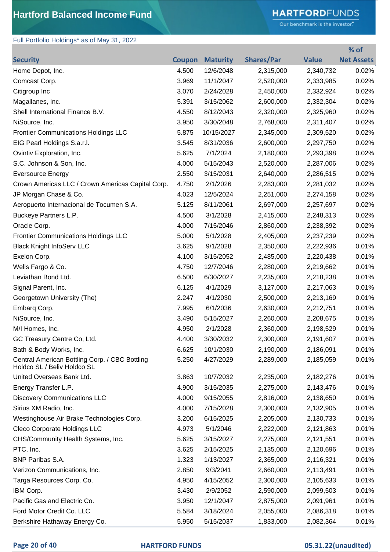# **HARTFORD**FUNDS

Our benchmark is the investor."

**% of** 

## Full Portfolio Holdings\* as of May 31, 2022

| <b>Security</b>                                                               | Coupon | <b>Maturity</b> | <b>Shares/Par</b> | <b>Value</b> | <b>Net Assets</b> |
|-------------------------------------------------------------------------------|--------|-----------------|-------------------|--------------|-------------------|
| Home Depot, Inc.                                                              | 4.500  | 12/6/2048       | 2,315,000         | 2,340,732    | 0.02%             |
| Comcast Corp.                                                                 | 3.969  | 11/1/2047       | 2,520,000         | 2,333,985    | 0.02%             |
| Citigroup Inc                                                                 | 3.070  | 2/24/2028       | 2,450,000         | 2,332,924    | 0.02%             |
| Magallanes, Inc.                                                              | 5.391  | 3/15/2062       | 2,600,000         | 2,332,304    | 0.02%             |
| Shell International Finance B.V.                                              | 4.550  | 8/12/2043       | 2,320,000         | 2,325,960    | 0.02%             |
| NiSource, Inc.                                                                | 3.950  | 3/30/2048       | 2,768,000         | 2,311,407    | 0.02%             |
| <b>Frontier Communications Holdings LLC</b>                                   | 5.875  | 10/15/2027      | 2,345,000         | 2,309,520    | 0.02%             |
| EIG Pearl Holdings S.a.r.l.                                                   | 3.545  | 8/31/2036       | 2,600,000         | 2,297,750    | 0.02%             |
| Ovintiv Exploration, Inc.                                                     | 5.625  | 7/1/2024        | 2,180,000         | 2,293,398    | 0.02%             |
| S.C. Johnson & Son, Inc.                                                      | 4.000  | 5/15/2043       | 2,520,000         | 2,287,006    | 0.02%             |
| <b>Eversource Energy</b>                                                      | 2.550  | 3/15/2031       | 2,640,000         | 2,286,515    | 0.02%             |
| Crown Americas LLC / Crown Americas Capital Corp.                             | 4.750  | 2/1/2026        | 2,283,000         | 2,281,032    | 0.02%             |
| JP Morgan Chase & Co.                                                         | 4.023  | 12/5/2024       | 2,251,000         | 2,274,158    | 0.02%             |
| Aeropuerto Internacional de Tocumen S.A.                                      | 5.125  | 8/11/2061       | 2,697,000         | 2,257,697    | 0.02%             |
| Buckeye Partners L.P.                                                         | 4.500  | 3/1/2028        | 2,415,000         | 2,248,313    | 0.02%             |
| Oracle Corp.                                                                  | 4.000  | 7/15/2046       | 2,860,000         | 2,238,392    | 0.02%             |
| <b>Frontier Communications Holdings LLC</b>                                   | 5.000  | 5/1/2028        | 2,405,000         | 2,237,239    | 0.02%             |
| <b>Black Knight InfoServ LLC</b>                                              | 3.625  | 9/1/2028        | 2,350,000         | 2,222,936    | 0.01%             |
| Exelon Corp.                                                                  | 4.100  | 3/15/2052       | 2,485,000         | 2,220,438    | 0.01%             |
| Wells Fargo & Co.                                                             | 4.750  | 12/7/2046       | 2,280,000         | 2,219,662    | 0.01%             |
| Leviathan Bond Ltd.                                                           | 6.500  | 6/30/2027       | 2,235,000         | 2,218,238    | 0.01%             |
| Signal Parent, Inc.                                                           | 6.125  | 4/1/2029        | 3,127,000         | 2,217,063    | 0.01%             |
| Georgetown University (The)                                                   | 2.247  | 4/1/2030        | 2,500,000         | 2,213,169    | 0.01%             |
| Embarg Corp.                                                                  | 7.995  | 6/1/2036        | 2,630,000         | 2,212,751    | 0.01%             |
| NiSource, Inc.                                                                | 3.490  | 5/15/2027       | 2,260,000         | 2,208,675    | 0.01%             |
| M/I Homes, Inc.                                                               | 4.950  | 2/1/2028        | 2,360,000         | 2,198,529    | 0.01%             |
| GC Treasury Centre Co, Ltd.                                                   | 4.400  | 3/30/2032       | 2,300,000         | 2,191,607    | 0.01%             |
| Bath & Body Works, Inc.                                                       | 6.625  | 10/1/2030       | 2,190,000         | 2,186,091    | 0.01%             |
| Central American Bottling Corp. / CBC Bottling<br>Holdco SL / Beliv Holdco SL | 5.250  | 4/27/2029       | 2,289,000         | 2,185,059    | 0.01%             |
| United Overseas Bank Ltd.                                                     | 3.863  | 10/7/2032       | 2,235,000         | 2,182,276    | 0.01%             |
| Energy Transfer L.P.                                                          | 4.900  | 3/15/2035       | 2,275,000         | 2,143,476    | 0.01%             |
| <b>Discovery Communications LLC</b>                                           | 4.000  | 9/15/2055       | 2,816,000         | 2,138,650    | 0.01%             |
| Sirius XM Radio, Inc.                                                         | 4.000  | 7/15/2028       | 2,300,000         | 2,132,905    | 0.01%             |
| Westinghouse Air Brake Technologies Corp.                                     | 3.200  | 6/15/2025       | 2,205,000         | 2,130,733    | 0.01%             |
| Cleco Corporate Holdings LLC                                                  | 4.973  | 5/1/2046        | 2,222,000         | 2,121,863    | 0.01%             |
| CHS/Community Health Systems, Inc.                                            | 5.625  | 3/15/2027       | 2,275,000         | 2,121,551    | 0.01%             |
| PTC, Inc.                                                                     | 3.625  | 2/15/2025       | 2,135,000         | 2,120,696    | 0.01%             |
| <b>BNP Paribas S.A.</b>                                                       | 1.323  | 1/13/2027       | 2,365,000         | 2,116,321    | 0.01%             |
| Verizon Communications, Inc.                                                  | 2.850  | 9/3/2041        | 2,660,000         | 2,113,491    | 0.01%             |
| Targa Resources Corp. Co.                                                     | 4.950  | 4/15/2052       | 2,300,000         | 2,105,633    | 0.01%             |
| IBM Corp.                                                                     | 3.430  | 2/9/2052        | 2,590,000         | 2,099,503    | 0.01%             |
| Pacific Gas and Electric Co.                                                  | 3.950  | 12/1/2047       | 2,875,000         | 2,091,961    | 0.01%             |
| Ford Motor Credit Co. LLC                                                     | 5.584  | 3/18/2024       | 2,055,000         | 2,086,318    | 0.01%             |
| Berkshire Hathaway Energy Co.                                                 | 5.950  | 5/15/2037       | 1,833,000         | 2,082,364    | 0.01%             |

### **Page 20 of 40 HARTFORD FUNDS 05.31.22(unaudited)**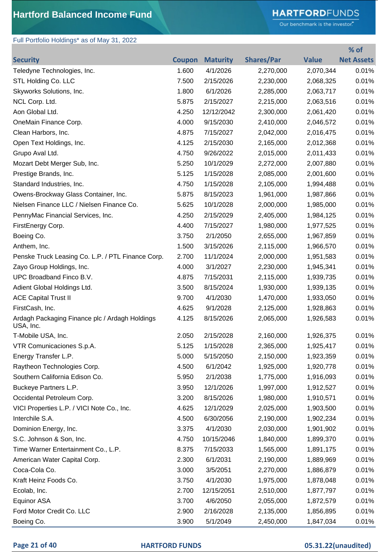# **HARTFORD**FUNDS

Our benchmark is the investor."

**% of** 

## Full Portfolio Holdings\* as of May 31, 2022

| <b>Security</b>                                             |       | <b>Coupon Maturity</b> | <b>Shares/Par</b> | <b>Value</b> | <b>Net Assets</b> |
|-------------------------------------------------------------|-------|------------------------|-------------------|--------------|-------------------|
| Teledyne Technologies, Inc.                                 | 1.600 | 4/1/2026               | 2,270,000         | 2,070,344    | 0.01%             |
| STL Holding Co. LLC                                         | 7.500 | 2/15/2026              | 2,230,000         | 2,068,325    | 0.01%             |
| Skyworks Solutions, Inc.                                    | 1.800 | 6/1/2026               | 2,285,000         | 2,063,717    | 0.01%             |
| NCL Corp. Ltd.                                              | 5.875 | 2/15/2027              | 2,215,000         | 2,063,516    | 0.01%             |
| Aon Global Ltd.                                             | 4.250 | 12/12/2042             | 2,300,000         | 2,061,420    | 0.01%             |
| OneMain Finance Corp.                                       | 4.000 | 9/15/2030              | 2,410,000         | 2,046,572    | 0.01%             |
| Clean Harbors, Inc.                                         | 4.875 | 7/15/2027              | 2,042,000         | 2,016,475    | 0.01%             |
| Open Text Holdings, Inc.                                    | 4.125 | 2/15/2030              | 2,165,000         | 2,012,368    | 0.01%             |
| Grupo Aval Ltd.                                             | 4.750 | 9/26/2022              | 2,015,000         | 2,011,433    | 0.01%             |
| Mozart Debt Merger Sub, Inc.                                | 5.250 | 10/1/2029              | 2,272,000         | 2,007,880    | 0.01%             |
| Prestige Brands, Inc.                                       | 5.125 | 1/15/2028              | 2,085,000         | 2,001,600    | 0.01%             |
| Standard Industries, Inc.                                   | 4.750 | 1/15/2028              | 2,105,000         | 1,994,488    | 0.01%             |
| Owens-Brockway Glass Container, Inc.                        | 5.875 | 8/15/2023              | 1,961,000         | 1,987,866    | 0.01%             |
| Nielsen Finance LLC / Nielsen Finance Co.                   | 5.625 | 10/1/2028              | 2,000,000         | 1,985,000    | 0.01%             |
| PennyMac Financial Services, Inc.                           | 4.250 | 2/15/2029              | 2,405,000         | 1,984,125    | 0.01%             |
| FirstEnergy Corp.                                           | 4.400 | 7/15/2027              | 1,980,000         | 1,977,525    | 0.01%             |
| Boeing Co.                                                  | 3.750 | 2/1/2050               | 2,655,000         | 1,967,859    | 0.01%             |
| Anthem, Inc.                                                | 1.500 | 3/15/2026              | 2,115,000         | 1,966,570    | 0.01%             |
| Penske Truck Leasing Co. L.P. / PTL Finance Corp.           | 2.700 | 11/1/2024              | 2,000,000         | 1,951,583    | 0.01%             |
| Zayo Group Holdings, Inc.                                   | 4.000 | 3/1/2027               | 2,230,000         | 1,945,341    | 0.01%             |
| UPC Broadband Finco B.V.                                    | 4.875 | 7/15/2031              | 2,115,000         | 1,939,735    | 0.01%             |
| Adient Global Holdings Ltd.                                 | 3.500 | 8/15/2024              | 1,930,000         | 1,939,135    | 0.01%             |
| <b>ACE Capital Trust II</b>                                 | 9.700 | 4/1/2030               | 1,470,000         | 1,933,050    | 0.01%             |
| FirstCash, Inc.                                             | 4.625 | 9/1/2028               | 2,125,000         | 1,928,863    | 0.01%             |
| Ardagh Packaging Finance plc / Ardagh Holdings<br>USA, Inc. | 4.125 | 8/15/2026              | 2,065,000         | 1,926,583    | 0.01%             |
| T-Mobile USA, Inc.                                          | 2.050 | 2/15/2028              | 2,160,000         | 1,926,375    | 0.01%             |
| VTR Comunicaciones S.p.A.                                   | 5.125 | 1/15/2028              | 2,365,000         | 1,925,417    | 0.01%             |
| Energy Transfer L.P.                                        | 5.000 | 5/15/2050              | 2,150,000         | 1,923,359    | 0.01%             |
| Raytheon Technologies Corp.                                 | 4.500 | 6/1/2042               | 1,925,000         | 1,920,778    | 0.01%             |
| Southern California Edison Co.                              | 5.950 | 2/1/2038               | 1,775,000         | 1,916,093    | 0.01%             |
| Buckeye Partners L.P.                                       | 3.950 | 12/1/2026              | 1,997,000         | 1,912,527    | 0.01%             |
| Occidental Petroleum Corp.                                  | 3.200 | 8/15/2026              | 1,980,000         | 1,910,571    | 0.01%             |
| VICI Properties L.P. / VICI Note Co., Inc.                  | 4.625 | 12/1/2029              | 2,025,000         | 1,903,500    | 0.01%             |
| Interchile S.A.                                             | 4.500 | 6/30/2056              | 2,190,000         | 1,902,234    | 0.01%             |
| Dominion Energy, Inc.                                       | 3.375 | 4/1/2030               | 2,030,000         | 1,901,902    | 0.01%             |
| S.C. Johnson & Son, Inc.                                    | 4.750 | 10/15/2046             | 1,840,000         | 1,899,370    | 0.01%             |
| Time Warner Entertainment Co., L.P.                         | 8.375 | 7/15/2033              | 1,565,000         | 1,891,175    | 0.01%             |
| American Water Capital Corp.                                | 2.300 | 6/1/2031               | 2,190,000         | 1,889,969    | 0.01%             |
| Coca-Cola Co.                                               | 3.000 | 3/5/2051               | 2,270,000         | 1,886,879    | 0.01%             |
| Kraft Heinz Foods Co.                                       | 3.750 | 4/1/2030               | 1,975,000         | 1,878,048    | 0.01%             |
| Ecolab, Inc.                                                | 2.700 | 12/15/2051             | 2,510,000         | 1,877,797    | 0.01%             |
| Equinor ASA                                                 | 3.700 | 4/6/2050               | 2,055,000         | 1,872,579    | 0.01%             |
| Ford Motor Credit Co. LLC                                   | 2.900 | 2/16/2028              | 2,135,000         | 1,856,895    | 0.01%             |
| Boeing Co.                                                  | 3.900 | 5/1/2049               | 2,450,000         | 1,847,034    | 0.01%             |

### **Page 21 of 40 HARTFORD FUNDS 05.31.22(unaudited)**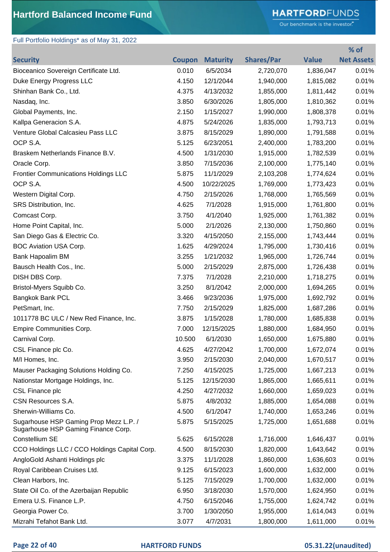# **HARTFORD**FUNDS

Our benchmark is the investor."

## Full Portfolio Holdings\* as of May 31, 2022

|                                                                               |               |                 |                   |              | % of              |
|-------------------------------------------------------------------------------|---------------|-----------------|-------------------|--------------|-------------------|
| <b>Security</b>                                                               | <b>Coupon</b> | <b>Maturity</b> | <b>Shares/Par</b> | <b>Value</b> | <b>Net Assets</b> |
| Bioceanico Sovereign Certificate Ltd.                                         | 0.010         | 6/5/2034        | 2,720,070         | 1,836,047    | 0.01%             |
| Duke Energy Progress LLC                                                      | 4.150         | 12/1/2044       | 1,940,000         | 1,815,082    | 0.01%             |
| Shinhan Bank Co., Ltd.                                                        | 4.375         | 4/13/2032       | 1,855,000         | 1,811,442    | 0.01%             |
| Nasdaq, Inc.                                                                  | 3.850         | 6/30/2026       | 1,805,000         | 1,810,362    | 0.01%             |
| Global Payments, Inc.                                                         | 2.150         | 1/15/2027       | 1,990,000         | 1,808,378    | 0.01%             |
| Kallpa Generacion S.A.                                                        | 4.875         | 5/24/2026       | 1,835,000         | 1,793,713    | 0.01%             |
| Venture Global Calcasieu Pass LLC                                             | 3.875         | 8/15/2029       | 1,890,000         | 1,791,588    | 0.01%             |
| OCP S.A.                                                                      | 5.125         | 6/23/2051       | 2,400,000         | 1,783,200    | 0.01%             |
| Braskem Netherlands Finance B.V.                                              | 4.500         | 1/31/2030       | 1,915,000         | 1,782,539    | 0.01%             |
| Oracle Corp.                                                                  | 3.850         | 7/15/2036       | 2,100,000         | 1,775,140    | 0.01%             |
| <b>Frontier Communications Holdings LLC</b>                                   | 5.875         | 11/1/2029       | 2,103,208         | 1,774,624    | 0.01%             |
| OCP S.A.                                                                      | 4.500         | 10/22/2025      | 1,769,000         | 1,773,423    | 0.01%             |
| Western Digital Corp.                                                         | 4.750         | 2/15/2026       | 1,768,000         | 1,765,569    | 0.01%             |
| SRS Distribution, Inc.                                                        | 4.625         | 7/1/2028        | 1,915,000         | 1,761,800    | 0.01%             |
| Comcast Corp.                                                                 | 3.750         | 4/1/2040        | 1,925,000         | 1,761,382    | 0.01%             |
| Home Point Capital, Inc.                                                      | 5.000         | 2/1/2026        | 2,130,000         | 1,750,860    | 0.01%             |
| San Diego Gas & Electric Co.                                                  | 3.320         | 4/15/2050       | 2,155,000         | 1,743,444    | 0.01%             |
| BOC Aviation USA Corp.                                                        | 1.625         | 4/29/2024       | 1,795,000         | 1,730,416    | 0.01%             |
| Bank Hapoalim BM                                                              | 3.255         | 1/21/2032       | 1,965,000         | 1,726,744    | 0.01%             |
| Bausch Health Cos., Inc.                                                      | 5.000         | 2/15/2029       | 2,875,000         | 1,726,438    | 0.01%             |
| DISH DBS Corp.                                                                | 7.375         | 7/1/2028        | 2,210,000         | 1,718,275    | 0.01%             |
| Bristol-Myers Squibb Co.                                                      | 3.250         | 8/1/2042        | 2,000,000         | 1,694,265    | 0.01%             |
| <b>Bangkok Bank PCL</b>                                                       | 3.466         | 9/23/2036       | 1,975,000         | 1,692,792    | 0.01%             |
| PetSmart, Inc.                                                                | 7.750         | 2/15/2029       | 1,825,000         | 1,687,286    | 0.01%             |
| 1011778 BC ULC / New Red Finance, Inc.                                        | 3.875         | 1/15/2028       | 1,780,000         | 1,685,838    | 0.01%             |
| Empire Communities Corp.                                                      | 7.000         | 12/15/2025      | 1,880,000         | 1,684,950    | 0.01%             |
| Carnival Corp.                                                                | 10.500        | 6/1/2030        | 1,650,000         | 1,675,880    | 0.01%             |
| CSL Finance plc Co.                                                           | 4.625         | 4/27/2042       | 1,700,000         | 1,672,074    | 0.01%             |
| M/I Homes, Inc.                                                               | 3.950         | 2/15/2030       | 2,040,000         | 1,670,517    | 0.01%             |
| Mauser Packaging Solutions Holding Co.                                        | 7.250         | 4/15/2025       | 1,725,000         | 1,667,213    | 0.01%             |
| Nationstar Mortgage Holdings, Inc.                                            | 5.125         | 12/15/2030      | 1,865,000         | 1,665,611    | 0.01%             |
| CSL Finance plc                                                               | 4.250         | 4/27/2032       | 1,660,000         | 1,659,023    | 0.01%             |
| CSN Resources S.A.                                                            | 5.875         | 4/8/2032        | 1,885,000         | 1,654,088    | 0.01%             |
| Sherwin-Williams Co.                                                          | 4.500         | 6/1/2047        | 1,740,000         | 1,653,246    | 0.01%             |
| Sugarhouse HSP Gaming Prop Mezz L.P. /<br>Sugarhouse HSP Gaming Finance Corp. | 5.875         | 5/15/2025       | 1,725,000         | 1,651,688    | 0.01%             |
| Constellium SE                                                                | 5.625         | 6/15/2028       | 1,716,000         | 1,646,437    | 0.01%             |
| CCO Holdings LLC / CCO Holdings Capital Corp.                                 | 4.500         | 8/15/2030       | 1,820,000         | 1,643,642    | 0.01%             |
| AngloGold Ashanti Holdings plc                                                | 3.375         | 11/1/2028       | 1,860,000         | 1,636,603    | 0.01%             |
| Royal Caribbean Cruises Ltd.                                                  | 9.125         | 6/15/2023       | 1,600,000         | 1,632,000    | 0.01%             |
| Clean Harbors, Inc.                                                           | 5.125         | 7/15/2029       | 1,700,000         | 1,632,000    | 0.01%             |
| State Oil Co. of the Azerbaijan Republic                                      | 6.950         | 3/18/2030       | 1,570,000         | 1,624,950    | 0.01%             |
| Emera U.S. Finance L.P.                                                       | 4.750         | 6/15/2046       | 1,755,000         | 1,624,742    | 0.01%             |
| Georgia Power Co.                                                             | 3.700         | 1/30/2050       | 1,955,000         | 1,614,043    | 0.01%             |
| Mizrahi Tefahot Bank Ltd.                                                     | 3.077         | 4/7/2031        | 1,800,000         | 1,611,000    | 0.01%             |

### **Page 22 of 40 HARTFORD FUNDS 05.31.22(unaudited)**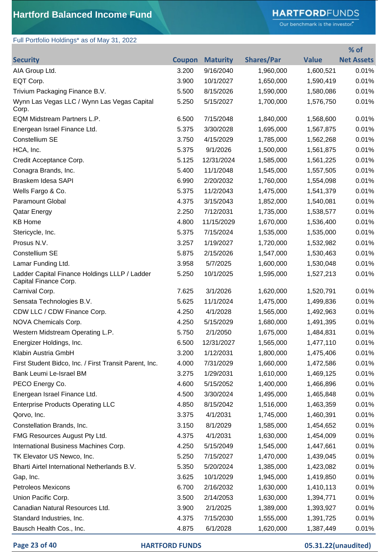# **HARTFORD**FUNDS

Our benchmark is the investor."

| Full Portfolio Holdings* as of May 31, 2022                            |               |                 |                   |              |                   |
|------------------------------------------------------------------------|---------------|-----------------|-------------------|--------------|-------------------|
|                                                                        |               |                 |                   |              | % of              |
| <b>Security</b>                                                        | <b>Coupon</b> | <b>Maturity</b> | <b>Shares/Par</b> | <b>Value</b> | <b>Net Assets</b> |
| AIA Group Ltd.                                                         | 3.200         | 9/16/2040       | 1,960,000         | 1,600,521    | 0.01%             |
| EQT Corp.                                                              | 3.900         | 10/1/2027       | 1,650,000         | 1,590,419    | 0.01%             |
| Trivium Packaging Finance B.V.                                         | 5.500         | 8/15/2026       | 1,590,000         | 1,580,086    | 0.01%             |
| Wynn Las Vegas LLC / Wynn Las Vegas Capital<br>Corp.                   | 5.250         | 5/15/2027       | 1,700,000         | 1,576,750    | 0.01%             |
| EQM Midstream Partners L.P.                                            | 6.500         | 7/15/2048       | 1,840,000         | 1,568,600    | 0.01%             |
| Energean Israel Finance Ltd.                                           | 5.375         | 3/30/2028       | 1,695,000         | 1,567,875    | 0.01%             |
| Constellium SE                                                         | 3.750         | 4/15/2029       | 1,785,000         | 1,562,268    | 0.01%             |
| HCA, Inc.                                                              | 5.375         | 9/1/2026        | 1,500,000         | 1,561,875    | 0.01%             |
| Credit Acceptance Corp.                                                | 5.125         | 12/31/2024      | 1,585,000         | 1,561,225    | 0.01%             |
| Conagra Brands, Inc.                                                   | 5.400         | 11/1/2048       | 1,545,000         | 1,557,505    | 0.01%             |
| Braskem Idesa SAPI                                                     | 6.990         | 2/20/2032       | 1,760,000         | 1,554,098    | 0.01%             |
| Wells Fargo & Co.                                                      | 5.375         | 11/2/2043       | 1,475,000         | 1,541,379    | 0.01%             |
| <b>Paramount Global</b>                                                | 4.375         | 3/15/2043       | 1,852,000         | 1,540,081    | 0.01%             |
| <b>Qatar Energy</b>                                                    | 2.250         | 7/12/2031       | 1,735,000         | 1,538,577    | 0.01%             |
| <b>KB Home</b>                                                         | 4.800         | 11/15/2029      | 1,670,000         | 1,536,400    | 0.01%             |
| Stericycle, Inc.                                                       | 5.375         | 7/15/2024       | 1,535,000         | 1,535,000    | 0.01%             |
| Prosus N.V.                                                            | 3.257         | 1/19/2027       | 1,720,000         | 1,532,982    | 0.01%             |
| Constellium SE                                                         | 5.875         | 2/15/2026       | 1,547,000         | 1,530,463    | 0.01%             |
| Lamar Funding Ltd.                                                     | 3.958         | 5/7/2025        | 1,600,000         | 1,530,048    | 0.01%             |
| Ladder Capital Finance Holdings LLLP / Ladder<br>Capital Finance Corp. | 5.250         | 10/1/2025       | 1,595,000         | 1,527,213    | 0.01%             |
| Carnival Corp.                                                         | 7.625         | 3/1/2026        | 1,620,000         | 1,520,791    | 0.01%             |
| Sensata Technologies B.V.                                              | 5.625         | 11/1/2024       | 1,475,000         | 1,499,836    | 0.01%             |
| CDW LLC / CDW Finance Corp.                                            | 4.250         | 4/1/2028        | 1,565,000         | 1,492,963    | 0.01%             |
| NOVA Chemicals Corp.                                                   | 4.250         | 5/15/2029       | 1,680,000         | 1,491,395    | 0.01%             |
| Western Midstream Operating L.P.                                       | 5.750         | 2/1/2050        | 1,675,000         | 1,484,831    | 0.01%             |
| Energizer Holdings, Inc.                                               | 6.500         | 12/31/2027      | 1,565,000         | 1,477,110    | 0.01%             |
| Klabin Austria GmbH                                                    | 3.200         | 1/12/2031       | 1,800,000         | 1,475,406    | 0.01%             |
| First Student Bidco, Inc. / First Transit Parent, Inc.                 | 4.000         | 7/31/2029       | 1,660,000         | 1,472,586    | 0.01%             |
| Bank Leumi Le-Israel BM                                                | 3.275         | 1/29/2031       | 1,610,000         | 1,469,125    | 0.01%             |
| PECO Energy Co.                                                        | 4.600         | 5/15/2052       | 1,400,000         | 1,466,896    | 0.01%             |
| Energean Israel Finance Ltd.                                           | 4.500         | 3/30/2024       | 1,495,000         | 1,465,848    | 0.01%             |
| <b>Enterprise Products Operating LLC</b>                               | 4.850         | 8/15/2042       | 1,516,000         | 1,463,359    | 0.01%             |
| Qorvo, Inc.                                                            | 3.375         | 4/1/2031        | 1,745,000         | 1,460,391    | 0.01%             |
| Constellation Brands, Inc.                                             | 3.150         | 8/1/2029        | 1,585,000         | 1,454,652    | 0.01%             |
| FMG Resources August Pty Ltd.                                          | 4.375         | 4/1/2031        | 1,630,000         | 1,454,009    | 0.01%             |
| International Business Machines Corp.                                  | 4.250         | 5/15/2049       | 1,545,000         | 1,447,661    | 0.01%             |
| TK Elevator US Newco, Inc.                                             | 5.250         | 7/15/2027       | 1,470,000         | 1,439,045    | 0.01%             |
| Bharti Airtel International Netherlands B.V.                           | 5.350         | 5/20/2024       | 1,385,000         | 1,423,082    | 0.01%             |
| Gap, Inc.                                                              | 3.625         | 10/1/2029       | 1,945,000         | 1,419,850    | 0.01%             |
| Petroleos Mexicons                                                     | 6.700         | 2/16/2032       | 1,630,000         | 1,410,113    | 0.01%             |
| Union Pacific Corp.                                                    | 3.500         | 2/14/2053       | 1,630,000         | 1,394,771    | 0.01%             |
| Canadian Natural Resources Ltd.                                        | 3.900         | 2/1/2025        | 1,389,000         | 1,393,927    | 0.01%             |
| Standard Industries, Inc.                                              | 4.375         | 7/15/2030       | 1,555,000         | 1,391,725    | 0.01%             |
| Bausch Health Cos., Inc.                                               | 4.875         | 6/1/2028        | 1,620,000         | 1,387,449    | 0.01%             |

## **Page 23 of 40 HARTFORD FUNDS 05.31.22(unaudited)**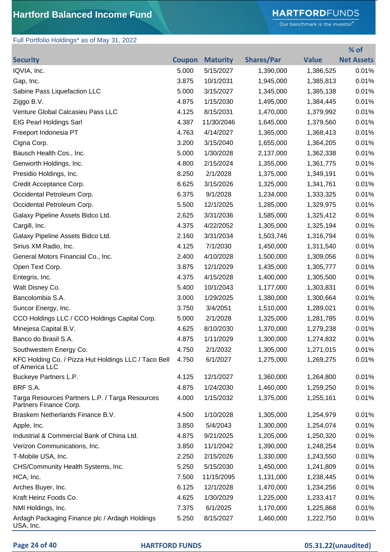# **HARTFORD**FUNDS

Our benchmark is the investor."

**% of** 

### Full Portfolio Holdings\* as of May 31, 2022

| <b>Security</b>                                                           | <b>Coupon</b> | <b>Maturity</b> | <b>Shares/Par</b> | <b>Value</b> | <b>Net Assets</b> |
|---------------------------------------------------------------------------|---------------|-----------------|-------------------|--------------|-------------------|
| IQVIA, Inc.                                                               | 5.000         | 5/15/2027       | 1,390,000         | 1,386,525    | 0.01%             |
| Gap, Inc.                                                                 | 3.875         | 10/1/2031       | 1,945,000         | 1,385,813    | 0.01%             |
| Sabine Pass Liquefaction LLC                                              | 5.000         | 3/15/2027       | 1,345,000         | 1,385,138    | 0.01%             |
| Ziggo B.V.                                                                | 4.875         | 1/15/2030       | 1,495,000         | 1,384,445    | 0.01%             |
| Venture Global Calcasieu Pass LLC                                         | 4.125         | 8/15/2031       | 1,470,000         | 1,379,992    | 0.01%             |
| <b>EIG Pearl Holdings Sarl</b>                                            | 4.387         | 11/30/2046      | 1,645,000         | 1,379,560    | 0.01%             |
| Freeport Indonesia PT                                                     | 4.763         | 4/14/2027       | 1,365,000         | 1,368,413    | 0.01%             |
| Cigna Corp.                                                               | 3.200         | 3/15/2040       | 1,655,000         | 1,364,205    | 0.01%             |
| Bausch Health Cos., Inc.                                                  | 5.000         | 1/30/2028       | 2,137,000         | 1,362,338    | 0.01%             |
| Genworth Holdings, Inc.                                                   | 4.800         | 2/15/2024       | 1,355,000         | 1,361,775    | 0.01%             |
| Presidio Holdings, Inc.                                                   | 8.250         | 2/1/2028        | 1,375,000         | 1,349,191    | 0.01%             |
| Credit Acceptance Corp.                                                   | 6.625         | 3/15/2026       | 1,325,000         | 1,341,761    | 0.01%             |
| Occidental Petroleum Corp.                                                | 6.375         | 9/1/2028        | 1,234,000         | 1,333,325    | 0.01%             |
| Occidental Petroleum Corp.                                                | 5.500         | 12/1/2025       | 1,285,000         | 1,329,975    | 0.01%             |
| Galaxy Pipeline Assets Bidco Ltd.                                         | 2.625         | 3/31/2036       | 1,585,000         | 1,325,412    | 0.01%             |
| Cargill, Inc.                                                             | 4.375         | 4/22/2052       | 1,305,000         | 1,325,194    | 0.01%             |
| Galaxy Pipeline Assets Bidco Ltd.                                         | 2.160         | 3/31/2034       | 1,503,746         | 1,316,794    | 0.01%             |
| Sirius XM Radio, Inc.                                                     | 4.125         | 7/1/2030        | 1,450,000         | 1,311,540    | 0.01%             |
| General Motors Financial Co., Inc.                                        | 2.400         | 4/10/2028       | 1,500,000         | 1,309,056    | 0.01%             |
| Open Text Corp.                                                           | 3.875         | 12/1/2029       | 1,435,000         | 1,305,777    | 0.01%             |
| Entegris, Inc.                                                            | 4.375         | 4/15/2028       | 1,400,000         | 1,305,500    | 0.01%             |
| Walt Disney Co.                                                           | 5.400         | 10/1/2043       | 1,177,000         | 1,303,831    | 0.01%             |
| Bancolombia S.A.                                                          | 3.000         | 1/29/2025       | 1,380,000         | 1,300,664    | 0.01%             |
| Suncor Energy, Inc.                                                       | 3.750         | 3/4/2051        | 1,510,000         | 1,289,021    | 0.01%             |
| CCO Holdings LLC / CCO Holdings Capital Corp.                             | 5.000         | 2/1/2028        | 1,325,000         | 1,281,785    | 0.01%             |
| Minejesa Capital B.V.                                                     | 4.625         | 8/10/2030       | 1,370,000         | 1,279,238    | 0.01%             |
| Banco do Brasil S.A.                                                      | 4.875         | 1/11/2029       | 1,300,000         | 1,274,832    | 0.01%             |
| Southwestern Energy Co.                                                   | 4.750         | 2/1/2032        | 1,305,000         | 1,271,015    | 0.01%             |
| KFC Holding Co. / Pizza Hut Holdings LLC / Taco Bell<br>of America LLC    | 4.750         | 6/1/2027        | 1,275,000         | 1,269,275    | 0.01%             |
| Buckeye Partners L.P.                                                     | 4.125         | 12/1/2027       | 1,360,000         | 1,264,800    | 0.01%             |
| BRF S.A.                                                                  | 4.875         | 1/24/2030       | 1,460,000         | 1,259,250    | 0.01%             |
| Targa Resources Partners L.P. / Targa Resources<br>Partners Finance Corp. | 4.000         | 1/15/2032       | 1,375,000         | 1,255,161    | 0.01%             |
| Braskem Netherlands Finance B.V.                                          | 4.500         | 1/10/2028       | 1,305,000         | 1,254,979    | 0.01%             |
| Apple, Inc.                                                               | 3.850         | 5/4/2043        | 1,300,000         | 1,254,074    | 0.01%             |
| Industrial & Commercial Bank of China Ltd.                                | 4.875         | 9/21/2025       | 1,205,000         | 1,250,320    | 0.01%             |
| Verizon Communications, Inc.                                              | 3.850         | 11/1/2042       | 1,390,000         | 1,248,254    | 0.01%             |
| T-Mobile USA, Inc.                                                        | 2.250         | 2/15/2026       | 1,330,000         | 1,243,550    | 0.01%             |
| CHS/Community Health Systems, Inc.                                        | 5.250         | 5/15/2030       | 1,450,000         | 1,241,809    | 0.01%             |
| HCA, Inc.                                                                 | 7.500         | 11/15/2095      | 1,131,000         | 1,238,445    | 0.01%             |
| Arches Buyer, Inc.                                                        | 6.125         | 12/1/2028       | 1,470,000         | 1,234,256    | 0.01%             |
| Kraft Heinz Foods Co.                                                     | 4.625         | 1/30/2029       | 1,225,000         | 1,233,417    | 0.01%             |
| NMI Holdings, Inc.                                                        | 7.375         | 6/1/2025        | 1,170,000         | 1,225,868    | 0.01%             |
| Ardagh Packaging Finance plc / Ardagh Holdings<br>USA, Inc.               | 5.250         | 8/15/2027       | 1,460,000         | 1,222,750    | 0.01%             |

### **Page 24 of 40 HARTFORD FUNDS 05.31.22(unaudited)**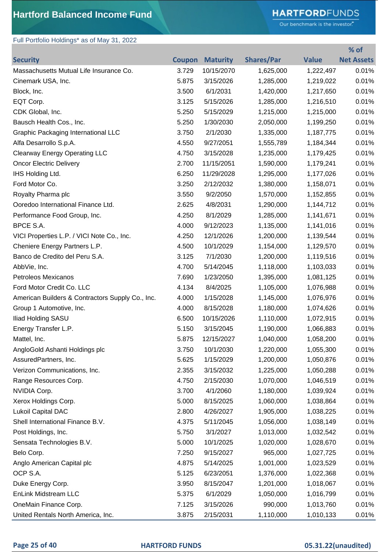Full Portfolio Holdings\* as of May 31, 2022

# **HARTFORD**FUNDS

Our benchmark is the investor."

|                                                  |               |                 |                   |              | % of              |
|--------------------------------------------------|---------------|-----------------|-------------------|--------------|-------------------|
| <b>Security</b>                                  | <b>Coupon</b> | <b>Maturity</b> | <b>Shares/Par</b> | <b>Value</b> | <b>Net Assets</b> |
| Massachusetts Mutual Life Insurance Co.          | 3.729         | 10/15/2070      | 1,625,000         | 1,222,497    | 0.01%             |
| Cinemark USA, Inc.                               | 5.875         | 3/15/2026       | 1,285,000         | 1,219,022    | 0.01%             |
| Block, Inc.                                      | 3.500         | 6/1/2031        | 1,420,000         | 1,217,650    | 0.01%             |
| EQT Corp.                                        | 3.125         | 5/15/2026       | 1,285,000         | 1,216,510    | 0.01%             |
| CDK Global, Inc.                                 | 5.250         | 5/15/2029       | 1,215,000         | 1,215,000    | 0.01%             |
| Bausch Health Cos., Inc.                         | 5.250         | 1/30/2030       | 2,050,000         | 1,199,250    | 0.01%             |
| <b>Graphic Packaging International LLC</b>       | 3.750         | 2/1/2030        | 1,335,000         | 1,187,775    | 0.01%             |
| Alfa Desarrollo S.p.A.                           | 4.550         | 9/27/2051       | 1,555,789         | 1,184,344    | 0.01%             |
| <b>Clearway Energy Operating LLC</b>             | 4.750         | 3/15/2028       | 1,235,000         | 1,179,425    | 0.01%             |
| <b>Oncor Electric Delivery</b>                   | 2.700         | 11/15/2051      | 1,590,000         | 1,179,241    | 0.01%             |
| IHS Holding Ltd.                                 | 6.250         | 11/29/2028      | 1,295,000         | 1,177,026    | 0.01%             |
| Ford Motor Co.                                   | 3.250         | 2/12/2032       | 1,380,000         | 1,158,071    | 0.01%             |
| Royalty Pharma plc                               | 3.550         | 9/2/2050        | 1,570,000         | 1,152,855    | 0.01%             |
| Ooredoo International Finance Ltd.               | 2.625         | 4/8/2031        | 1,290,000         | 1,144,712    | 0.01%             |
| Performance Food Group, Inc.                     | 4.250         | 8/1/2029        | 1,285,000         | 1,141,671    | 0.01%             |
| BPCE S.A.                                        | 4.000         | 9/12/2023       | 1,135,000         | 1,141,016    | 0.01%             |
| VICI Properties L.P. / VICI Note Co., Inc.       | 4.250         | 12/1/2026       | 1,200,000         | 1,139,544    | 0.01%             |
| Cheniere Energy Partners L.P.                    | 4.500         | 10/1/2029       | 1,154,000         | 1,129,570    | 0.01%             |
| Banco de Credito del Peru S.A.                   | 3.125         | 7/1/2030        | 1,200,000         | 1,119,516    | 0.01%             |
| AbbVie, Inc.                                     | 4.700         | 5/14/2045       | 1,118,000         | 1,103,033    | 0.01%             |
| Petroleos Mexicanos                              | 7.690         | 1/23/2050       | 1,395,000         | 1,081,125    | 0.01%             |
| Ford Motor Credit Co. LLC                        | 4.134         | 8/4/2025        | 1,105,000         | 1,076,988    | 0.01%             |
| American Builders & Contractors Supply Co., Inc. | 4.000         | 1/15/2028       | 1,145,000         | 1,076,976    | 0.01%             |
| Group 1 Automotive, Inc.                         | 4.000         | 8/15/2028       | 1,180,000         | 1,074,626    | 0.01%             |
| <b>Iliad Holding SASU</b>                        | 6.500         | 10/15/2026      | 1,110,000         | 1,072,915    | 0.01%             |
| Energy Transfer L.P.                             | 5.150         | 3/15/2045       | 1,190,000         | 1,066,883    | 0.01%             |
| Mattel, Inc.                                     | 5.875         | 12/15/2027      | 1,040,000         | 1,058,200    | 0.01%             |
| AngloGold Ashanti Holdings plc                   | 3.750         | 10/1/2030       | 1,220,000         | 1,055,300    | 0.01%             |
| AssuredPartners, Inc.                            | 5.625         | 1/15/2029       | 1,200,000         | 1,050,876    | 0.01%             |
| Verizon Communications, Inc.                     | 2.355         | 3/15/2032       | 1,225,000         | 1,050,288    | 0.01%             |
| Range Resources Corp.                            | 4.750         | 2/15/2030       | 1,070,000         | 1,046,519    | 0.01%             |
| NVIDIA Corp.                                     | 3.700         | 4/1/2060        | 1,180,000         | 1,039,924    | 0.01%             |
| Xerox Holdings Corp.                             | 5.000         | 8/15/2025       | 1,060,000         | 1,038,864    | 0.01%             |
| Lukoil Capital DAC                               | 2.800         | 4/26/2027       | 1,905,000         | 1,038,225    | 0.01%             |
| Shell International Finance B.V.                 | 4.375         | 5/11/2045       | 1,056,000         | 1,038,149    | 0.01%             |
| Post Holdings, Inc.                              | 5.750         | 3/1/2027        | 1,013,000         | 1,032,542    | 0.01%             |
| Sensata Technologies B.V.                        | 5.000         | 10/1/2025       | 1,020,000         | 1,028,670    | 0.01%             |
| Belo Corp.                                       | 7.250         | 9/15/2027       | 965,000           | 1,027,725    | 0.01%             |
| Anglo American Capital plc                       | 4.875         | 5/14/2025       | 1,001,000         | 1,023,529    | 0.01%             |
| OCP S.A.                                         | 5.125         | 6/23/2051       | 1,376,000         | 1,022,368    | 0.01%             |
| Duke Energy Corp.                                | 3.950         | 8/15/2047       | 1,201,000         | 1,018,067    | 0.01%             |
| EnLink Midstream LLC                             | 5.375         | 6/1/2029        | 1,050,000         | 1,016,799    | 0.01%             |
| OneMain Finance Corp.                            | 7.125         | 3/15/2026       | 990,000           | 1,013,760    | 0.01%             |
| United Rentals North America, Inc.               | 3.875         | 2/15/2031       | 1,110,000         | 1,010,133    | 0.01%             |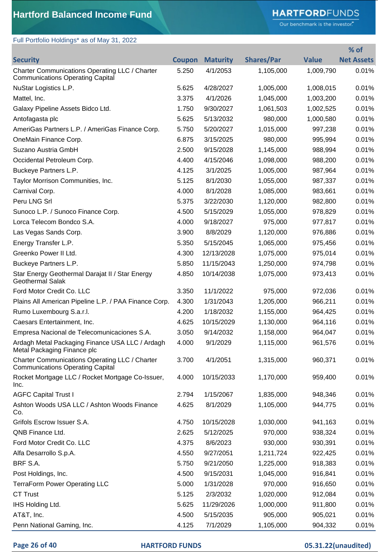# **HARTFORD**FUNDS

Our benchmark is the investor."

## Full Portfolio Holdings\* as of May 31, 2022

|                                                                                           |               |                 |                   |              | % of              |
|-------------------------------------------------------------------------------------------|---------------|-----------------|-------------------|--------------|-------------------|
| <b>Security</b>                                                                           | <b>Coupon</b> | <b>Maturity</b> | <b>Shares/Par</b> | <b>Value</b> | <b>Net Assets</b> |
| Charter Communications Operating LLC / Charter<br><b>Communications Operating Capital</b> | 5.250         | 4/1/2053        | 1,105,000         | 1,009,790    | 0.01%             |
| NuStar Logistics L.P.                                                                     | 5.625         | 4/28/2027       | 1,005,000         | 1,008,015    | 0.01%             |
| Mattel, Inc.                                                                              | 3.375         | 4/1/2026        | 1,045,000         | 1,003,200    | 0.01%             |
| Galaxy Pipeline Assets Bidco Ltd.                                                         | 1.750         | 9/30/2027       | 1,061,503         | 1,002,525    | 0.01%             |
| Antofagasta plc                                                                           | 5.625         | 5/13/2032       | 980,000           | 1,000,580    | 0.01%             |
| AmeriGas Partners L.P. / AmeriGas Finance Corp.                                           | 5.750         | 5/20/2027       | 1,015,000         | 997,238      | 0.01%             |
| OneMain Finance Corp.                                                                     | 6.875         | 3/15/2025       | 980,000           | 995,994      | 0.01%             |
| Suzano Austria GmbH                                                                       | 2.500         | 9/15/2028       | 1,145,000         | 988,994      | 0.01%             |
| Occidental Petroleum Corp.                                                                | 4.400         | 4/15/2046       | 1,098,000         | 988,200      | 0.01%             |
| Buckeye Partners L.P.                                                                     | 4.125         | 3/1/2025        | 1,005,000         | 987,964      | 0.01%             |
| Taylor Morrison Communities, Inc.                                                         | 5.125         | 8/1/2030        | 1,055,000         | 987,337      | 0.01%             |
| Carnival Corp.                                                                            | 4.000         | 8/1/2028        | 1,085,000         | 983,661      | 0.01%             |
| Peru LNG Srl                                                                              | 5.375         | 3/22/2030       | 1,120,000         | 982,800      | 0.01%             |
| Sunoco L.P. / Sunoco Finance Corp.                                                        | 4.500         | 5/15/2029       | 1,055,000         | 978,829      | 0.01%             |
| Lorca Telecom Bondco S.A.                                                                 | 4.000         | 9/18/2027       | 975,000           | 977,817      | 0.01%             |
| Las Vegas Sands Corp.                                                                     | 3.900         | 8/8/2029        | 1,120,000         | 976,886      | 0.01%             |
| Energy Transfer L.P.                                                                      | 5.350         | 5/15/2045       | 1,065,000         | 975,456      | 0.01%             |
| Greenko Power II Ltd.                                                                     | 4.300         | 12/13/2028      | 1,075,000         | 975,014      | 0.01%             |
| Buckeye Partners L.P.                                                                     | 5.850         | 11/15/2043      | 1,250,000         | 974,798      | 0.01%             |
| Star Energy Geothermal Darajat II / Star Energy<br><b>Geothermal Salak</b>                | 4.850         | 10/14/2038      | 1,075,000         | 973,413      | 0.01%             |
| Ford Motor Credit Co. LLC                                                                 | 3.350         | 11/1/2022       | 975,000           | 972,036      | 0.01%             |
| Plains All American Pipeline L.P. / PAA Finance Corp.                                     | 4.300         | 1/31/2043       | 1,205,000         | 966,211      | 0.01%             |
| Rumo Luxembourg S.a.r.l.                                                                  | 4.200         | 1/18/2032       | 1,155,000         | 964,425      | 0.01%             |
| Caesars Entertainment, Inc.                                                               | 4.625         | 10/15/2029      | 1,130,000         | 964,116      | 0.01%             |
| Empresa Nacional de Telecomunicaciones S.A.                                               | 3.050         | 9/14/2032       | 1,158,000         | 964,047      | 0.01%             |
| Ardagh Metal Packaging Finance USA LLC / Ardagh<br>Metal Packaging Finance plc            | 4.000         | 9/1/2029        | 1,115,000         | 961,576      | 0.01%             |
| Charter Communications Operating LLC / Charter<br><b>Communications Operating Capital</b> | 3.700         | 4/1/2051        | 1,315,000         | 960,371      | 0.01%             |
| Rocket Mortgage LLC / Rocket Mortgage Co-Issuer,<br>Inc.                                  | 4.000         | 10/15/2033      | 1,170,000         | 959,400      | 0.01%             |
| <b>AGFC Capital Trust I</b>                                                               | 2.794         | 1/15/2067       | 1,835,000         | 948,346      | 0.01%             |
| Ashton Woods USA LLC / Ashton Woods Finance<br>Co.                                        | 4.625         | 8/1/2029        | 1,105,000         | 944,775      | 0.01%             |
| Grifols Escrow Issuer S.A.                                                                | 4.750         | 10/15/2028      | 1,030,000         | 941,163      | 0.01%             |
| QNB Finance Ltd.                                                                          | 2.625         | 5/12/2025       | 970,000           | 938,324      | 0.01%             |
| Ford Motor Credit Co. LLC                                                                 | 4.375         | 8/6/2023        | 930,000           | 930,391      | 0.01%             |
| Alfa Desarrollo S.p.A.                                                                    | 4.550         | 9/27/2051       | 1,211,724         | 922,425      | 0.01%             |
| BRF S.A.                                                                                  | 5.750         | 9/21/2050       | 1,225,000         | 918,383      | 0.01%             |
| Post Holdings, Inc.                                                                       | 4.500         | 9/15/2031       | 1,045,000         | 916,841      | 0.01%             |
| <b>TerraForm Power Operating LLC</b>                                                      | 5.000         | 1/31/2028       | 970,000           | 916,650      | 0.01%             |
| <b>CT Trust</b>                                                                           | 5.125         | 2/3/2032        | 1,020,000         | 912,084      | 0.01%             |
| IHS Holding Ltd.                                                                          | 5.625         | 11/29/2026      | 1,000,000         | 911,800      | 0.01%             |
| AT&T, Inc.                                                                                | 4.500         | 5/15/2035       | 905,000           | 905,021      | 0.01%             |
| Penn National Gaming, Inc.                                                                | 4.125         | 7/1/2029        | 1,105,000         | 904,332      | 0.01%             |

#### **Page 26 of 40 HARTFORD FUNDS 05.31.22(unaudited)**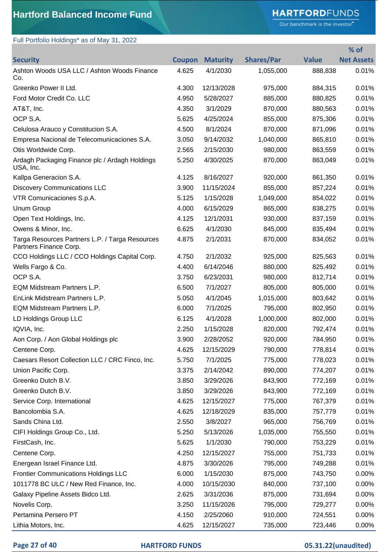# **HARTFORD**FUNDS

Our benchmark is the investor."

**% of** 

# Full Portfolio Holdings\* as of May 31, 2022

| <b>Security</b>                                                           | <b>Coupon</b> | <b>Maturity</b> | <b>Shares/Par</b> | <b>Value</b> | <b>Net Assets</b> |
|---------------------------------------------------------------------------|---------------|-----------------|-------------------|--------------|-------------------|
| Ashton Woods USA LLC / Ashton Woods Finance<br>Co.                        | 4.625         | 4/1/2030        | 1,055,000         | 888,838      | 0.01%             |
| Greenko Power II Ltd.                                                     | 4.300         | 12/13/2028      | 975,000           | 884,315      | 0.01%             |
| Ford Motor Credit Co. LLC                                                 | 4.950         | 5/28/2027       | 885,000           | 880,825      | 0.01%             |
| AT&T, Inc.                                                                | 4.350         | 3/1/2029        | 870,000           | 880,563      | 0.01%             |
| OCP S.A.                                                                  | 5.625         | 4/25/2024       | 855,000           | 875,306      | 0.01%             |
| Celulosa Arauco y Constitucion S.A.                                       | 4.500         | 8/1/2024        | 870,000           | 871,096      | 0.01%             |
| Empresa Nacional de Telecomunicaciones S.A.                               | 3.050         | 9/14/2032       | 1,040,000         | 865,810      | 0.01%             |
| Otis Worldwide Corp.                                                      | 2.565         | 2/15/2030       | 980,000           | 863,559      | 0.01%             |
| Ardagh Packaging Finance plc / Ardagh Holdings<br>USA, Inc.               | 5.250         | 4/30/2025       | 870,000           | 863,049      | 0.01%             |
| Kallpa Generacion S.A.                                                    | 4.125         | 8/16/2027       | 920,000           | 861,350      | 0.01%             |
| <b>Discovery Communications LLC</b>                                       | 3.900         | 11/15/2024      | 855,000           | 857,224      | 0.01%             |
| VTR Comunicaciones S.p.A.                                                 | 5.125         | 1/15/2028       | 1,049,000         | 854,022      | 0.01%             |
| Unum Group                                                                | 4.000         | 6/15/2029       | 865,000           | 838,275      | 0.01%             |
| Open Text Holdings, Inc.                                                  | 4.125         | 12/1/2031       | 930,000           | 837,159      | 0.01%             |
| Owens & Minor, Inc.                                                       | 6.625         | 4/1/2030        | 845,000           | 835,494      | 0.01%             |
| Targa Resources Partners L.P. / Targa Resources<br>Partners Finance Corp. | 4.875         | 2/1/2031        | 870,000           | 834,052      | 0.01%             |
| CCO Holdings LLC / CCO Holdings Capital Corp.                             | 4.750         | 2/1/2032        | 925,000           | 825,563      | 0.01%             |
| Wells Fargo & Co.                                                         | 4.400         | 6/14/2046       | 880,000           | 825,492      | 0.01%             |
| OCP S.A.                                                                  | 3.750         | 6/23/2031       | 980,000           | 812,714      | 0.01%             |
| EQM Midstream Partners L.P.                                               | 6.500         | 7/1/2027        | 805,000           | 805,000      | 0.01%             |
| EnLink Midstream Partners L.P.                                            | 5.050         | 4/1/2045        | 1,015,000         | 803,642      | 0.01%             |
| EQM Midstream Partners L.P.                                               | 6.000         | 7/1/2025        | 795,000           | 802,950      | 0.01%             |
| LD Holdings Group LLC                                                     | 6.125         | 4/1/2028        | 1,000,000         | 802,000      | 0.01%             |
| IQVIA, Inc.                                                               | 2.250         | 1/15/2028       | 820,000           | 792,474      | 0.01%             |
| Aon Corp. / Aon Global Holdings plc                                       | 3.900         | 2/28/2052       | 920,000           | 784,950      | 0.01%             |
| Centene Corp.                                                             | 4.625         | 12/15/2029      | 790,000           | 778,814      | 0.01%             |
| Caesars Resort Collection LLC / CRC Finco, Inc.                           | 5.750         | 7/1/2025        | 775,000           | 778,023      | 0.01%             |
| Union Pacific Corp.                                                       | 3.375         | 2/14/2042       | 890,000           | 774,207      | 0.01%             |
| Greenko Dutch B.V.                                                        | 3.850         | 3/29/2026       | 843,900           | 772,169      | 0.01%             |
| Greenko Dutch B.V.                                                        | 3.850         | 3/29/2026       | 843,900           | 772,169      | 0.01%             |
| Service Corp. International                                               | 4.625         | 12/15/2027      | 775,000           | 767,379      | 0.01%             |
| Bancolombia S.A.                                                          | 4.625         | 12/18/2029      | 835,000           | 757,779      | 0.01%             |
| Sands China Ltd.                                                          | 2.550         | 3/8/2027        | 965,000           | 756,769      | 0.01%             |
| CIFI Holdings Group Co., Ltd.                                             | 5.250         | 5/13/2026       | 1,035,000         | 755,550      | 0.01%             |
| FirstCash, Inc.                                                           | 5.625         | 1/1/2030        | 790,000           | 753,229      | 0.01%             |
| Centene Corp.                                                             | 4.250         | 12/15/2027      | 755,000           | 751,733      | 0.01%             |
| Energean Israel Finance Ltd.                                              | 4.875         | 3/30/2026       | 795,000           | 749,288      | 0.01%             |
| <b>Frontier Communications Holdings LLC</b>                               | 6.000         | 1/15/2030       | 875,000           | 743,750      | 0.00%             |
| 1011778 BC ULC / New Red Finance, Inc.                                    | 4.000         | 10/15/2030      | 840,000           | 737,100      | 0.00%             |
| Galaxy Pipeline Assets Bidco Ltd.                                         | 2.625         | 3/31/2036       | 875,000           | 731,694      | 0.00%             |
| Novelis Corp.                                                             | 3.250         | 11/15/2026      | 795,000           | 729,277      | 0.00%             |
| Pertamina Persero PT                                                      | 4.150         | 2/25/2060       | 910,000           | 724,551      | 0.00%             |
| Lithia Motors, Inc.                                                       | 4.625         | 12/15/2027      | 735,000           | 723,446      | 0.00%             |

## **Page 27 of 40 HARTFORD FUNDS 05.31.22(unaudited)**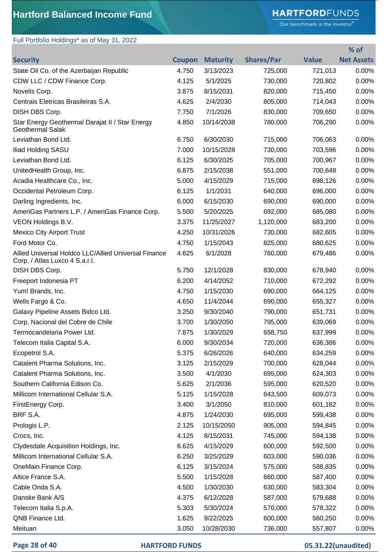# **HARTFORD**FUNDS

Our benchmark is the investor."

**% of** 

# Full Portfolio Holdings\* as of May 31, 2022

| <b>Security</b>                                                                        |       | <b>Coupon Maturity</b> | <b>Shares/Par</b> | <b>Value</b> | <b>Net Assets</b> |
|----------------------------------------------------------------------------------------|-------|------------------------|-------------------|--------------|-------------------|
| State Oil Co. of the Azerbaijan Republic                                               | 4.750 | 3/13/2023              | 725,000           | 721,013      | 0.00%             |
| CDW LLC / CDW Finance Corp.                                                            | 4.125 | 5/1/2025               | 730,000           | 720,802      | 0.00%             |
| Novelis Corp.                                                                          | 3.875 | 8/15/2031              | 820,000           | 715,450      | 0.00%             |
| Centrais Eletricas Brasileiras S.A.                                                    | 4.625 | 2/4/2030               | 805,000           | 714,043      | 0.00%             |
| DISH DBS Corp.                                                                         | 7.750 | 7/1/2026               | 830,000           | 709,650      | 0.00%             |
| Star Energy Geothermal Darajat II / Star Energy<br><b>Geothermal Salak</b>             | 4.850 | 10/14/2038             | 780,000           | 706,290      | 0.00%             |
| Leviathan Bond Ltd.                                                                    | 6.750 | 6/30/2030              | 715,000           | 706,063      | 0.00%             |
| Iliad Holding SASU                                                                     | 7.000 | 10/15/2028             | 730,000           | 703,596      | 0.00%             |
| Leviathan Bond Ltd.                                                                    | 6.125 | 6/30/2025              | 705,000           | 700,967      | 0.00%             |
| UnitedHealth Group, Inc.                                                               | 6.875 | 2/15/2038              | 551,000           | 700,648      | 0.00%             |
| Acadia Healthcare Co., Inc.                                                            | 5.000 | 4/15/2029              | 715,000           | 698,126      | 0.00%             |
| Occidental Petroleum Corp.                                                             | 6.125 | 1/1/2031               | 640,000           | 696,000      | 0.00%             |
| Darling Ingredients, Inc.                                                              | 6.000 | 6/15/2030              | 690,000           | 690,000      | 0.00%             |
| AmeriGas Partners L.P. / AmeriGas Finance Corp.                                        | 5.500 | 5/20/2025              | 692,000           | 685,080      | 0.00%             |
| VEON Holdings B.V.                                                                     | 3.375 | 11/25/2027             | 1,120,000         | 683,200      | 0.00%             |
| <b>Mexico City Airport Trust</b>                                                       | 4.250 | 10/31/2026             | 730,000           | 682,605      | 0.00%             |
| Ford Motor Co.                                                                         | 4.750 | 1/15/2043              | 825,000           | 680,625      | 0.00%             |
| Allied Universal Holdco LLC/Allied Universal Finance<br>Corp. / Atlas Luxco 4 S.a.r.l. | 4.625 | 6/1/2028               | 760,000           | 679,486      | 0.00%             |
| DISH DBS Corp.                                                                         | 5.750 | 12/1/2028              | 830,000           | 678,940      | 0.00%             |
| Freeport Indonesia PT                                                                  | 6.200 | 4/14/2052              | 710,000           | 672,292      | 0.00%             |
| Yum! Brands, Inc.                                                                      | 4.750 | 1/15/2030              | 690,000           | 664,125      | 0.00%             |
| Wells Fargo & Co.                                                                      | 4.650 | 11/4/2044              | 690,000           | 655,327      | 0.00%             |
| Galaxy Pipeline Assets Bidco Ltd.                                                      | 3.250 | 9/30/2040              | 790,000           | 651,731      | 0.00%             |
| Corp. Nacional del Cobre de Chile                                                      | 3.700 | 1/30/2050              | 795,000           | 639,069      | 0.00%             |
| Termocandelaria Power Ltd.                                                             | 7.875 | 1/30/2029              | 658,750           | 637,999      | 0.00%             |
| Telecom Italia Capital S.A.                                                            | 6.000 | 9/30/2034              | 720,000           | 636,386      | 0.00%             |
| Ecopetrol S.A.                                                                         | 5.375 | 6/26/2026              | 640,000           | 634,259      | $0.00\%$          |
| Catalent Pharma Solutions, Inc.                                                        | 3.125 | 2/15/2029              | 700,000           | 628,044      | 0.00%             |
| Catalent Pharma Solutions, Inc.                                                        | 3.500 | 4/1/2030               | 695,000           | 624,303      | 0.00%             |
| Southern California Edison Co.                                                         | 5.625 | 2/1/2036               | 595,000           | 620,520      | 0.00%             |
| Millicom International Cellular S.A.                                                   | 5.125 | 1/15/2028              | 643,500           | 609,073      | 0.00%             |
| FirstEnergy Corp.                                                                      | 3.400 | 3/1/2050               | 810,000           | 601,182      | 0.00%             |
| BRF S.A.                                                                               | 4.875 | 1/24/2030              | 695,000           | 599,438      | 0.00%             |
| Prologis L.P.                                                                          | 2.125 | 10/15/2050             | 905,000           | 594,845      | 0.00%             |
| Crocs, Inc.                                                                            | 4.125 | 8/15/2031              | 745,000           | 594,138      | 0.00%             |
| Clydesdale Acquisition Holdings, Inc.                                                  | 6.625 | 4/15/2029              | 600,000           | 592,500      | 0.00%             |
| Millicom International Cellular S.A.                                                   | 6.250 | 3/25/2029              | 603,000           | 590,036      | 0.00%             |
| OneMain Finance Corp.                                                                  | 6.125 | 3/15/2024              | 575,000           | 588,835      | 0.00%             |
| Altice France S.A.                                                                     | 5.500 | 1/15/2028              | 660,000           | 587,400      | 0.00%             |
| Cable Onda S.A.                                                                        | 4.500 | 1/30/2030              | 630,000           | 583,304      | 0.00%             |
| Danske Bank A/S                                                                        | 4.375 | 6/12/2028              | 587,000           | 579,688      | 0.00%             |
| Telecom Italia S.p.A.                                                                  | 5.303 | 5/30/2024              | 570,000           | 578,322      | 0.00%             |
| QNB Finance Ltd.                                                                       | 1.625 | 9/22/2025              | 600,000           | 560,250      | 0.00%             |
| Meituan                                                                                | 3.050 | 10/28/2030             | 736,000           | 557,807      | 0.00%             |

#### **Page 28 of 40 HARTFORD FUNDS 05.31.22(unaudited)**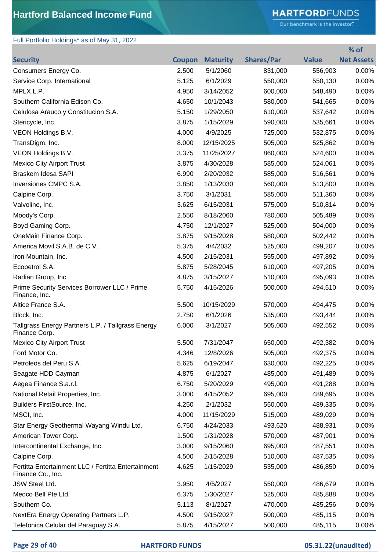# **HARTFORD**FUNDS

Our benchmark is the investor."

## Full Portfolio Holdings\* as of May 31, 2022

|                                                                          |               |                 |                   |              | % of              |
|--------------------------------------------------------------------------|---------------|-----------------|-------------------|--------------|-------------------|
| <b>Security</b>                                                          | <b>Coupon</b> | <b>Maturity</b> | <b>Shares/Par</b> | <b>Value</b> | <b>Net Assets</b> |
| Consumers Energy Co.                                                     | 2.500         | 5/1/2060        | 831,000           | 556,903      | 0.00%             |
| Service Corp. International                                              | 5.125         | 6/1/2029        | 550,000           | 550,130      | 0.00%             |
| MPLX L.P.                                                                | 4.950         | 3/14/2052       | 600,000           | 548,490      | 0.00%             |
| Southern California Edison Co.                                           | 4.650         | 10/1/2043       | 580,000           | 541,665      | 0.00%             |
| Celulosa Arauco y Constitucion S.A.                                      | 5.150         | 1/29/2050       | 610,000           | 537,642      | 0.00%             |
| Stericycle, Inc.                                                         | 3.875         | 1/15/2029       | 590,000           | 535,661      | 0.00%             |
| VEON Holdings B.V.                                                       | 4.000         | 4/9/2025        | 725,000           | 532,875      | 0.00%             |
| TransDigm, Inc.                                                          | 8.000         | 12/15/2025      | 505,000           | 525,862      | 0.00%             |
| VEON Holdings B.V.                                                       | 3.375         | 11/25/2027      | 860,000           | 524,600      | 0.00%             |
| <b>Mexico City Airport Trust</b>                                         | 3.875         | 4/30/2028       | 585,000           | 524,061      | 0.00%             |
| Braskem Idesa SAPI                                                       | 6.990         | 2/20/2032       | 585,000           | 516,561      | 0.00%             |
| Inversiones CMPC S.A.                                                    | 3.850         | 1/13/2030       | 560,000           | 513,800      | 0.00%             |
| Calpine Corp.                                                            | 3.750         | 3/1/2031        | 585,000           | 511,360      | 0.00%             |
| Valvoline, Inc.                                                          | 3.625         | 6/15/2031       | 575,000           | 510,814      | 0.00%             |
| Moody's Corp.                                                            | 2.550         | 8/18/2060       | 780,000           | 505,489      | 0.00%             |
| Boyd Gaming Corp.                                                        | 4.750         | 12/1/2027       | 525,000           | 504,000      | 0.00%             |
| OneMain Finance Corp.                                                    | 3.875         | 9/15/2028       | 580,000           | 502,442      | 0.00%             |
| America Movil S.A.B. de C.V.                                             | 5.375         | 4/4/2032        | 525,000           | 499,207      | 0.00%             |
| Iron Mountain, Inc.                                                      | 4.500         | 2/15/2031       | 555,000           | 497,892      | 0.00%             |
| Ecopetrol S.A.                                                           | 5.875         | 5/28/2045       | 610,000           | 497,205      | 0.00%             |
| Radian Group, Inc.                                                       | 4.875         | 3/15/2027       | 510,000           | 495,093      | 0.00%             |
| Prime Security Services Borrower LLC / Prime<br>Finance, Inc.            | 5.750         | 4/15/2026       | 500,000           | 494,510      | 0.00%             |
| Altice France S.A.                                                       | 5.500         | 10/15/2029      | 570,000           | 494,475      | 0.00%             |
| Block, Inc.                                                              | 2.750         | 6/1/2026        | 535,000           | 493,444      | 0.00%             |
| Tallgrass Energy Partners L.P. / Tallgrass Energy<br>Finance Corp.       | 6.000         | 3/1/2027        | 505,000           | 492,552      | 0.00%             |
| <b>Mexico City Airport Trust</b>                                         | 5.500         | 7/31/2047       | 650,000           | 492,382      | $0.00\%$          |
| Ford Motor Co.                                                           | 4.346         | 12/8/2026       | 505,000           | 492,375      | $0.00\%$          |
| Petroleos del Peru S.A.                                                  | 5.625         | 6/19/2047       | 630,000           | 492,225      | 0.00%             |
| Seagate HDD Cayman                                                       | 4.875         | 6/1/2027        | 485,000           | 491,489      | 0.00%             |
| Aegea Finance S.a.r.l.                                                   | 6.750         | 5/20/2029       | 495,000           | 491,288      | 0.00%             |
| National Retail Properties, Inc.                                         | 3.000         | 4/15/2052       | 695,000           | 489,695      | 0.00%             |
| Builders FirstSource, Inc.                                               | 4.250         | 2/1/2032        | 550,000           | 489,335      | 0.00%             |
| MSCI, Inc.                                                               | 4.000         | 11/15/2029      | 515,000           | 489,029      | 0.00%             |
| Star Energy Geothermal Wayang Windu Ltd.                                 | 6.750         | 4/24/2033       | 493,620           | 488,931      | 0.00%             |
| American Tower Corp.                                                     | 1.500         | 1/31/2028       | 570,000           | 487,901      | 0.00%             |
| Intercontinental Exchange, Inc.                                          | 3.000         | 9/15/2060       | 695,000           | 487,551      | 0.00%             |
| Calpine Corp.                                                            | 4.500         | 2/15/2028       | 510,000           | 487,535      | 0.00%             |
| Fertitta Entertainment LLC / Fertitta Entertainment<br>Finance Co., Inc. | 4.625         | 1/15/2029       | 535,000           | 486,850      | 0.00%             |
| JSW Steel Ltd.                                                           | 3.950         | 4/5/2027        | 550,000           | 486,679      | 0.00%             |
| Medco Bell Pte Ltd.                                                      | 6.375         | 1/30/2027       | 525,000           | 485,888      | 0.00%             |
| Southern Co.                                                             | 5.113         | 8/1/2027        | 470,000           | 485,256      | 0.00%             |
| NextEra Energy Operating Partners L.P.                                   | 4.500         | 9/15/2027       | 500,000           | 485,115      | 0.00%             |
| Telefonica Celular del Paraguay S.A.                                     | 5.875         | 4/15/2027       | 500,000           | 485,115      | 0.00%             |

### **Page 29 of 40 HARTFORD FUNDS 05.31.22(unaudited)**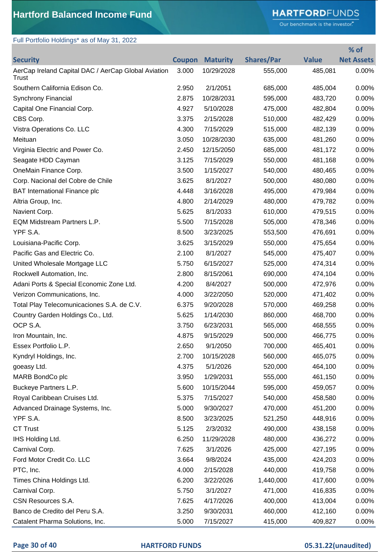# **HARTFORD**FUNDS

Our benchmark is the investor."

**% of** 

## Full Portfolio Holdings\* as of May 31, 2022

| <b>Security</b>                                              | <b>Coupon</b> | <b>Maturity</b> | <b>Shares/Par</b> | <b>Value</b> | <b>Net Assets</b> |
|--------------------------------------------------------------|---------------|-----------------|-------------------|--------------|-------------------|
| AerCap Ireland Capital DAC / AerCap Global Aviation<br>Trust | 3.000         | 10/29/2028      | 555,000           | 485,081      | 0.00%             |
| Southern California Edison Co.                               | 2.950         | 2/1/2051        | 685,000           | 485,004      | 0.00%             |
| <b>Synchrony Financial</b>                                   | 2.875         | 10/28/2031      | 595,000           | 483,720      | 0.00%             |
| Capital One Financial Corp.                                  | 4.927         | 5/10/2028       | 475,000           | 482,804      | 0.00%             |
| CBS Corp.                                                    | 3.375         | 2/15/2028       | 510,000           | 482,429      | 0.00%             |
| Vistra Operations Co. LLC                                    | 4.300         | 7/15/2029       | 515,000           | 482,139      | 0.00%             |
| Meituan                                                      | 3.050         | 10/28/2030      | 635,000           | 481,260      | 0.00%             |
| Virginia Electric and Power Co.                              | 2.450         | 12/15/2050      | 685,000           | 481,172      | 0.00%             |
| Seagate HDD Cayman                                           | 3.125         | 7/15/2029       | 550,000           | 481,168      | 0.00%             |
| OneMain Finance Corp.                                        | 3.500         | 1/15/2027       | 540,000           | 480,465      | 0.00%             |
| Corp. Nacional del Cobre de Chile                            | 3.625         | 8/1/2027        | 500,000           | 480,080      | 0.00%             |
| <b>BAT International Finance plc</b>                         | 4.448         | 3/16/2028       | 495,000           | 479,984      | 0.00%             |
| Altria Group, Inc.                                           | 4.800         | 2/14/2029       | 480,000           | 479,782      | 0.00%             |
| Navient Corp.                                                | 5.625         | 8/1/2033        | 610,000           | 479,515      | 0.00%             |
| EQM Midstream Partners L.P.                                  | 5.500         | 7/15/2028       | 505,000           | 478,346      | 0.00%             |
| YPF S.A.                                                     | 8.500         | 3/23/2025       | 553,500           | 476,691      | 0.00%             |
| Louisiana-Pacific Corp.                                      | 3.625         | 3/15/2029       | 550,000           | 475,654      | 0.00%             |
| Pacific Gas and Electric Co.                                 | 2.100         | 8/1/2027        | 545,000           | 475,407      | 0.00%             |
| United Wholesale Mortgage LLC                                | 5.750         | 6/15/2027       | 525,000           | 474,314      | 0.00%             |
| Rockwell Automation, Inc.                                    | 2.800         | 8/15/2061       | 690,000           | 474,104      | 0.00%             |
| Adani Ports & Special Economic Zone Ltd.                     | 4.200         | 8/4/2027        | 500,000           | 472,976      | 0.00%             |
| Verizon Communications, Inc.                                 | 4.000         | 3/22/2050       | 520,000           | 471,402      | 0.00%             |
| Total Play Telecomunicaciones S.A. de C.V.                   | 6.375         | 9/20/2028       | 570,000           | 469,258      | 0.00%             |
| Country Garden Holdings Co., Ltd.                            | 5.625         | 1/14/2030       | 860,000           | 468,700      | 0.00%             |
| OCP S.A.                                                     | 3.750         | 6/23/2031       | 565,000           | 468,555      | 0.00%             |
| Iron Mountain, Inc.                                          | 4.875         | 9/15/2029       | 500,000           | 466,775      | 0.00%             |
| Essex Portfolio L.P                                          | 2.650         | 9/1/2050        | 700,000           | 465,401      | 0.00%             |
| Kyndryl Holdings, Inc.                                       | 2.700         | 10/15/2028      | 560,000           | 465,075      | 0.00%             |
| goeasy Ltd.                                                  | 4.375         | 5/1/2026        | 520,000           | 464,100      | 0.00%             |
| MARB BondCo plc                                              | 3.950         | 1/29/2031       | 555,000           | 461,150      | 0.00%             |
| Buckeye Partners L.P.                                        | 5.600         | 10/15/2044      | 595,000           | 459,057      | 0.00%             |
| Royal Caribbean Cruises Ltd.                                 | 5.375         | 7/15/2027       | 540,000           | 458,580      | 0.00%             |
| Advanced Drainage Systems, Inc.                              | 5.000         | 9/30/2027       | 470,000           | 451,200      | 0.00%             |
| YPF S.A.                                                     | 8.500         | 3/23/2025       | 521,250           | 448,916      | 0.00%             |
| <b>CT Trust</b>                                              | 5.125         | 2/3/2032        | 490,000           | 438,158      | 0.00%             |
| IHS Holding Ltd.                                             | 6.250         | 11/29/2028      | 480,000           | 436,272      | 0.00%             |
| Carnival Corp.                                               | 7.625         | 3/1/2026        | 425,000           | 427,195      | 0.00%             |
| Ford Motor Credit Co. LLC                                    | 3.664         | 9/8/2024        | 435,000           | 424,203      | 0.00%             |
| PTC, Inc.                                                    | 4.000         | 2/15/2028       | 440,000           | 419,758      | 0.00%             |
| Times China Holdings Ltd.                                    | 6.200         | 3/22/2026       | 1,440,000         | 417,600      | 0.00%             |
| Carnival Corp.                                               | 5.750         | 3/1/2027        | 471,000           | 416,835      | 0.00%             |
| CSN Resources S.A.                                           | 7.625         | 4/17/2026       | 400,000           | 413,004      | 0.00%             |
| Banco de Credito del Peru S.A.                               | 3.250         | 9/30/2031       | 460,000           | 412,160      | 0.00%             |
| Catalent Pharma Solutions, Inc.                              | 5.000         | 7/15/2027       | 415,000           | 409,827      | 0.00%             |
|                                                              |               |                 |                   |              |                   |

### **Page 30 of 40 HARTFORD FUNDS 05.31.22(unaudited)**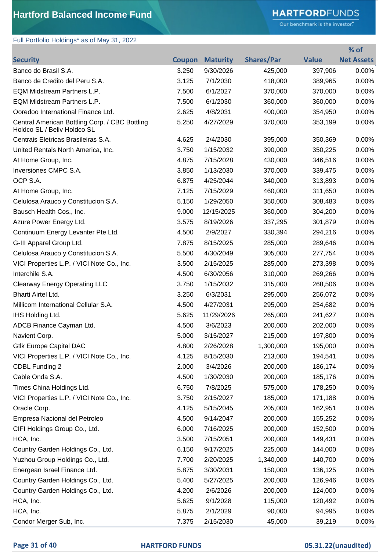# **HARTFORD**FUNDS

Our benchmark is the investor."

**% of** 

# Full Portfolio Holdings\* as of May 31, 2022

| <b>Security</b>                                                               | <b>Coupon</b> | <b>Maturity</b> | <b>Shares/Par</b> | <b>Value</b> | <b>Net Assets</b> |
|-------------------------------------------------------------------------------|---------------|-----------------|-------------------|--------------|-------------------|
| Banco do Brasil S.A.                                                          | 3.250         | 9/30/2026       | 425,000           | 397,906      | 0.00%             |
| Banco de Credito del Peru S.A.                                                | 3.125         | 7/1/2030        | 418,000           | 389,965      | 0.00%             |
| EQM Midstream Partners L.P.                                                   | 7.500         | 6/1/2027        | 370,000           | 370,000      | 0.00%             |
| <b>EQM Midstream Partners L.P.</b>                                            | 7.500         | 6/1/2030        | 360,000           | 360,000      | 0.00%             |
| Ooredoo International Finance Ltd.                                            | 2.625         | 4/8/2031        | 400,000           | 354,950      | 0.00%             |
| Central American Bottling Corp. / CBC Bottling<br>Holdco SL / Beliv Holdco SL | 5.250         | 4/27/2029       | 370,000           | 353,199      | 0.00%             |
| Centrais Eletricas Brasileiras S.A.                                           | 4.625         | 2/4/2030        | 395,000           | 350,369      | 0.00%             |
| United Rentals North America, Inc.                                            | 3.750         | 1/15/2032       | 390,000           | 350,225      | 0.00%             |
| At Home Group, Inc.                                                           | 4.875         | 7/15/2028       | 430,000           | 346,516      | $0.00\%$          |
| Inversiones CMPC S.A.                                                         | 3.850         | 1/13/2030       | 370,000           | 339,475      | 0.00%             |
| OCP S.A.                                                                      | 6.875         | 4/25/2044       | 340,000           | 313,893      | 0.00%             |
| At Home Group, Inc.                                                           | 7.125         | 7/15/2029       | 460,000           | 311,650      | 0.00%             |
| Celulosa Arauco y Constitucion S.A.                                           | 5.150         | 1/29/2050       | 350,000           | 308,483      | 0.00%             |
| Bausch Health Cos., Inc.                                                      | 9.000         | 12/15/2025      | 360,000           | 304,200      | 0.00%             |
| Azure Power Energy Ltd.                                                       | 3.575         | 8/19/2026       | 337,295           | 301,879      | 0.00%             |
| Continuum Energy Levanter Pte Ltd.                                            | 4.500         | 2/9/2027        | 330,394           | 294,216      | 0.00%             |
| G-III Apparel Group Ltd.                                                      | 7.875         | 8/15/2025       | 285,000           | 289,646      | 0.00%             |
| Celulosa Arauco y Constitucion S.A.                                           | 5.500         | 4/30/2049       | 305,000           | 277,754      | 0.00%             |
| VICI Properties L.P. / VICI Note Co., Inc.                                    | 3.500         | 2/15/2025       | 285,000           | 273,398      | 0.00%             |
| Interchile S.A.                                                               | 4.500         | 6/30/2056       | 310,000           | 269,266      | 0.00%             |
| <b>Clearway Energy Operating LLC</b>                                          | 3.750         | 1/15/2032       | 315,000           | 268,506      | 0.00%             |
| Bharti Airtel Ltd.                                                            | 3.250         | 6/3/2031        | 295,000           | 256,072      | 0.00%             |
| Millicom International Cellular S.A.                                          | 4.500         | 4/27/2031       | 295,000           | 254,682      | 0.00%             |
| IHS Holding Ltd.                                                              | 5.625         | 11/29/2026      | 265,000           | 241,627      | 0.00%             |
| ADCB Finance Cayman Ltd.                                                      | 4.500         | 3/6/2023        | 200,000           | 202,000      | 0.00%             |
| Navient Corp.                                                                 | 5.000         | 3/15/2027       | 215,000           | 197,800      | 0.00%             |
| <b>Gtlk Europe Capital DAC</b>                                                | 4.800         | 2/26/2028       | 1,300,000         | 195,000      | 0.00%             |
| VICI Properties L.P. / VICI Note Co., Inc.                                    | 4.125         | 8/15/2030       | 213,000           | 194,541      | $0.00\%$          |
| CDBL Funding 2                                                                | 2.000         | 3/4/2026        | 200,000           | 186,174      | $0.00\%$          |
| Cable Onda S.A.                                                               | 4.500         | 1/30/2030       | 200,000           | 185,176      | $0.00\%$          |
| Times China Holdings Ltd.                                                     | 6.750         | 7/8/2025        | 575,000           | 178,250      | 0.00%             |
| VICI Properties L.P. / VICI Note Co., Inc.                                    | 3.750         | 2/15/2027       | 185,000           | 171,188      | 0.00%             |
| Oracle Corp.                                                                  | 4.125         | 5/15/2045       | 205,000           | 162,951      | 0.00%             |
| Empresa Nacional del Petroleo                                                 | 4.500         | 9/14/2047       | 200,000           | 155,252      | 0.00%             |
| CIFI Holdings Group Co., Ltd.                                                 | 6.000         | 7/16/2025       | 200,000           | 152,500      | 0.00%             |
| HCA, Inc.                                                                     | 3.500         | 7/15/2051       | 200,000           | 149,431      | 0.00%             |
| Country Garden Holdings Co., Ltd.                                             | 6.150         | 9/17/2025       | 225,000           | 144,000      | 0.00%             |
| Yuzhou Group Holdings Co., Ltd.                                               | 7.700         | 2/20/2025       | 1,340,000         | 140,700      | 0.00%             |
| Energean Israel Finance Ltd.                                                  | 5.875         | 3/30/2031       | 150,000           | 136,125      | 0.00%             |
| Country Garden Holdings Co., Ltd.                                             | 5.400         | 5/27/2025       | 200,000           | 126,946      | $0.00\%$          |
| Country Garden Holdings Co., Ltd.                                             | 4.200         | 2/6/2026        | 200,000           | 124,000      | 0.00%             |
| HCA, Inc.                                                                     | 5.625         | 9/1/2028        | 115,000           | 120,492      | 0.00%             |
| HCA, Inc.                                                                     | 5.875         | 2/1/2029        | 90,000            | 94,995       | 0.00%             |
| Condor Merger Sub, Inc.                                                       | 7.375         | 2/15/2030       | 45,000            | 39,219       | 0.00%             |

### **Page 31 of 40 HARTFORD FUNDS 05.31.22(unaudited)**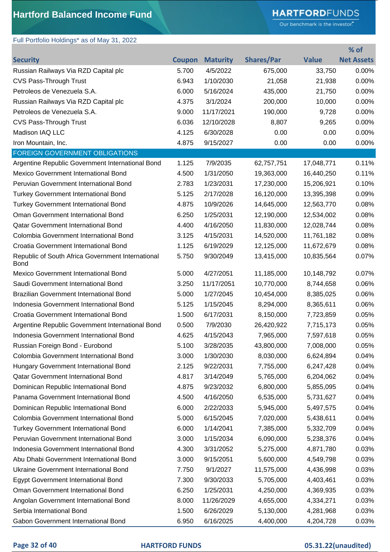Full Portfolio Holdings\* as of May 31, 2022

# **HARTFORD**FUNDS

Our benchmark is the investor."

| <b>Shares/Par</b><br><b>Value</b><br><b>Net Assets</b><br><b>Maturity</b><br><b>Security</b><br><b>Coupon</b><br>33,750<br>Russian Railways Via RZD Capital plc<br>5.700<br>4/5/2022<br>0.00%<br>675,000<br>1/10/2030<br>0.00%<br>CVS Pass-Through Trust<br>6.943<br>21,058<br>21,938<br>Petroleos de Venezuela S.A.<br>435,000<br>6.000<br>5/16/2024<br>21,750<br>0.00%<br>3/1/2024<br>Russian Railways Via RZD Capital plc<br>4.375<br>200,000<br>10,000<br>0.00%<br>Petroleos de Venezuela S.A.<br>9.000<br>11/17/2021<br>190,000<br>9,728<br>0.00%<br><b>CVS Pass-Through Trust</b><br>6.036<br>12/10/2028<br>8,807<br>9,265<br>0.00%<br>Madison IAQ LLC<br>4.125<br>0.00%<br>6/30/2028<br>0.00<br>0.00<br>Iron Mountain, Inc.<br>4.875<br>9/15/2027<br>0.00<br>0.00<br>0.00%<br><b>FOREIGN GOVERNMENT OBLIGATIONS</b><br>1.125<br>7/9/2035<br>Argentine Republic Government International Bond<br>17,048,771<br>0.11%<br>62,757,751<br>Mexico Government International Bond<br>4.500<br>1/31/2050<br>19,363,000<br>16,440,250<br>0.11%<br>Peruvian Government International Bond<br>2.783<br>1/23/2031<br>15,206,921<br>0.10%<br>17,230,000<br><b>Turkey Government International Bond</b><br>5.125<br>2/17/2028<br>16,120,000<br>13,395,398<br>0.09%<br>4.875<br>10/9/2026<br>14,645,000<br>12,563,770<br>0.08%<br><b>Turkey Government International Bond</b><br>Oman Government International Bond<br>6.250<br>1/25/2031<br>12,190,000<br>0.08%<br>12,534,002<br>4.400<br>Qatar Government International Bond<br>4/16/2050<br>11,830,000<br>12,028,744<br>0.08%<br>Colombia Government International Bond<br>3.125<br>4/15/2031<br>14,520,000<br>0.08%<br>11,761,182<br>1.125<br>Croatia Government International Bond<br>6/19/2029<br>12,125,000<br>11,672,679<br>0.08%<br>Republic of South Africa Government International<br>5.750<br>9/30/2049<br>13,415,000<br>10,835,564<br>0.07%<br><b>Bond</b><br>4/27/2051<br>Mexico Government International Bond<br>5.000<br>11,185,000<br>10,148,792<br>0.07%<br>Saudi Government International Bond<br>3.250<br>11/17/2051<br>10,770,000<br>0.06%<br>8,744,658<br><b>Brazilian Government International Bond</b><br>5.000<br>1/27/2045<br>0.06%<br>10,454,000<br>8,385,025<br>Indonesia Government International Bond<br>5.125<br>1/15/2045<br>8,294,000<br>8,365,611<br>0.06%<br>Croatia Government International Bond<br>1.500<br>6/17/2031<br>0.05%<br>8,150,000<br>7,723,859<br>Argentine Republic Government International Bond<br>0.500<br>7/9/2030<br>0.05%<br>26,420,922<br>7,715,173<br>4.625<br>Indonesia Government International Bond<br>4/15/2043<br>7,965,000<br>7,597,618<br>0.05%<br>Russian Foreign Bond - Eurobond<br>5.100<br>3/28/2035<br>43,800,000<br>7,008,000<br>0.05%<br>Colombia Government International Bond<br>3.000<br>1/30/2030<br>8,030,000<br>0.04%<br>6,624,894<br>Hungary Government International Bond<br>2.125<br>9/22/2031<br>0.04%<br>7,755,000<br>6,247,428<br>Qatar Government International Bond<br>4.817<br>3/14/2049<br>0.04%<br>5,765,000<br>6,204,062<br>Dominican Republic International Bond<br>4.875<br>9/23/2032<br>6,800,000<br>5,855,095<br>0.04%<br>Panama Government International Bond<br>4.500<br>4/16/2050<br>0.04%<br>6,535,000<br>5,731,627<br>Dominican Republic International Bond<br>6.000<br>2/22/2033<br>5,945,000<br>0.04%<br>5,497,575<br>Colombia Government International Bond<br>5.000<br>6/15/2045<br>7,020,000<br>5,438,611<br>0.04%<br><b>Turkey Government International Bond</b><br>6.000<br>1/14/2041<br>0.04%<br>7,385,000<br>5,332,709<br>Peruvian Government International Bond<br>3.000<br>1/15/2034<br>6,090,000<br>5,238,376<br>0.04%<br>Indonesia Government International Bond<br>4.300<br>3/31/2052<br>5,275,000<br>4,871,780<br>0.03%<br>Abu Dhabi Government International Bond<br>3.000<br>9/15/2051<br>5,600,000<br>4,549,798<br>0.03%<br><b>Ukraine Government International Bond</b><br>9/1/2027<br>11,575,000<br>7.750<br>4,436,998<br><b>Egypt Government International Bond</b><br>7.300<br>9/30/2033<br>5,705,000<br>4,403,461<br>0.03%<br>Oman Government International Bond<br>6.250<br>1/25/2031<br>0.03%<br>4,250,000<br>4,369,935<br>Angolan Government International Bond<br>8.000<br>11/26/2029<br>4,655,000<br>4,334,271<br>0.03%<br>Serbia International Bond<br>1.500<br>6/26/2029<br>5,130,000<br>4,281,968<br>6/16/2025<br>Gabon Government International Bond<br>6.950<br>4,400,000<br>0.03%<br>4,204,728 |  |  | % of |
|----------------------------------------------------------------------------------------------------------------------------------------------------------------------------------------------------------------------------------------------------------------------------------------------------------------------------------------------------------------------------------------------------------------------------------------------------------------------------------------------------------------------------------------------------------------------------------------------------------------------------------------------------------------------------------------------------------------------------------------------------------------------------------------------------------------------------------------------------------------------------------------------------------------------------------------------------------------------------------------------------------------------------------------------------------------------------------------------------------------------------------------------------------------------------------------------------------------------------------------------------------------------------------------------------------------------------------------------------------------------------------------------------------------------------------------------------------------------------------------------------------------------------------------------------------------------------------------------------------------------------------------------------------------------------------------------------------------------------------------------------------------------------------------------------------------------------------------------------------------------------------------------------------------------------------------------------------------------------------------------------------------------------------------------------------------------------------------------------------------------------------------------------------------------------------------------------------------------------------------------------------------------------------------------------------------------------------------------------------------------------------------------------------------------------------------------------------------------------------------------------------------------------------------------------------------------------------------------------------------------------------------------------------------------------------------------------------------------------------------------------------------------------------------------------------------------------------------------------------------------------------------------------------------------------------------------------------------------------------------------------------------------------------------------------------------------------------------------------------------------------------------------------------------------------------------------------------------------------------------------------------------------------------------------------------------------------------------------------------------------------------------------------------------------------------------------------------------------------------------------------------------------------------------------------------------------------------------------------------------------------------------------------------------------------------------------------------------------------------------------------------------------------------------------------------------------------------------------------------------------------------------------------------------------------------------------------------------------------------------------------------------------------------------------------------------------------------------------------------------------------------------------------------------------------------------------------------------------------------------------------------------------------------------------------------------------------------------------------------------------------------------------------------------------------------------------------------------------------|--|--|------|
|                                                                                                                                                                                                                                                                                                                                                                                                                                                                                                                                                                                                                                                                                                                                                                                                                                                                                                                                                                                                                                                                                                                                                                                                                                                                                                                                                                                                                                                                                                                                                                                                                                                                                                                                                                                                                                                                                                                                                                                                                                                                                                                                                                                                                                                                                                                                                                                                                                                                                                                                                                                                                                                                                                                                                                                                                                                                                                                                                                                                                                                                                                                                                                                                                                                                                                                                                                                                                                                                                                                                                                                                                                                                                                                                                                                                                                                                                                                                                                                                                                                                                                                                                                                                                                                                                                                                                                                                                                                                            |  |  |      |
|                                                                                                                                                                                                                                                                                                                                                                                                                                                                                                                                                                                                                                                                                                                                                                                                                                                                                                                                                                                                                                                                                                                                                                                                                                                                                                                                                                                                                                                                                                                                                                                                                                                                                                                                                                                                                                                                                                                                                                                                                                                                                                                                                                                                                                                                                                                                                                                                                                                                                                                                                                                                                                                                                                                                                                                                                                                                                                                                                                                                                                                                                                                                                                                                                                                                                                                                                                                                                                                                                                                                                                                                                                                                                                                                                                                                                                                                                                                                                                                                                                                                                                                                                                                                                                                                                                                                                                                                                                                                            |  |  |      |
|                                                                                                                                                                                                                                                                                                                                                                                                                                                                                                                                                                                                                                                                                                                                                                                                                                                                                                                                                                                                                                                                                                                                                                                                                                                                                                                                                                                                                                                                                                                                                                                                                                                                                                                                                                                                                                                                                                                                                                                                                                                                                                                                                                                                                                                                                                                                                                                                                                                                                                                                                                                                                                                                                                                                                                                                                                                                                                                                                                                                                                                                                                                                                                                                                                                                                                                                                                                                                                                                                                                                                                                                                                                                                                                                                                                                                                                                                                                                                                                                                                                                                                                                                                                                                                                                                                                                                                                                                                                                            |  |  |      |
|                                                                                                                                                                                                                                                                                                                                                                                                                                                                                                                                                                                                                                                                                                                                                                                                                                                                                                                                                                                                                                                                                                                                                                                                                                                                                                                                                                                                                                                                                                                                                                                                                                                                                                                                                                                                                                                                                                                                                                                                                                                                                                                                                                                                                                                                                                                                                                                                                                                                                                                                                                                                                                                                                                                                                                                                                                                                                                                                                                                                                                                                                                                                                                                                                                                                                                                                                                                                                                                                                                                                                                                                                                                                                                                                                                                                                                                                                                                                                                                                                                                                                                                                                                                                                                                                                                                                                                                                                                                                            |  |  |      |
|                                                                                                                                                                                                                                                                                                                                                                                                                                                                                                                                                                                                                                                                                                                                                                                                                                                                                                                                                                                                                                                                                                                                                                                                                                                                                                                                                                                                                                                                                                                                                                                                                                                                                                                                                                                                                                                                                                                                                                                                                                                                                                                                                                                                                                                                                                                                                                                                                                                                                                                                                                                                                                                                                                                                                                                                                                                                                                                                                                                                                                                                                                                                                                                                                                                                                                                                                                                                                                                                                                                                                                                                                                                                                                                                                                                                                                                                                                                                                                                                                                                                                                                                                                                                                                                                                                                                                                                                                                                                            |  |  |      |
|                                                                                                                                                                                                                                                                                                                                                                                                                                                                                                                                                                                                                                                                                                                                                                                                                                                                                                                                                                                                                                                                                                                                                                                                                                                                                                                                                                                                                                                                                                                                                                                                                                                                                                                                                                                                                                                                                                                                                                                                                                                                                                                                                                                                                                                                                                                                                                                                                                                                                                                                                                                                                                                                                                                                                                                                                                                                                                                                                                                                                                                                                                                                                                                                                                                                                                                                                                                                                                                                                                                                                                                                                                                                                                                                                                                                                                                                                                                                                                                                                                                                                                                                                                                                                                                                                                                                                                                                                                                                            |  |  |      |
| 0.03%<br>0.03%                                                                                                                                                                                                                                                                                                                                                                                                                                                                                                                                                                                                                                                                                                                                                                                                                                                                                                                                                                                                                                                                                                                                                                                                                                                                                                                                                                                                                                                                                                                                                                                                                                                                                                                                                                                                                                                                                                                                                                                                                                                                                                                                                                                                                                                                                                                                                                                                                                                                                                                                                                                                                                                                                                                                                                                                                                                                                                                                                                                                                                                                                                                                                                                                                                                                                                                                                                                                                                                                                                                                                                                                                                                                                                                                                                                                                                                                                                                                                                                                                                                                                                                                                                                                                                                                                                                                                                                                                                                             |  |  |      |
|                                                                                                                                                                                                                                                                                                                                                                                                                                                                                                                                                                                                                                                                                                                                                                                                                                                                                                                                                                                                                                                                                                                                                                                                                                                                                                                                                                                                                                                                                                                                                                                                                                                                                                                                                                                                                                                                                                                                                                                                                                                                                                                                                                                                                                                                                                                                                                                                                                                                                                                                                                                                                                                                                                                                                                                                                                                                                                                                                                                                                                                                                                                                                                                                                                                                                                                                                                                                                                                                                                                                                                                                                                                                                                                                                                                                                                                                                                                                                                                                                                                                                                                                                                                                                                                                                                                                                                                                                                                                            |  |  |      |
|                                                                                                                                                                                                                                                                                                                                                                                                                                                                                                                                                                                                                                                                                                                                                                                                                                                                                                                                                                                                                                                                                                                                                                                                                                                                                                                                                                                                                                                                                                                                                                                                                                                                                                                                                                                                                                                                                                                                                                                                                                                                                                                                                                                                                                                                                                                                                                                                                                                                                                                                                                                                                                                                                                                                                                                                                                                                                                                                                                                                                                                                                                                                                                                                                                                                                                                                                                                                                                                                                                                                                                                                                                                                                                                                                                                                                                                                                                                                                                                                                                                                                                                                                                                                                                                                                                                                                                                                                                                                            |  |  |      |
|                                                                                                                                                                                                                                                                                                                                                                                                                                                                                                                                                                                                                                                                                                                                                                                                                                                                                                                                                                                                                                                                                                                                                                                                                                                                                                                                                                                                                                                                                                                                                                                                                                                                                                                                                                                                                                                                                                                                                                                                                                                                                                                                                                                                                                                                                                                                                                                                                                                                                                                                                                                                                                                                                                                                                                                                                                                                                                                                                                                                                                                                                                                                                                                                                                                                                                                                                                                                                                                                                                                                                                                                                                                                                                                                                                                                                                                                                                                                                                                                                                                                                                                                                                                                                                                                                                                                                                                                                                                                            |  |  |      |
|                                                                                                                                                                                                                                                                                                                                                                                                                                                                                                                                                                                                                                                                                                                                                                                                                                                                                                                                                                                                                                                                                                                                                                                                                                                                                                                                                                                                                                                                                                                                                                                                                                                                                                                                                                                                                                                                                                                                                                                                                                                                                                                                                                                                                                                                                                                                                                                                                                                                                                                                                                                                                                                                                                                                                                                                                                                                                                                                                                                                                                                                                                                                                                                                                                                                                                                                                                                                                                                                                                                                                                                                                                                                                                                                                                                                                                                                                                                                                                                                                                                                                                                                                                                                                                                                                                                                                                                                                                                                            |  |  |      |
|                                                                                                                                                                                                                                                                                                                                                                                                                                                                                                                                                                                                                                                                                                                                                                                                                                                                                                                                                                                                                                                                                                                                                                                                                                                                                                                                                                                                                                                                                                                                                                                                                                                                                                                                                                                                                                                                                                                                                                                                                                                                                                                                                                                                                                                                                                                                                                                                                                                                                                                                                                                                                                                                                                                                                                                                                                                                                                                                                                                                                                                                                                                                                                                                                                                                                                                                                                                                                                                                                                                                                                                                                                                                                                                                                                                                                                                                                                                                                                                                                                                                                                                                                                                                                                                                                                                                                                                                                                                                            |  |  |      |
|                                                                                                                                                                                                                                                                                                                                                                                                                                                                                                                                                                                                                                                                                                                                                                                                                                                                                                                                                                                                                                                                                                                                                                                                                                                                                                                                                                                                                                                                                                                                                                                                                                                                                                                                                                                                                                                                                                                                                                                                                                                                                                                                                                                                                                                                                                                                                                                                                                                                                                                                                                                                                                                                                                                                                                                                                                                                                                                                                                                                                                                                                                                                                                                                                                                                                                                                                                                                                                                                                                                                                                                                                                                                                                                                                                                                                                                                                                                                                                                                                                                                                                                                                                                                                                                                                                                                                                                                                                                                            |  |  |      |
|                                                                                                                                                                                                                                                                                                                                                                                                                                                                                                                                                                                                                                                                                                                                                                                                                                                                                                                                                                                                                                                                                                                                                                                                                                                                                                                                                                                                                                                                                                                                                                                                                                                                                                                                                                                                                                                                                                                                                                                                                                                                                                                                                                                                                                                                                                                                                                                                                                                                                                                                                                                                                                                                                                                                                                                                                                                                                                                                                                                                                                                                                                                                                                                                                                                                                                                                                                                                                                                                                                                                                                                                                                                                                                                                                                                                                                                                                                                                                                                                                                                                                                                                                                                                                                                                                                                                                                                                                                                                            |  |  |      |
|                                                                                                                                                                                                                                                                                                                                                                                                                                                                                                                                                                                                                                                                                                                                                                                                                                                                                                                                                                                                                                                                                                                                                                                                                                                                                                                                                                                                                                                                                                                                                                                                                                                                                                                                                                                                                                                                                                                                                                                                                                                                                                                                                                                                                                                                                                                                                                                                                                                                                                                                                                                                                                                                                                                                                                                                                                                                                                                                                                                                                                                                                                                                                                                                                                                                                                                                                                                                                                                                                                                                                                                                                                                                                                                                                                                                                                                                                                                                                                                                                                                                                                                                                                                                                                                                                                                                                                                                                                                                            |  |  |      |
|                                                                                                                                                                                                                                                                                                                                                                                                                                                                                                                                                                                                                                                                                                                                                                                                                                                                                                                                                                                                                                                                                                                                                                                                                                                                                                                                                                                                                                                                                                                                                                                                                                                                                                                                                                                                                                                                                                                                                                                                                                                                                                                                                                                                                                                                                                                                                                                                                                                                                                                                                                                                                                                                                                                                                                                                                                                                                                                                                                                                                                                                                                                                                                                                                                                                                                                                                                                                                                                                                                                                                                                                                                                                                                                                                                                                                                                                                                                                                                                                                                                                                                                                                                                                                                                                                                                                                                                                                                                                            |  |  |      |
|                                                                                                                                                                                                                                                                                                                                                                                                                                                                                                                                                                                                                                                                                                                                                                                                                                                                                                                                                                                                                                                                                                                                                                                                                                                                                                                                                                                                                                                                                                                                                                                                                                                                                                                                                                                                                                                                                                                                                                                                                                                                                                                                                                                                                                                                                                                                                                                                                                                                                                                                                                                                                                                                                                                                                                                                                                                                                                                                                                                                                                                                                                                                                                                                                                                                                                                                                                                                                                                                                                                                                                                                                                                                                                                                                                                                                                                                                                                                                                                                                                                                                                                                                                                                                                                                                                                                                                                                                                                                            |  |  |      |
|                                                                                                                                                                                                                                                                                                                                                                                                                                                                                                                                                                                                                                                                                                                                                                                                                                                                                                                                                                                                                                                                                                                                                                                                                                                                                                                                                                                                                                                                                                                                                                                                                                                                                                                                                                                                                                                                                                                                                                                                                                                                                                                                                                                                                                                                                                                                                                                                                                                                                                                                                                                                                                                                                                                                                                                                                                                                                                                                                                                                                                                                                                                                                                                                                                                                                                                                                                                                                                                                                                                                                                                                                                                                                                                                                                                                                                                                                                                                                                                                                                                                                                                                                                                                                                                                                                                                                                                                                                                                            |  |  |      |
|                                                                                                                                                                                                                                                                                                                                                                                                                                                                                                                                                                                                                                                                                                                                                                                                                                                                                                                                                                                                                                                                                                                                                                                                                                                                                                                                                                                                                                                                                                                                                                                                                                                                                                                                                                                                                                                                                                                                                                                                                                                                                                                                                                                                                                                                                                                                                                                                                                                                                                                                                                                                                                                                                                                                                                                                                                                                                                                                                                                                                                                                                                                                                                                                                                                                                                                                                                                                                                                                                                                                                                                                                                                                                                                                                                                                                                                                                                                                                                                                                                                                                                                                                                                                                                                                                                                                                                                                                                                                            |  |  |      |
|                                                                                                                                                                                                                                                                                                                                                                                                                                                                                                                                                                                                                                                                                                                                                                                                                                                                                                                                                                                                                                                                                                                                                                                                                                                                                                                                                                                                                                                                                                                                                                                                                                                                                                                                                                                                                                                                                                                                                                                                                                                                                                                                                                                                                                                                                                                                                                                                                                                                                                                                                                                                                                                                                                                                                                                                                                                                                                                                                                                                                                                                                                                                                                                                                                                                                                                                                                                                                                                                                                                                                                                                                                                                                                                                                                                                                                                                                                                                                                                                                                                                                                                                                                                                                                                                                                                                                                                                                                                                            |  |  |      |
|                                                                                                                                                                                                                                                                                                                                                                                                                                                                                                                                                                                                                                                                                                                                                                                                                                                                                                                                                                                                                                                                                                                                                                                                                                                                                                                                                                                                                                                                                                                                                                                                                                                                                                                                                                                                                                                                                                                                                                                                                                                                                                                                                                                                                                                                                                                                                                                                                                                                                                                                                                                                                                                                                                                                                                                                                                                                                                                                                                                                                                                                                                                                                                                                                                                                                                                                                                                                                                                                                                                                                                                                                                                                                                                                                                                                                                                                                                                                                                                                                                                                                                                                                                                                                                                                                                                                                                                                                                                                            |  |  |      |
|                                                                                                                                                                                                                                                                                                                                                                                                                                                                                                                                                                                                                                                                                                                                                                                                                                                                                                                                                                                                                                                                                                                                                                                                                                                                                                                                                                                                                                                                                                                                                                                                                                                                                                                                                                                                                                                                                                                                                                                                                                                                                                                                                                                                                                                                                                                                                                                                                                                                                                                                                                                                                                                                                                                                                                                                                                                                                                                                                                                                                                                                                                                                                                                                                                                                                                                                                                                                                                                                                                                                                                                                                                                                                                                                                                                                                                                                                                                                                                                                                                                                                                                                                                                                                                                                                                                                                                                                                                                                            |  |  |      |
|                                                                                                                                                                                                                                                                                                                                                                                                                                                                                                                                                                                                                                                                                                                                                                                                                                                                                                                                                                                                                                                                                                                                                                                                                                                                                                                                                                                                                                                                                                                                                                                                                                                                                                                                                                                                                                                                                                                                                                                                                                                                                                                                                                                                                                                                                                                                                                                                                                                                                                                                                                                                                                                                                                                                                                                                                                                                                                                                                                                                                                                                                                                                                                                                                                                                                                                                                                                                                                                                                                                                                                                                                                                                                                                                                                                                                                                                                                                                                                                                                                                                                                                                                                                                                                                                                                                                                                                                                                                                            |  |  |      |
|                                                                                                                                                                                                                                                                                                                                                                                                                                                                                                                                                                                                                                                                                                                                                                                                                                                                                                                                                                                                                                                                                                                                                                                                                                                                                                                                                                                                                                                                                                                                                                                                                                                                                                                                                                                                                                                                                                                                                                                                                                                                                                                                                                                                                                                                                                                                                                                                                                                                                                                                                                                                                                                                                                                                                                                                                                                                                                                                                                                                                                                                                                                                                                                                                                                                                                                                                                                                                                                                                                                                                                                                                                                                                                                                                                                                                                                                                                                                                                                                                                                                                                                                                                                                                                                                                                                                                                                                                                                                            |  |  |      |
|                                                                                                                                                                                                                                                                                                                                                                                                                                                                                                                                                                                                                                                                                                                                                                                                                                                                                                                                                                                                                                                                                                                                                                                                                                                                                                                                                                                                                                                                                                                                                                                                                                                                                                                                                                                                                                                                                                                                                                                                                                                                                                                                                                                                                                                                                                                                                                                                                                                                                                                                                                                                                                                                                                                                                                                                                                                                                                                                                                                                                                                                                                                                                                                                                                                                                                                                                                                                                                                                                                                                                                                                                                                                                                                                                                                                                                                                                                                                                                                                                                                                                                                                                                                                                                                                                                                                                                                                                                                                            |  |  |      |
|                                                                                                                                                                                                                                                                                                                                                                                                                                                                                                                                                                                                                                                                                                                                                                                                                                                                                                                                                                                                                                                                                                                                                                                                                                                                                                                                                                                                                                                                                                                                                                                                                                                                                                                                                                                                                                                                                                                                                                                                                                                                                                                                                                                                                                                                                                                                                                                                                                                                                                                                                                                                                                                                                                                                                                                                                                                                                                                                                                                                                                                                                                                                                                                                                                                                                                                                                                                                                                                                                                                                                                                                                                                                                                                                                                                                                                                                                                                                                                                                                                                                                                                                                                                                                                                                                                                                                                                                                                                                            |  |  |      |
|                                                                                                                                                                                                                                                                                                                                                                                                                                                                                                                                                                                                                                                                                                                                                                                                                                                                                                                                                                                                                                                                                                                                                                                                                                                                                                                                                                                                                                                                                                                                                                                                                                                                                                                                                                                                                                                                                                                                                                                                                                                                                                                                                                                                                                                                                                                                                                                                                                                                                                                                                                                                                                                                                                                                                                                                                                                                                                                                                                                                                                                                                                                                                                                                                                                                                                                                                                                                                                                                                                                                                                                                                                                                                                                                                                                                                                                                                                                                                                                                                                                                                                                                                                                                                                                                                                                                                                                                                                                                            |  |  |      |
|                                                                                                                                                                                                                                                                                                                                                                                                                                                                                                                                                                                                                                                                                                                                                                                                                                                                                                                                                                                                                                                                                                                                                                                                                                                                                                                                                                                                                                                                                                                                                                                                                                                                                                                                                                                                                                                                                                                                                                                                                                                                                                                                                                                                                                                                                                                                                                                                                                                                                                                                                                                                                                                                                                                                                                                                                                                                                                                                                                                                                                                                                                                                                                                                                                                                                                                                                                                                                                                                                                                                                                                                                                                                                                                                                                                                                                                                                                                                                                                                                                                                                                                                                                                                                                                                                                                                                                                                                                                                            |  |  |      |
|                                                                                                                                                                                                                                                                                                                                                                                                                                                                                                                                                                                                                                                                                                                                                                                                                                                                                                                                                                                                                                                                                                                                                                                                                                                                                                                                                                                                                                                                                                                                                                                                                                                                                                                                                                                                                                                                                                                                                                                                                                                                                                                                                                                                                                                                                                                                                                                                                                                                                                                                                                                                                                                                                                                                                                                                                                                                                                                                                                                                                                                                                                                                                                                                                                                                                                                                                                                                                                                                                                                                                                                                                                                                                                                                                                                                                                                                                                                                                                                                                                                                                                                                                                                                                                                                                                                                                                                                                                                                            |  |  |      |
|                                                                                                                                                                                                                                                                                                                                                                                                                                                                                                                                                                                                                                                                                                                                                                                                                                                                                                                                                                                                                                                                                                                                                                                                                                                                                                                                                                                                                                                                                                                                                                                                                                                                                                                                                                                                                                                                                                                                                                                                                                                                                                                                                                                                                                                                                                                                                                                                                                                                                                                                                                                                                                                                                                                                                                                                                                                                                                                                                                                                                                                                                                                                                                                                                                                                                                                                                                                                                                                                                                                                                                                                                                                                                                                                                                                                                                                                                                                                                                                                                                                                                                                                                                                                                                                                                                                                                                                                                                                                            |  |  |      |
|                                                                                                                                                                                                                                                                                                                                                                                                                                                                                                                                                                                                                                                                                                                                                                                                                                                                                                                                                                                                                                                                                                                                                                                                                                                                                                                                                                                                                                                                                                                                                                                                                                                                                                                                                                                                                                                                                                                                                                                                                                                                                                                                                                                                                                                                                                                                                                                                                                                                                                                                                                                                                                                                                                                                                                                                                                                                                                                                                                                                                                                                                                                                                                                                                                                                                                                                                                                                                                                                                                                                                                                                                                                                                                                                                                                                                                                                                                                                                                                                                                                                                                                                                                                                                                                                                                                                                                                                                                                                            |  |  |      |
|                                                                                                                                                                                                                                                                                                                                                                                                                                                                                                                                                                                                                                                                                                                                                                                                                                                                                                                                                                                                                                                                                                                                                                                                                                                                                                                                                                                                                                                                                                                                                                                                                                                                                                                                                                                                                                                                                                                                                                                                                                                                                                                                                                                                                                                                                                                                                                                                                                                                                                                                                                                                                                                                                                                                                                                                                                                                                                                                                                                                                                                                                                                                                                                                                                                                                                                                                                                                                                                                                                                                                                                                                                                                                                                                                                                                                                                                                                                                                                                                                                                                                                                                                                                                                                                                                                                                                                                                                                                                            |  |  |      |
|                                                                                                                                                                                                                                                                                                                                                                                                                                                                                                                                                                                                                                                                                                                                                                                                                                                                                                                                                                                                                                                                                                                                                                                                                                                                                                                                                                                                                                                                                                                                                                                                                                                                                                                                                                                                                                                                                                                                                                                                                                                                                                                                                                                                                                                                                                                                                                                                                                                                                                                                                                                                                                                                                                                                                                                                                                                                                                                                                                                                                                                                                                                                                                                                                                                                                                                                                                                                                                                                                                                                                                                                                                                                                                                                                                                                                                                                                                                                                                                                                                                                                                                                                                                                                                                                                                                                                                                                                                                                            |  |  |      |
|                                                                                                                                                                                                                                                                                                                                                                                                                                                                                                                                                                                                                                                                                                                                                                                                                                                                                                                                                                                                                                                                                                                                                                                                                                                                                                                                                                                                                                                                                                                                                                                                                                                                                                                                                                                                                                                                                                                                                                                                                                                                                                                                                                                                                                                                                                                                                                                                                                                                                                                                                                                                                                                                                                                                                                                                                                                                                                                                                                                                                                                                                                                                                                                                                                                                                                                                                                                                                                                                                                                                                                                                                                                                                                                                                                                                                                                                                                                                                                                                                                                                                                                                                                                                                                                                                                                                                                                                                                                                            |  |  |      |
|                                                                                                                                                                                                                                                                                                                                                                                                                                                                                                                                                                                                                                                                                                                                                                                                                                                                                                                                                                                                                                                                                                                                                                                                                                                                                                                                                                                                                                                                                                                                                                                                                                                                                                                                                                                                                                                                                                                                                                                                                                                                                                                                                                                                                                                                                                                                                                                                                                                                                                                                                                                                                                                                                                                                                                                                                                                                                                                                                                                                                                                                                                                                                                                                                                                                                                                                                                                                                                                                                                                                                                                                                                                                                                                                                                                                                                                                                                                                                                                                                                                                                                                                                                                                                                                                                                                                                                                                                                                                            |  |  |      |
|                                                                                                                                                                                                                                                                                                                                                                                                                                                                                                                                                                                                                                                                                                                                                                                                                                                                                                                                                                                                                                                                                                                                                                                                                                                                                                                                                                                                                                                                                                                                                                                                                                                                                                                                                                                                                                                                                                                                                                                                                                                                                                                                                                                                                                                                                                                                                                                                                                                                                                                                                                                                                                                                                                                                                                                                                                                                                                                                                                                                                                                                                                                                                                                                                                                                                                                                                                                                                                                                                                                                                                                                                                                                                                                                                                                                                                                                                                                                                                                                                                                                                                                                                                                                                                                                                                                                                                                                                                                                            |  |  |      |
|                                                                                                                                                                                                                                                                                                                                                                                                                                                                                                                                                                                                                                                                                                                                                                                                                                                                                                                                                                                                                                                                                                                                                                                                                                                                                                                                                                                                                                                                                                                                                                                                                                                                                                                                                                                                                                                                                                                                                                                                                                                                                                                                                                                                                                                                                                                                                                                                                                                                                                                                                                                                                                                                                                                                                                                                                                                                                                                                                                                                                                                                                                                                                                                                                                                                                                                                                                                                                                                                                                                                                                                                                                                                                                                                                                                                                                                                                                                                                                                                                                                                                                                                                                                                                                                                                                                                                                                                                                                                            |  |  |      |
|                                                                                                                                                                                                                                                                                                                                                                                                                                                                                                                                                                                                                                                                                                                                                                                                                                                                                                                                                                                                                                                                                                                                                                                                                                                                                                                                                                                                                                                                                                                                                                                                                                                                                                                                                                                                                                                                                                                                                                                                                                                                                                                                                                                                                                                                                                                                                                                                                                                                                                                                                                                                                                                                                                                                                                                                                                                                                                                                                                                                                                                                                                                                                                                                                                                                                                                                                                                                                                                                                                                                                                                                                                                                                                                                                                                                                                                                                                                                                                                                                                                                                                                                                                                                                                                                                                                                                                                                                                                                            |  |  |      |
|                                                                                                                                                                                                                                                                                                                                                                                                                                                                                                                                                                                                                                                                                                                                                                                                                                                                                                                                                                                                                                                                                                                                                                                                                                                                                                                                                                                                                                                                                                                                                                                                                                                                                                                                                                                                                                                                                                                                                                                                                                                                                                                                                                                                                                                                                                                                                                                                                                                                                                                                                                                                                                                                                                                                                                                                                                                                                                                                                                                                                                                                                                                                                                                                                                                                                                                                                                                                                                                                                                                                                                                                                                                                                                                                                                                                                                                                                                                                                                                                                                                                                                                                                                                                                                                                                                                                                                                                                                                                            |  |  |      |
|                                                                                                                                                                                                                                                                                                                                                                                                                                                                                                                                                                                                                                                                                                                                                                                                                                                                                                                                                                                                                                                                                                                                                                                                                                                                                                                                                                                                                                                                                                                                                                                                                                                                                                                                                                                                                                                                                                                                                                                                                                                                                                                                                                                                                                                                                                                                                                                                                                                                                                                                                                                                                                                                                                                                                                                                                                                                                                                                                                                                                                                                                                                                                                                                                                                                                                                                                                                                                                                                                                                                                                                                                                                                                                                                                                                                                                                                                                                                                                                                                                                                                                                                                                                                                                                                                                                                                                                                                                                                            |  |  |      |
|                                                                                                                                                                                                                                                                                                                                                                                                                                                                                                                                                                                                                                                                                                                                                                                                                                                                                                                                                                                                                                                                                                                                                                                                                                                                                                                                                                                                                                                                                                                                                                                                                                                                                                                                                                                                                                                                                                                                                                                                                                                                                                                                                                                                                                                                                                                                                                                                                                                                                                                                                                                                                                                                                                                                                                                                                                                                                                                                                                                                                                                                                                                                                                                                                                                                                                                                                                                                                                                                                                                                                                                                                                                                                                                                                                                                                                                                                                                                                                                                                                                                                                                                                                                                                                                                                                                                                                                                                                                                            |  |  |      |
|                                                                                                                                                                                                                                                                                                                                                                                                                                                                                                                                                                                                                                                                                                                                                                                                                                                                                                                                                                                                                                                                                                                                                                                                                                                                                                                                                                                                                                                                                                                                                                                                                                                                                                                                                                                                                                                                                                                                                                                                                                                                                                                                                                                                                                                                                                                                                                                                                                                                                                                                                                                                                                                                                                                                                                                                                                                                                                                                                                                                                                                                                                                                                                                                                                                                                                                                                                                                                                                                                                                                                                                                                                                                                                                                                                                                                                                                                                                                                                                                                                                                                                                                                                                                                                                                                                                                                                                                                                                                            |  |  |      |
|                                                                                                                                                                                                                                                                                                                                                                                                                                                                                                                                                                                                                                                                                                                                                                                                                                                                                                                                                                                                                                                                                                                                                                                                                                                                                                                                                                                                                                                                                                                                                                                                                                                                                                                                                                                                                                                                                                                                                                                                                                                                                                                                                                                                                                                                                                                                                                                                                                                                                                                                                                                                                                                                                                                                                                                                                                                                                                                                                                                                                                                                                                                                                                                                                                                                                                                                                                                                                                                                                                                                                                                                                                                                                                                                                                                                                                                                                                                                                                                                                                                                                                                                                                                                                                                                                                                                                                                                                                                                            |  |  |      |
|                                                                                                                                                                                                                                                                                                                                                                                                                                                                                                                                                                                                                                                                                                                                                                                                                                                                                                                                                                                                                                                                                                                                                                                                                                                                                                                                                                                                                                                                                                                                                                                                                                                                                                                                                                                                                                                                                                                                                                                                                                                                                                                                                                                                                                                                                                                                                                                                                                                                                                                                                                                                                                                                                                                                                                                                                                                                                                                                                                                                                                                                                                                                                                                                                                                                                                                                                                                                                                                                                                                                                                                                                                                                                                                                                                                                                                                                                                                                                                                                                                                                                                                                                                                                                                                                                                                                                                                                                                                                            |  |  |      |
|                                                                                                                                                                                                                                                                                                                                                                                                                                                                                                                                                                                                                                                                                                                                                                                                                                                                                                                                                                                                                                                                                                                                                                                                                                                                                                                                                                                                                                                                                                                                                                                                                                                                                                                                                                                                                                                                                                                                                                                                                                                                                                                                                                                                                                                                                                                                                                                                                                                                                                                                                                                                                                                                                                                                                                                                                                                                                                                                                                                                                                                                                                                                                                                                                                                                                                                                                                                                                                                                                                                                                                                                                                                                                                                                                                                                                                                                                                                                                                                                                                                                                                                                                                                                                                                                                                                                                                                                                                                                            |  |  |      |

### **Page 32 of 40 HARTFORD FUNDS 05.31.22(unaudited)**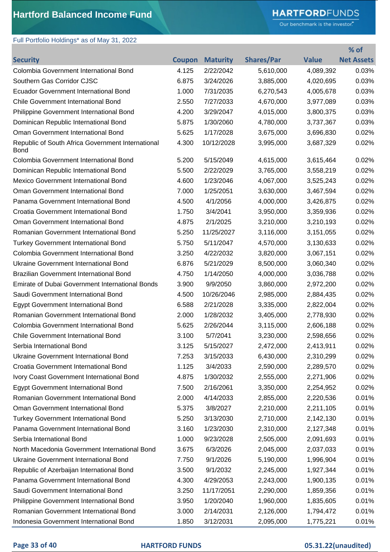### Full Portfolio Holdings\* as of May 31, 2022

# **HARTFORD**FUNDS

Our benchmark is the investor."

|                                                                  |        |                 |                   |              | % of              |
|------------------------------------------------------------------|--------|-----------------|-------------------|--------------|-------------------|
| <b>Security</b>                                                  | Coupon | <b>Maturity</b> | <b>Shares/Par</b> | <b>Value</b> | <b>Net Assets</b> |
| Colombia Government International Bond                           | 4.125  | 2/22/2042       | 5,610,000         | 4,089,392    | 0.03%             |
| Southern Gas Corridor CJSC                                       | 6.875  | 3/24/2026       | 3,885,000         | 4,020,695    | 0.03%             |
| <b>Ecuador Government International Bond</b>                     | 1.000  | 7/31/2035       | 6,270,543         | 4,005,678    | 0.03%             |
| <b>Chile Government International Bond</b>                       | 2.550  | 7/27/2033       | 4,670,000         | 3,977,089    | 0.03%             |
| Philippine Government International Bond                         | 4.200  | 3/29/2047       | 4,015,000         | 3,800,375    | 0.03%             |
| Dominican Republic International Bond                            | 5.875  | 1/30/2060       | 4,780,000         | 3,737,367    | 0.03%             |
| Oman Government International Bond                               | 5.625  | 1/17/2028       | 3,675,000         | 3,696,830    | 0.02%             |
| Republic of South Africa Government International<br><b>Bond</b> | 4.300  | 10/12/2028      | 3,995,000         | 3,687,329    | 0.02%             |
| Colombia Government International Bond                           | 5.200  | 5/15/2049       | 4,615,000         | 3,615,464    | 0.02%             |
| Dominican Republic International Bond                            | 5.500  | 2/22/2029       | 3,765,000         | 3,558,219    | 0.02%             |
| <b>Mexico Government International Bond</b>                      | 4.600  | 1/23/2046       | 4,067,000         | 3,525,243    | 0.02%             |
| Oman Government International Bond                               | 7.000  | 1/25/2051       | 3,630,000         | 3,467,594    | 0.02%             |
| Panama Government International Bond                             | 4.500  | 4/1/2056        | 4,000,000         | 3,426,875    | 0.02%             |
| Croatia Government International Bond                            | 1.750  | 3/4/2041        | 3,950,000         | 3,359,936    | 0.02%             |
| Oman Government International Bond                               | 4.875  | 2/1/2025        | 3,210,000         | 3,210,193    | 0.02%             |
| Romanian Government International Bond                           | 5.250  | 11/25/2027      | 3,116,000         | 3,151,055    | 0.02%             |
| <b>Turkey Government International Bond</b>                      | 5.750  | 5/11/2047       | 4,570,000         | 3,130,633    | 0.02%             |
| Colombia Government International Bond                           | 3.250  | 4/22/2032       | 3,820,000         | 3,067,151    | 0.02%             |
| Ukraine Government International Bond                            | 6.876  | 5/21/2029       | 8,500,000         | 3,060,340    | 0.02%             |
| Brazilian Government International Bond                          | 4.750  | 1/14/2050       | 4,000,000         | 3,036,788    | 0.02%             |
| Emirate of Dubai Government International Bonds                  | 3.900  | 9/9/2050        | 3,860,000         | 2,972,200    | 0.02%             |
| Saudi Government International Bond                              | 4.500  | 10/26/2046      | 2,985,000         | 2,884,435    | 0.02%             |
| <b>Egypt Government International Bond</b>                       | 6.588  | 2/21/2028       | 3,335,000         | 2,822,004    | 0.02%             |
| Romanian Government International Bond                           | 2.000  | 1/28/2032       | 3,405,000         | 2,778,930    | 0.02%             |
| Colombia Government International Bond                           | 5.625  | 2/26/2044       | 3,115,000         | 2,606,188    | 0.02%             |
| Chile Government International Bond                              | 3.100  | 5/7/2041        | 3,230,000         | 2,598,656    | 0.02%             |
| Serbia International Bond                                        | 3.125  | 5/15/2027       | 2,472,000         | 2,413,911    | 0.02%             |
| <b>Ukraine Government International Bond</b>                     | 7.253  | 3/15/2033       | 6,430,000         | 2,310,299    | 0.02%             |
| Croatia Government International Bond                            | 1.125  | 3/4/2033        | 2,590,000         | 2,289,570    | 0.02%             |
| Ivory Coast Government International Bond                        | 4.875  | 1/30/2032       | 2,555,000         | 2,271,906    | 0.02%             |
| <b>Egypt Government International Bond</b>                       | 7.500  | 2/16/2061       | 3,350,000         | 2,254,952    | 0.02%             |
| Romanian Government International Bond                           | 2.000  | 4/14/2033       | 2,855,000         | 2,220,536    | 0.01%             |
| Oman Government International Bond                               | 5.375  | 3/8/2027        | 2,210,000         | 2,211,105    | 0.01%             |
| <b>Turkey Government International Bond</b>                      | 5.250  | 3/13/2030       | 2,710,000         | 2,142,130    | 0.01%             |
| Panama Government International Bond                             | 3.160  | 1/23/2030       | 2,310,000         | 2,127,348    | 0.01%             |
| Serbia International Bond                                        | 1.000  | 9/23/2028       | 2,505,000         | 2,091,693    | 0.01%             |
| North Macedonia Government International Bond                    | 3.675  | 6/3/2026        | 2,045,000         | 2,037,033    | 0.01%             |
| Ukraine Government International Bond                            | 7.750  | 9/1/2026        | 5,190,000         | 1,996,904    | 0.01%             |
| Republic of Azerbaijan International Bond                        | 3.500  | 9/1/2032        | 2,245,000         | 1,927,344    | 0.01%             |
| Panama Government International Bond                             | 4.300  | 4/29/2053       | 2,243,000         | 1,900,135    | 0.01%             |
| Saudi Government International Bond                              | 3.250  | 11/17/2051      | 2,290,000         | 1,859,356    | 0.01%             |
| Philippine Government International Bond                         | 3.950  | 1/20/2040       | 1,960,000         | 1,835,605    | 0.01%             |
| Romanian Government International Bond                           | 3.000  | 2/14/2031       | 2,126,000         | 1,794,472    | 0.01%             |
| Indonesia Government International Bond                          | 1.850  | 3/12/2031       | 2,095,000         | 1,775,221    | 0.01%             |

### **Page 33 of 40 HARTFORD FUNDS 05.31.22(unaudited)**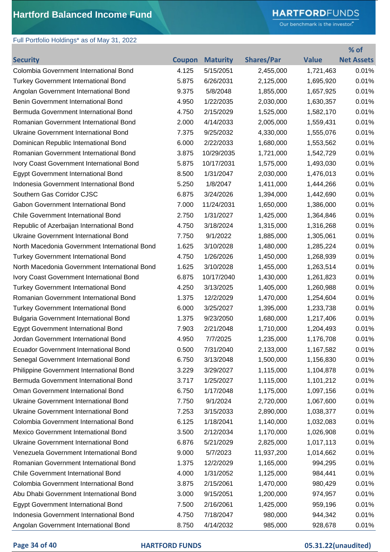# **HARTFORD**FUNDS

Our benchmark is the investor."

| <b>Shares/Par</b><br><b>Value</b><br><b>Net Assets</b><br><b>Coupon</b><br><b>Security</b><br><b>Maturity</b><br>5/15/2051<br>0.01%<br>Colombia Government International Bond<br>4.125<br>2,455,000<br>1,721,463<br>0.01%<br><b>Turkey Government International Bond</b><br>5.875<br>6/26/2031<br>2,125,000<br>1,695,920<br>0.01%<br>9.375<br>5/8/2048<br>1,855,000<br>1,657,925<br>Angolan Government International Bond<br>0.01%<br>Benin Government International Bond<br>4.950<br>1/22/2035<br>2,030,000<br>1,630,357<br>Bermuda Government International Bond<br>4.750<br>2/15/2029<br>0.01%<br>1,525,000<br>1,582,170<br>Romanian Government International Bond<br>2.000<br>4/14/2033<br>2,005,000<br>0.01%<br>1,559,431<br>0.01%<br>Ukraine Government International Bond<br>7.375<br>9/25/2032<br>4,330,000<br>1,555,076<br>Dominican Republic International Bond<br>6.000<br>2/22/2033<br>1,680,000<br>1,553,562<br>0.01%<br>3.875<br>0.01%<br>Romanian Government International Bond<br>10/29/2035<br>1,721,000<br>1,542,729<br>0.01%<br>Ivory Coast Government International Bond<br>5.875<br>10/17/2031<br>1,575,000<br>1,493,030<br>8.500<br>1/31/2047<br>2,030,000<br>1,476,013<br>0.01%<br><b>Egypt Government International Bond</b><br>Indonesia Government International Bond<br>5.250<br>1/8/2047<br>1,411,000<br>0.01%<br>1,444,266<br>0.01%<br>Southern Gas Corridor CJSC<br>6.875<br>3/24/2026<br>1,394,000<br>1,442,690<br>Gabon Government International Bond<br>7.000<br>11/24/2031<br>1,650,000<br>1,386,000<br>0.01%<br>0.01%<br>Chile Government International Bond<br>2.750<br>1/31/2027<br>1,425,000<br>1,364,846<br>Republic of Azerbaijan International Bond<br>4.750<br>3/18/2024<br>1,315,000<br>0.01%<br>1,316,268<br>Ukraine Government International Bond<br>7.750<br>9/1/2022<br>0.01%<br>1,885,000<br>1,305,061<br>North Macedonia Government International Bond<br>1.625<br>3/10/2028<br>1,480,000<br>0.01%<br>1,285,224<br>4.750<br>1/26/2026<br>1,450,000<br>0.01%<br><b>Turkey Government International Bond</b><br>1,268,939<br>North Macedonia Government International Bond<br>1.625<br>3/10/2028<br>0.01%<br>1,455,000<br>1,263,514<br>Ivory Coast Government International Bond<br>6.875<br>10/17/2040<br>1,430,000<br>0.01%<br>1,261,823<br>Turkey Government International Bond<br>4.250<br>1,405,000<br>0.01%<br>3/13/2025<br>1,260,988<br>Romanian Government International Bond<br>1.375<br>12/2/2029<br>0.01%<br>1,470,000<br>1,254,604<br><b>Turkey Government International Bond</b><br>6.000<br>3/25/2027<br>1,395,000<br>0.01%<br>1,233,738<br><b>Bulgaria Government International Bond</b><br>1.375<br>9/23/2050<br>1,680,000<br>1,217,406<br>0.01%<br>7.903<br>2/21/2048<br>1,204,493<br>0.01%<br><b>Egypt Government International Bond</b><br>1,710,000<br>7/7/2025<br>Jordan Government International Bond<br>4.950<br>1,235,000<br>1,176,708<br>0.01%<br><b>Ecuador Government International Bond</b><br>0.500<br>7/31/2040<br>2,133,000<br>0.01%<br>1,167,582<br>Senegal Government International Bond<br>6.750<br>3/13/2048<br>1,500,000<br>1,156,830<br>0.01%<br>Philippine Government International Bond<br>3.229<br>3/29/2027<br>1,115,000<br>1,104,878<br>0.01%<br>0.01%<br>Bermuda Government International Bond<br>1/25/2027<br>1,101,212<br>3.717<br>1,115,000<br>Oman Government International Bond<br>6.750<br>1/17/2048<br>1,175,000<br>1,097,156<br>0.01%<br><b>Ukraine Government International Bond</b><br>9/1/2024<br>0.01%<br>7.750<br>2,720,000<br>1,067,600<br>Ukraine Government International Bond<br>7.253<br>3/15/2033<br>2,890,000<br>1,038,377<br>0.01%<br>Colombia Government International Bond<br>6.125<br>1/18/2041<br>1,140,000<br>1,032,083<br>0.01%<br>Mexico Government International Bond<br>3.500<br>2/12/2034<br>0.01%<br>1,170,000<br>1,026,908<br>Ukraine Government International Bond<br>6.876<br>5/21/2029<br>2,825,000<br>1,017,113<br>0.01%<br>Venezuela Government International Bond<br>9.000<br>5/7/2023<br>11,937,200<br>1,014,662<br>0.01%<br>Romanian Government International Bond<br>0.01%<br>1.375<br>12/2/2029<br>1,165,000<br>994,295<br>Chile Government International Bond<br>4.000<br>1/31/2052<br>1,125,000<br>0.01%<br>984,441<br>Colombia Government International Bond<br>2/15/2061<br>1,470,000<br>0.01%<br>3.875<br>980,429<br>Abu Dhabi Government International Bond<br>3.000<br>9/15/2051<br>1,200,000<br>0.01%<br>974,957<br><b>Egypt Government International Bond</b><br>2/16/2061<br>1,425,000<br>0.01%<br>7.500<br>959,196<br>Indonesia Government International Bond<br>4.750<br>7/18/2047<br>980,000<br>0.01%<br>944,342 | Full Portfolio Holdings* as of May 31, 2022 |       |           |         |         |       |
|--------------------------------------------------------------------------------------------------------------------------------------------------------------------------------------------------------------------------------------------------------------------------------------------------------------------------------------------------------------------------------------------------------------------------------------------------------------------------------------------------------------------------------------------------------------------------------------------------------------------------------------------------------------------------------------------------------------------------------------------------------------------------------------------------------------------------------------------------------------------------------------------------------------------------------------------------------------------------------------------------------------------------------------------------------------------------------------------------------------------------------------------------------------------------------------------------------------------------------------------------------------------------------------------------------------------------------------------------------------------------------------------------------------------------------------------------------------------------------------------------------------------------------------------------------------------------------------------------------------------------------------------------------------------------------------------------------------------------------------------------------------------------------------------------------------------------------------------------------------------------------------------------------------------------------------------------------------------------------------------------------------------------------------------------------------------------------------------------------------------------------------------------------------------------------------------------------------------------------------------------------------------------------------------------------------------------------------------------------------------------------------------------------------------------------------------------------------------------------------------------------------------------------------------------------------------------------------------------------------------------------------------------------------------------------------------------------------------------------------------------------------------------------------------------------------------------------------------------------------------------------------------------------------------------------------------------------------------------------------------------------------------------------------------------------------------------------------------------------------------------------------------------------------------------------------------------------------------------------------------------------------------------------------------------------------------------------------------------------------------------------------------------------------------------------------------------------------------------------------------------------------------------------------------------------------------------------------------------------------------------------------------------------------------------------------------------------------------------------------------------------------------------------------------------------------------------------------------------------------------------------------------------------------------------------------------------------------------------------------------------------------------------------------------------------------------------------------------------------------------------------------------------------------------------------------------------------------------------------------------------------------------------------------------------------------------------------------------------------------------------------------------------------------------------------------------------------------------------------------------------------------------------------------------------------------------------------------------------------------------------------------------------------------------|---------------------------------------------|-------|-----------|---------|---------|-------|
|                                                                                                                                                                                                                                                                                                                                                                                                                                                                                                                                                                                                                                                                                                                                                                                                                                                                                                                                                                                                                                                                                                                                                                                                                                                                                                                                                                                                                                                                                                                                                                                                                                                                                                                                                                                                                                                                                                                                                                                                                                                                                                                                                                                                                                                                                                                                                                                                                                                                                                                                                                                                                                                                                                                                                                                                                                                                                                                                                                                                                                                                                                                                                                                                                                                                                                                                                                                                                                                                                                                                                                                                                                                                                                                                                                                                                                                                                                                                                                                                                                                                                                                                                                                                                                                                                                                                                                                                                                                                                                                                                                                                                                                                    |                                             |       |           |         |         | % of  |
|                                                                                                                                                                                                                                                                                                                                                                                                                                                                                                                                                                                                                                                                                                                                                                                                                                                                                                                                                                                                                                                                                                                                                                                                                                                                                                                                                                                                                                                                                                                                                                                                                                                                                                                                                                                                                                                                                                                                                                                                                                                                                                                                                                                                                                                                                                                                                                                                                                                                                                                                                                                                                                                                                                                                                                                                                                                                                                                                                                                                                                                                                                                                                                                                                                                                                                                                                                                                                                                                                                                                                                                                                                                                                                                                                                                                                                                                                                                                                                                                                                                                                                                                                                                                                                                                                                                                                                                                                                                                                                                                                                                                                                                                    |                                             |       |           |         |         |       |
|                                                                                                                                                                                                                                                                                                                                                                                                                                                                                                                                                                                                                                                                                                                                                                                                                                                                                                                                                                                                                                                                                                                                                                                                                                                                                                                                                                                                                                                                                                                                                                                                                                                                                                                                                                                                                                                                                                                                                                                                                                                                                                                                                                                                                                                                                                                                                                                                                                                                                                                                                                                                                                                                                                                                                                                                                                                                                                                                                                                                                                                                                                                                                                                                                                                                                                                                                                                                                                                                                                                                                                                                                                                                                                                                                                                                                                                                                                                                                                                                                                                                                                                                                                                                                                                                                                                                                                                                                                                                                                                                                                                                                                                                    |                                             |       |           |         |         |       |
|                                                                                                                                                                                                                                                                                                                                                                                                                                                                                                                                                                                                                                                                                                                                                                                                                                                                                                                                                                                                                                                                                                                                                                                                                                                                                                                                                                                                                                                                                                                                                                                                                                                                                                                                                                                                                                                                                                                                                                                                                                                                                                                                                                                                                                                                                                                                                                                                                                                                                                                                                                                                                                                                                                                                                                                                                                                                                                                                                                                                                                                                                                                                                                                                                                                                                                                                                                                                                                                                                                                                                                                                                                                                                                                                                                                                                                                                                                                                                                                                                                                                                                                                                                                                                                                                                                                                                                                                                                                                                                                                                                                                                                                                    |                                             |       |           |         |         |       |
|                                                                                                                                                                                                                                                                                                                                                                                                                                                                                                                                                                                                                                                                                                                                                                                                                                                                                                                                                                                                                                                                                                                                                                                                                                                                                                                                                                                                                                                                                                                                                                                                                                                                                                                                                                                                                                                                                                                                                                                                                                                                                                                                                                                                                                                                                                                                                                                                                                                                                                                                                                                                                                                                                                                                                                                                                                                                                                                                                                                                                                                                                                                                                                                                                                                                                                                                                                                                                                                                                                                                                                                                                                                                                                                                                                                                                                                                                                                                                                                                                                                                                                                                                                                                                                                                                                                                                                                                                                                                                                                                                                                                                                                                    |                                             |       |           |         |         |       |
|                                                                                                                                                                                                                                                                                                                                                                                                                                                                                                                                                                                                                                                                                                                                                                                                                                                                                                                                                                                                                                                                                                                                                                                                                                                                                                                                                                                                                                                                                                                                                                                                                                                                                                                                                                                                                                                                                                                                                                                                                                                                                                                                                                                                                                                                                                                                                                                                                                                                                                                                                                                                                                                                                                                                                                                                                                                                                                                                                                                                                                                                                                                                                                                                                                                                                                                                                                                                                                                                                                                                                                                                                                                                                                                                                                                                                                                                                                                                                                                                                                                                                                                                                                                                                                                                                                                                                                                                                                                                                                                                                                                                                                                                    |                                             |       |           |         |         |       |
|                                                                                                                                                                                                                                                                                                                                                                                                                                                                                                                                                                                                                                                                                                                                                                                                                                                                                                                                                                                                                                                                                                                                                                                                                                                                                                                                                                                                                                                                                                                                                                                                                                                                                                                                                                                                                                                                                                                                                                                                                                                                                                                                                                                                                                                                                                                                                                                                                                                                                                                                                                                                                                                                                                                                                                                                                                                                                                                                                                                                                                                                                                                                                                                                                                                                                                                                                                                                                                                                                                                                                                                                                                                                                                                                                                                                                                                                                                                                                                                                                                                                                                                                                                                                                                                                                                                                                                                                                                                                                                                                                                                                                                                                    |                                             |       |           |         |         |       |
|                                                                                                                                                                                                                                                                                                                                                                                                                                                                                                                                                                                                                                                                                                                                                                                                                                                                                                                                                                                                                                                                                                                                                                                                                                                                                                                                                                                                                                                                                                                                                                                                                                                                                                                                                                                                                                                                                                                                                                                                                                                                                                                                                                                                                                                                                                                                                                                                                                                                                                                                                                                                                                                                                                                                                                                                                                                                                                                                                                                                                                                                                                                                                                                                                                                                                                                                                                                                                                                                                                                                                                                                                                                                                                                                                                                                                                                                                                                                                                                                                                                                                                                                                                                                                                                                                                                                                                                                                                                                                                                                                                                                                                                                    |                                             |       |           |         |         |       |
|                                                                                                                                                                                                                                                                                                                                                                                                                                                                                                                                                                                                                                                                                                                                                                                                                                                                                                                                                                                                                                                                                                                                                                                                                                                                                                                                                                                                                                                                                                                                                                                                                                                                                                                                                                                                                                                                                                                                                                                                                                                                                                                                                                                                                                                                                                                                                                                                                                                                                                                                                                                                                                                                                                                                                                                                                                                                                                                                                                                                                                                                                                                                                                                                                                                                                                                                                                                                                                                                                                                                                                                                                                                                                                                                                                                                                                                                                                                                                                                                                                                                                                                                                                                                                                                                                                                                                                                                                                                                                                                                                                                                                                                                    |                                             |       |           |         |         |       |
|                                                                                                                                                                                                                                                                                                                                                                                                                                                                                                                                                                                                                                                                                                                                                                                                                                                                                                                                                                                                                                                                                                                                                                                                                                                                                                                                                                                                                                                                                                                                                                                                                                                                                                                                                                                                                                                                                                                                                                                                                                                                                                                                                                                                                                                                                                                                                                                                                                                                                                                                                                                                                                                                                                                                                                                                                                                                                                                                                                                                                                                                                                                                                                                                                                                                                                                                                                                                                                                                                                                                                                                                                                                                                                                                                                                                                                                                                                                                                                                                                                                                                                                                                                                                                                                                                                                                                                                                                                                                                                                                                                                                                                                                    |                                             |       |           |         |         |       |
|                                                                                                                                                                                                                                                                                                                                                                                                                                                                                                                                                                                                                                                                                                                                                                                                                                                                                                                                                                                                                                                                                                                                                                                                                                                                                                                                                                                                                                                                                                                                                                                                                                                                                                                                                                                                                                                                                                                                                                                                                                                                                                                                                                                                                                                                                                                                                                                                                                                                                                                                                                                                                                                                                                                                                                                                                                                                                                                                                                                                                                                                                                                                                                                                                                                                                                                                                                                                                                                                                                                                                                                                                                                                                                                                                                                                                                                                                                                                                                                                                                                                                                                                                                                                                                                                                                                                                                                                                                                                                                                                                                                                                                                                    |                                             |       |           |         |         |       |
|                                                                                                                                                                                                                                                                                                                                                                                                                                                                                                                                                                                                                                                                                                                                                                                                                                                                                                                                                                                                                                                                                                                                                                                                                                                                                                                                                                                                                                                                                                                                                                                                                                                                                                                                                                                                                                                                                                                                                                                                                                                                                                                                                                                                                                                                                                                                                                                                                                                                                                                                                                                                                                                                                                                                                                                                                                                                                                                                                                                                                                                                                                                                                                                                                                                                                                                                                                                                                                                                                                                                                                                                                                                                                                                                                                                                                                                                                                                                                                                                                                                                                                                                                                                                                                                                                                                                                                                                                                                                                                                                                                                                                                                                    |                                             |       |           |         |         |       |
|                                                                                                                                                                                                                                                                                                                                                                                                                                                                                                                                                                                                                                                                                                                                                                                                                                                                                                                                                                                                                                                                                                                                                                                                                                                                                                                                                                                                                                                                                                                                                                                                                                                                                                                                                                                                                                                                                                                                                                                                                                                                                                                                                                                                                                                                                                                                                                                                                                                                                                                                                                                                                                                                                                                                                                                                                                                                                                                                                                                                                                                                                                                                                                                                                                                                                                                                                                                                                                                                                                                                                                                                                                                                                                                                                                                                                                                                                                                                                                                                                                                                                                                                                                                                                                                                                                                                                                                                                                                                                                                                                                                                                                                                    |                                             |       |           |         |         |       |
|                                                                                                                                                                                                                                                                                                                                                                                                                                                                                                                                                                                                                                                                                                                                                                                                                                                                                                                                                                                                                                                                                                                                                                                                                                                                                                                                                                                                                                                                                                                                                                                                                                                                                                                                                                                                                                                                                                                                                                                                                                                                                                                                                                                                                                                                                                                                                                                                                                                                                                                                                                                                                                                                                                                                                                                                                                                                                                                                                                                                                                                                                                                                                                                                                                                                                                                                                                                                                                                                                                                                                                                                                                                                                                                                                                                                                                                                                                                                                                                                                                                                                                                                                                                                                                                                                                                                                                                                                                                                                                                                                                                                                                                                    |                                             |       |           |         |         |       |
|                                                                                                                                                                                                                                                                                                                                                                                                                                                                                                                                                                                                                                                                                                                                                                                                                                                                                                                                                                                                                                                                                                                                                                                                                                                                                                                                                                                                                                                                                                                                                                                                                                                                                                                                                                                                                                                                                                                                                                                                                                                                                                                                                                                                                                                                                                                                                                                                                                                                                                                                                                                                                                                                                                                                                                                                                                                                                                                                                                                                                                                                                                                                                                                                                                                                                                                                                                                                                                                                                                                                                                                                                                                                                                                                                                                                                                                                                                                                                                                                                                                                                                                                                                                                                                                                                                                                                                                                                                                                                                                                                                                                                                                                    |                                             |       |           |         |         |       |
|                                                                                                                                                                                                                                                                                                                                                                                                                                                                                                                                                                                                                                                                                                                                                                                                                                                                                                                                                                                                                                                                                                                                                                                                                                                                                                                                                                                                                                                                                                                                                                                                                                                                                                                                                                                                                                                                                                                                                                                                                                                                                                                                                                                                                                                                                                                                                                                                                                                                                                                                                                                                                                                                                                                                                                                                                                                                                                                                                                                                                                                                                                                                                                                                                                                                                                                                                                                                                                                                                                                                                                                                                                                                                                                                                                                                                                                                                                                                                                                                                                                                                                                                                                                                                                                                                                                                                                                                                                                                                                                                                                                                                                                                    |                                             |       |           |         |         |       |
|                                                                                                                                                                                                                                                                                                                                                                                                                                                                                                                                                                                                                                                                                                                                                                                                                                                                                                                                                                                                                                                                                                                                                                                                                                                                                                                                                                                                                                                                                                                                                                                                                                                                                                                                                                                                                                                                                                                                                                                                                                                                                                                                                                                                                                                                                                                                                                                                                                                                                                                                                                                                                                                                                                                                                                                                                                                                                                                                                                                                                                                                                                                                                                                                                                                                                                                                                                                                                                                                                                                                                                                                                                                                                                                                                                                                                                                                                                                                                                                                                                                                                                                                                                                                                                                                                                                                                                                                                                                                                                                                                                                                                                                                    |                                             |       |           |         |         |       |
|                                                                                                                                                                                                                                                                                                                                                                                                                                                                                                                                                                                                                                                                                                                                                                                                                                                                                                                                                                                                                                                                                                                                                                                                                                                                                                                                                                                                                                                                                                                                                                                                                                                                                                                                                                                                                                                                                                                                                                                                                                                                                                                                                                                                                                                                                                                                                                                                                                                                                                                                                                                                                                                                                                                                                                                                                                                                                                                                                                                                                                                                                                                                                                                                                                                                                                                                                                                                                                                                                                                                                                                                                                                                                                                                                                                                                                                                                                                                                                                                                                                                                                                                                                                                                                                                                                                                                                                                                                                                                                                                                                                                                                                                    |                                             |       |           |         |         |       |
|                                                                                                                                                                                                                                                                                                                                                                                                                                                                                                                                                                                                                                                                                                                                                                                                                                                                                                                                                                                                                                                                                                                                                                                                                                                                                                                                                                                                                                                                                                                                                                                                                                                                                                                                                                                                                                                                                                                                                                                                                                                                                                                                                                                                                                                                                                                                                                                                                                                                                                                                                                                                                                                                                                                                                                                                                                                                                                                                                                                                                                                                                                                                                                                                                                                                                                                                                                                                                                                                                                                                                                                                                                                                                                                                                                                                                                                                                                                                                                                                                                                                                                                                                                                                                                                                                                                                                                                                                                                                                                                                                                                                                                                                    |                                             |       |           |         |         |       |
|                                                                                                                                                                                                                                                                                                                                                                                                                                                                                                                                                                                                                                                                                                                                                                                                                                                                                                                                                                                                                                                                                                                                                                                                                                                                                                                                                                                                                                                                                                                                                                                                                                                                                                                                                                                                                                                                                                                                                                                                                                                                                                                                                                                                                                                                                                                                                                                                                                                                                                                                                                                                                                                                                                                                                                                                                                                                                                                                                                                                                                                                                                                                                                                                                                                                                                                                                                                                                                                                                                                                                                                                                                                                                                                                                                                                                                                                                                                                                                                                                                                                                                                                                                                                                                                                                                                                                                                                                                                                                                                                                                                                                                                                    |                                             |       |           |         |         |       |
|                                                                                                                                                                                                                                                                                                                                                                                                                                                                                                                                                                                                                                                                                                                                                                                                                                                                                                                                                                                                                                                                                                                                                                                                                                                                                                                                                                                                                                                                                                                                                                                                                                                                                                                                                                                                                                                                                                                                                                                                                                                                                                                                                                                                                                                                                                                                                                                                                                                                                                                                                                                                                                                                                                                                                                                                                                                                                                                                                                                                                                                                                                                                                                                                                                                                                                                                                                                                                                                                                                                                                                                                                                                                                                                                                                                                                                                                                                                                                                                                                                                                                                                                                                                                                                                                                                                                                                                                                                                                                                                                                                                                                                                                    |                                             |       |           |         |         |       |
|                                                                                                                                                                                                                                                                                                                                                                                                                                                                                                                                                                                                                                                                                                                                                                                                                                                                                                                                                                                                                                                                                                                                                                                                                                                                                                                                                                                                                                                                                                                                                                                                                                                                                                                                                                                                                                                                                                                                                                                                                                                                                                                                                                                                                                                                                                                                                                                                                                                                                                                                                                                                                                                                                                                                                                                                                                                                                                                                                                                                                                                                                                                                                                                                                                                                                                                                                                                                                                                                                                                                                                                                                                                                                                                                                                                                                                                                                                                                                                                                                                                                                                                                                                                                                                                                                                                                                                                                                                                                                                                                                                                                                                                                    |                                             |       |           |         |         |       |
|                                                                                                                                                                                                                                                                                                                                                                                                                                                                                                                                                                                                                                                                                                                                                                                                                                                                                                                                                                                                                                                                                                                                                                                                                                                                                                                                                                                                                                                                                                                                                                                                                                                                                                                                                                                                                                                                                                                                                                                                                                                                                                                                                                                                                                                                                                                                                                                                                                                                                                                                                                                                                                                                                                                                                                                                                                                                                                                                                                                                                                                                                                                                                                                                                                                                                                                                                                                                                                                                                                                                                                                                                                                                                                                                                                                                                                                                                                                                                                                                                                                                                                                                                                                                                                                                                                                                                                                                                                                                                                                                                                                                                                                                    |                                             |       |           |         |         |       |
|                                                                                                                                                                                                                                                                                                                                                                                                                                                                                                                                                                                                                                                                                                                                                                                                                                                                                                                                                                                                                                                                                                                                                                                                                                                                                                                                                                                                                                                                                                                                                                                                                                                                                                                                                                                                                                                                                                                                                                                                                                                                                                                                                                                                                                                                                                                                                                                                                                                                                                                                                                                                                                                                                                                                                                                                                                                                                                                                                                                                                                                                                                                                                                                                                                                                                                                                                                                                                                                                                                                                                                                                                                                                                                                                                                                                                                                                                                                                                                                                                                                                                                                                                                                                                                                                                                                                                                                                                                                                                                                                                                                                                                                                    |                                             |       |           |         |         |       |
|                                                                                                                                                                                                                                                                                                                                                                                                                                                                                                                                                                                                                                                                                                                                                                                                                                                                                                                                                                                                                                                                                                                                                                                                                                                                                                                                                                                                                                                                                                                                                                                                                                                                                                                                                                                                                                                                                                                                                                                                                                                                                                                                                                                                                                                                                                                                                                                                                                                                                                                                                                                                                                                                                                                                                                                                                                                                                                                                                                                                                                                                                                                                                                                                                                                                                                                                                                                                                                                                                                                                                                                                                                                                                                                                                                                                                                                                                                                                                                                                                                                                                                                                                                                                                                                                                                                                                                                                                                                                                                                                                                                                                                                                    |                                             |       |           |         |         |       |
|                                                                                                                                                                                                                                                                                                                                                                                                                                                                                                                                                                                                                                                                                                                                                                                                                                                                                                                                                                                                                                                                                                                                                                                                                                                                                                                                                                                                                                                                                                                                                                                                                                                                                                                                                                                                                                                                                                                                                                                                                                                                                                                                                                                                                                                                                                                                                                                                                                                                                                                                                                                                                                                                                                                                                                                                                                                                                                                                                                                                                                                                                                                                                                                                                                                                                                                                                                                                                                                                                                                                                                                                                                                                                                                                                                                                                                                                                                                                                                                                                                                                                                                                                                                                                                                                                                                                                                                                                                                                                                                                                                                                                                                                    |                                             |       |           |         |         |       |
|                                                                                                                                                                                                                                                                                                                                                                                                                                                                                                                                                                                                                                                                                                                                                                                                                                                                                                                                                                                                                                                                                                                                                                                                                                                                                                                                                                                                                                                                                                                                                                                                                                                                                                                                                                                                                                                                                                                                                                                                                                                                                                                                                                                                                                                                                                                                                                                                                                                                                                                                                                                                                                                                                                                                                                                                                                                                                                                                                                                                                                                                                                                                                                                                                                                                                                                                                                                                                                                                                                                                                                                                                                                                                                                                                                                                                                                                                                                                                                                                                                                                                                                                                                                                                                                                                                                                                                                                                                                                                                                                                                                                                                                                    |                                             |       |           |         |         |       |
|                                                                                                                                                                                                                                                                                                                                                                                                                                                                                                                                                                                                                                                                                                                                                                                                                                                                                                                                                                                                                                                                                                                                                                                                                                                                                                                                                                                                                                                                                                                                                                                                                                                                                                                                                                                                                                                                                                                                                                                                                                                                                                                                                                                                                                                                                                                                                                                                                                                                                                                                                                                                                                                                                                                                                                                                                                                                                                                                                                                                                                                                                                                                                                                                                                                                                                                                                                                                                                                                                                                                                                                                                                                                                                                                                                                                                                                                                                                                                                                                                                                                                                                                                                                                                                                                                                                                                                                                                                                                                                                                                                                                                                                                    |                                             |       |           |         |         |       |
|                                                                                                                                                                                                                                                                                                                                                                                                                                                                                                                                                                                                                                                                                                                                                                                                                                                                                                                                                                                                                                                                                                                                                                                                                                                                                                                                                                                                                                                                                                                                                                                                                                                                                                                                                                                                                                                                                                                                                                                                                                                                                                                                                                                                                                                                                                                                                                                                                                                                                                                                                                                                                                                                                                                                                                                                                                                                                                                                                                                                                                                                                                                                                                                                                                                                                                                                                                                                                                                                                                                                                                                                                                                                                                                                                                                                                                                                                                                                                                                                                                                                                                                                                                                                                                                                                                                                                                                                                                                                                                                                                                                                                                                                    |                                             |       |           |         |         |       |
|                                                                                                                                                                                                                                                                                                                                                                                                                                                                                                                                                                                                                                                                                                                                                                                                                                                                                                                                                                                                                                                                                                                                                                                                                                                                                                                                                                                                                                                                                                                                                                                                                                                                                                                                                                                                                                                                                                                                                                                                                                                                                                                                                                                                                                                                                                                                                                                                                                                                                                                                                                                                                                                                                                                                                                                                                                                                                                                                                                                                                                                                                                                                                                                                                                                                                                                                                                                                                                                                                                                                                                                                                                                                                                                                                                                                                                                                                                                                                                                                                                                                                                                                                                                                                                                                                                                                                                                                                                                                                                                                                                                                                                                                    |                                             |       |           |         |         |       |
|                                                                                                                                                                                                                                                                                                                                                                                                                                                                                                                                                                                                                                                                                                                                                                                                                                                                                                                                                                                                                                                                                                                                                                                                                                                                                                                                                                                                                                                                                                                                                                                                                                                                                                                                                                                                                                                                                                                                                                                                                                                                                                                                                                                                                                                                                                                                                                                                                                                                                                                                                                                                                                                                                                                                                                                                                                                                                                                                                                                                                                                                                                                                                                                                                                                                                                                                                                                                                                                                                                                                                                                                                                                                                                                                                                                                                                                                                                                                                                                                                                                                                                                                                                                                                                                                                                                                                                                                                                                                                                                                                                                                                                                                    |                                             |       |           |         |         |       |
|                                                                                                                                                                                                                                                                                                                                                                                                                                                                                                                                                                                                                                                                                                                                                                                                                                                                                                                                                                                                                                                                                                                                                                                                                                                                                                                                                                                                                                                                                                                                                                                                                                                                                                                                                                                                                                                                                                                                                                                                                                                                                                                                                                                                                                                                                                                                                                                                                                                                                                                                                                                                                                                                                                                                                                                                                                                                                                                                                                                                                                                                                                                                                                                                                                                                                                                                                                                                                                                                                                                                                                                                                                                                                                                                                                                                                                                                                                                                                                                                                                                                                                                                                                                                                                                                                                                                                                                                                                                                                                                                                                                                                                                                    |                                             |       |           |         |         |       |
|                                                                                                                                                                                                                                                                                                                                                                                                                                                                                                                                                                                                                                                                                                                                                                                                                                                                                                                                                                                                                                                                                                                                                                                                                                                                                                                                                                                                                                                                                                                                                                                                                                                                                                                                                                                                                                                                                                                                                                                                                                                                                                                                                                                                                                                                                                                                                                                                                                                                                                                                                                                                                                                                                                                                                                                                                                                                                                                                                                                                                                                                                                                                                                                                                                                                                                                                                                                                                                                                                                                                                                                                                                                                                                                                                                                                                                                                                                                                                                                                                                                                                                                                                                                                                                                                                                                                                                                                                                                                                                                                                                                                                                                                    |                                             |       |           |         |         |       |
|                                                                                                                                                                                                                                                                                                                                                                                                                                                                                                                                                                                                                                                                                                                                                                                                                                                                                                                                                                                                                                                                                                                                                                                                                                                                                                                                                                                                                                                                                                                                                                                                                                                                                                                                                                                                                                                                                                                                                                                                                                                                                                                                                                                                                                                                                                                                                                                                                                                                                                                                                                                                                                                                                                                                                                                                                                                                                                                                                                                                                                                                                                                                                                                                                                                                                                                                                                                                                                                                                                                                                                                                                                                                                                                                                                                                                                                                                                                                                                                                                                                                                                                                                                                                                                                                                                                                                                                                                                                                                                                                                                                                                                                                    |                                             |       |           |         |         |       |
|                                                                                                                                                                                                                                                                                                                                                                                                                                                                                                                                                                                                                                                                                                                                                                                                                                                                                                                                                                                                                                                                                                                                                                                                                                                                                                                                                                                                                                                                                                                                                                                                                                                                                                                                                                                                                                                                                                                                                                                                                                                                                                                                                                                                                                                                                                                                                                                                                                                                                                                                                                                                                                                                                                                                                                                                                                                                                                                                                                                                                                                                                                                                                                                                                                                                                                                                                                                                                                                                                                                                                                                                                                                                                                                                                                                                                                                                                                                                                                                                                                                                                                                                                                                                                                                                                                                                                                                                                                                                                                                                                                                                                                                                    |                                             |       |           |         |         |       |
|                                                                                                                                                                                                                                                                                                                                                                                                                                                                                                                                                                                                                                                                                                                                                                                                                                                                                                                                                                                                                                                                                                                                                                                                                                                                                                                                                                                                                                                                                                                                                                                                                                                                                                                                                                                                                                                                                                                                                                                                                                                                                                                                                                                                                                                                                                                                                                                                                                                                                                                                                                                                                                                                                                                                                                                                                                                                                                                                                                                                                                                                                                                                                                                                                                                                                                                                                                                                                                                                                                                                                                                                                                                                                                                                                                                                                                                                                                                                                                                                                                                                                                                                                                                                                                                                                                                                                                                                                                                                                                                                                                                                                                                                    |                                             |       |           |         |         |       |
|                                                                                                                                                                                                                                                                                                                                                                                                                                                                                                                                                                                                                                                                                                                                                                                                                                                                                                                                                                                                                                                                                                                                                                                                                                                                                                                                                                                                                                                                                                                                                                                                                                                                                                                                                                                                                                                                                                                                                                                                                                                                                                                                                                                                                                                                                                                                                                                                                                                                                                                                                                                                                                                                                                                                                                                                                                                                                                                                                                                                                                                                                                                                                                                                                                                                                                                                                                                                                                                                                                                                                                                                                                                                                                                                                                                                                                                                                                                                                                                                                                                                                                                                                                                                                                                                                                                                                                                                                                                                                                                                                                                                                                                                    |                                             |       |           |         |         |       |
|                                                                                                                                                                                                                                                                                                                                                                                                                                                                                                                                                                                                                                                                                                                                                                                                                                                                                                                                                                                                                                                                                                                                                                                                                                                                                                                                                                                                                                                                                                                                                                                                                                                                                                                                                                                                                                                                                                                                                                                                                                                                                                                                                                                                                                                                                                                                                                                                                                                                                                                                                                                                                                                                                                                                                                                                                                                                                                                                                                                                                                                                                                                                                                                                                                                                                                                                                                                                                                                                                                                                                                                                                                                                                                                                                                                                                                                                                                                                                                                                                                                                                                                                                                                                                                                                                                                                                                                                                                                                                                                                                                                                                                                                    |                                             |       |           |         |         |       |
|                                                                                                                                                                                                                                                                                                                                                                                                                                                                                                                                                                                                                                                                                                                                                                                                                                                                                                                                                                                                                                                                                                                                                                                                                                                                                                                                                                                                                                                                                                                                                                                                                                                                                                                                                                                                                                                                                                                                                                                                                                                                                                                                                                                                                                                                                                                                                                                                                                                                                                                                                                                                                                                                                                                                                                                                                                                                                                                                                                                                                                                                                                                                                                                                                                                                                                                                                                                                                                                                                                                                                                                                                                                                                                                                                                                                                                                                                                                                                                                                                                                                                                                                                                                                                                                                                                                                                                                                                                                                                                                                                                                                                                                                    |                                             |       |           |         |         |       |
|                                                                                                                                                                                                                                                                                                                                                                                                                                                                                                                                                                                                                                                                                                                                                                                                                                                                                                                                                                                                                                                                                                                                                                                                                                                                                                                                                                                                                                                                                                                                                                                                                                                                                                                                                                                                                                                                                                                                                                                                                                                                                                                                                                                                                                                                                                                                                                                                                                                                                                                                                                                                                                                                                                                                                                                                                                                                                                                                                                                                                                                                                                                                                                                                                                                                                                                                                                                                                                                                                                                                                                                                                                                                                                                                                                                                                                                                                                                                                                                                                                                                                                                                                                                                                                                                                                                                                                                                                                                                                                                                                                                                                                                                    |                                             |       |           |         |         |       |
|                                                                                                                                                                                                                                                                                                                                                                                                                                                                                                                                                                                                                                                                                                                                                                                                                                                                                                                                                                                                                                                                                                                                                                                                                                                                                                                                                                                                                                                                                                                                                                                                                                                                                                                                                                                                                                                                                                                                                                                                                                                                                                                                                                                                                                                                                                                                                                                                                                                                                                                                                                                                                                                                                                                                                                                                                                                                                                                                                                                                                                                                                                                                                                                                                                                                                                                                                                                                                                                                                                                                                                                                                                                                                                                                                                                                                                                                                                                                                                                                                                                                                                                                                                                                                                                                                                                                                                                                                                                                                                                                                                                                                                                                    |                                             |       |           |         |         |       |
|                                                                                                                                                                                                                                                                                                                                                                                                                                                                                                                                                                                                                                                                                                                                                                                                                                                                                                                                                                                                                                                                                                                                                                                                                                                                                                                                                                                                                                                                                                                                                                                                                                                                                                                                                                                                                                                                                                                                                                                                                                                                                                                                                                                                                                                                                                                                                                                                                                                                                                                                                                                                                                                                                                                                                                                                                                                                                                                                                                                                                                                                                                                                                                                                                                                                                                                                                                                                                                                                                                                                                                                                                                                                                                                                                                                                                                                                                                                                                                                                                                                                                                                                                                                                                                                                                                                                                                                                                                                                                                                                                                                                                                                                    |                                             |       |           |         |         |       |
|                                                                                                                                                                                                                                                                                                                                                                                                                                                                                                                                                                                                                                                                                                                                                                                                                                                                                                                                                                                                                                                                                                                                                                                                                                                                                                                                                                                                                                                                                                                                                                                                                                                                                                                                                                                                                                                                                                                                                                                                                                                                                                                                                                                                                                                                                                                                                                                                                                                                                                                                                                                                                                                                                                                                                                                                                                                                                                                                                                                                                                                                                                                                                                                                                                                                                                                                                                                                                                                                                                                                                                                                                                                                                                                                                                                                                                                                                                                                                                                                                                                                                                                                                                                                                                                                                                                                                                                                                                                                                                                                                                                                                                                                    |                                             |       |           |         |         |       |
|                                                                                                                                                                                                                                                                                                                                                                                                                                                                                                                                                                                                                                                                                                                                                                                                                                                                                                                                                                                                                                                                                                                                                                                                                                                                                                                                                                                                                                                                                                                                                                                                                                                                                                                                                                                                                                                                                                                                                                                                                                                                                                                                                                                                                                                                                                                                                                                                                                                                                                                                                                                                                                                                                                                                                                                                                                                                                                                                                                                                                                                                                                                                                                                                                                                                                                                                                                                                                                                                                                                                                                                                                                                                                                                                                                                                                                                                                                                                                                                                                                                                                                                                                                                                                                                                                                                                                                                                                                                                                                                                                                                                                                                                    |                                             |       |           |         |         |       |
|                                                                                                                                                                                                                                                                                                                                                                                                                                                                                                                                                                                                                                                                                                                                                                                                                                                                                                                                                                                                                                                                                                                                                                                                                                                                                                                                                                                                                                                                                                                                                                                                                                                                                                                                                                                                                                                                                                                                                                                                                                                                                                                                                                                                                                                                                                                                                                                                                                                                                                                                                                                                                                                                                                                                                                                                                                                                                                                                                                                                                                                                                                                                                                                                                                                                                                                                                                                                                                                                                                                                                                                                                                                                                                                                                                                                                                                                                                                                                                                                                                                                                                                                                                                                                                                                                                                                                                                                                                                                                                                                                                                                                                                                    |                                             |       |           |         |         |       |
|                                                                                                                                                                                                                                                                                                                                                                                                                                                                                                                                                                                                                                                                                                                                                                                                                                                                                                                                                                                                                                                                                                                                                                                                                                                                                                                                                                                                                                                                                                                                                                                                                                                                                                                                                                                                                                                                                                                                                                                                                                                                                                                                                                                                                                                                                                                                                                                                                                                                                                                                                                                                                                                                                                                                                                                                                                                                                                                                                                                                                                                                                                                                                                                                                                                                                                                                                                                                                                                                                                                                                                                                                                                                                                                                                                                                                                                                                                                                                                                                                                                                                                                                                                                                                                                                                                                                                                                                                                                                                                                                                                                                                                                                    |                                             |       |           |         |         |       |
|                                                                                                                                                                                                                                                                                                                                                                                                                                                                                                                                                                                                                                                                                                                                                                                                                                                                                                                                                                                                                                                                                                                                                                                                                                                                                                                                                                                                                                                                                                                                                                                                                                                                                                                                                                                                                                                                                                                                                                                                                                                                                                                                                                                                                                                                                                                                                                                                                                                                                                                                                                                                                                                                                                                                                                                                                                                                                                                                                                                                                                                                                                                                                                                                                                                                                                                                                                                                                                                                                                                                                                                                                                                                                                                                                                                                                                                                                                                                                                                                                                                                                                                                                                                                                                                                                                                                                                                                                                                                                                                                                                                                                                                                    | Angolan Government International Bond       | 8.750 | 4/14/2032 | 985,000 | 928,678 | 0.01% |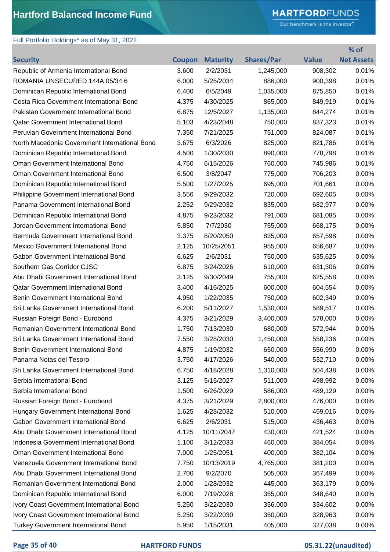## **HARTFORD**FUNDS

Our benchmark is the investor."

| Full Portfolio Holdings* as of May 31, 2022   |               |                 |                   |              |                   |
|-----------------------------------------------|---------------|-----------------|-------------------|--------------|-------------------|
|                                               |               |                 |                   |              | % of              |
| <b>Security</b>                               | <b>Coupon</b> | <b>Maturity</b> | <b>Shares/Par</b> | <b>Value</b> | <b>Net Assets</b> |
| Republic of Armenia International Bond        | 3.600         | 2/2/2031        | 1,245,000         | 908,302      | 0.01%             |
| ROMANIA UNSECURED 144A 05/34 6                | 6.000         | 5/25/2034       | 886,000           | 900,398      | 0.01%             |
| Dominican Republic International Bond         | 6.400         | 6/5/2049        | 1,035,000         | 875,850      | 0.01%             |
| Costa Rica Government International Bond      | 4.375         | 4/30/2025       | 865,000           | 849,919      | 0.01%             |
| Pakistan Government International Bond        | 6.875         | 12/5/2027       | 1,135,000         | 844,274      | 0.01%             |
| <b>Qatar Government International Bond</b>    | 5.103         | 4/23/2048       | 750,000           | 837,323      | 0.01%             |
| Peruvian Government International Bond        | 7.350         | 7/21/2025       | 751,000           | 824,087      | 0.01%             |
| North Macedonia Government International Bond | 3.675         | 6/3/2026        | 825,000           | 821,786      | 0.01%             |
| Dominican Republic International Bond         | 4.500         | 1/30/2030       | 890,000           | 778,798      | 0.01%             |
| Oman Government International Bond            | 4.750         | 6/15/2026       | 760,000           | 745,986      | 0.01%             |
| Oman Government International Bond            | 6.500         | 3/8/2047        | 775,000           | 706,203      | 0.00%             |
| Dominican Republic International Bond         | 5.500         | 1/27/2025       | 695,000           | 701,661      | 0.00%             |
| Philippine Government International Bond      | 3.556         | 9/29/2032       | 720,000           | 692,605      | 0.00%             |
| Panama Government International Bond          | 2.252         | 9/29/2032       | 835,000           | 682,977      | 0.00%             |
| Dominican Republic International Bond         | 4.875         | 9/23/2032       | 791,000           | 681,085      | 0.00%             |
| Jordan Government International Bond          | 5.850         | 7/7/2030        | 755,000           | 668,175      | 0.00%             |
| Bermuda Government International Bond         | 3.375         | 8/20/2050       | 835,000           | 657,598      | 0.00%             |
| Mexico Government International Bond          | 2.125         | 10/25/2051      | 955,000           | 656,687      | 0.00%             |
| Gabon Government International Bond           | 6.625         | 2/6/2031        | 750,000           | 635,625      | 0.00%             |
| Southern Gas Corridor CJSC                    | 6.875         | 3/24/2026       | 610,000           | 631,306      | 0.00%             |
| Abu Dhabi Government International Bond       | 3.125         | 9/30/2049       | 755,000           | 625,558      | 0.00%             |
| <b>Qatar Government International Bond</b>    | 3.400         | 4/16/2025       | 600,000           | 604,554      | 0.00%             |
| Benin Government International Bond           | 4.950         | 1/22/2035       |                   |              |                   |
|                                               |               |                 | 750,000           | 602,349      | 0.00%             |
| Sri Lanka Government International Bond       | 6.200         | 5/11/2027       | 1,530,000         | 589,517      | 0.00%             |
| Russian Foreign Bond - Eurobond               | 4.375         | 3/21/2029       | 3,400,000         | 578,000      | 0.00%             |
| Romanian Government International Bond        | 1.750         | 7/13/2030       | 680,000           | 572,944      | 0.00%             |
| Sri Lanka Government International Bond       | 7.550         | 3/28/2030       | 1,450,000         | 558,236      | 0.00%             |
| Benin Government International Bond           | 4.875         | 1/19/2032       | 650,000           | 556,990      | 0.00%             |
| Panama Notas del Tesoro                       | 3.750         | 4/17/2026       | 540,000           | 532,710      | 0.00%             |
| Sri Lanka Government International Bond       | 6.750         | 4/18/2028       | 1,310,000         | 504,438      | 0.00%             |
| Serbia International Bond                     | 3.125         | 5/15/2027       | 511,000           | 498,992      | 0.00%             |
| Serbia International Bond                     | 1.500         | 6/26/2029       | 586,000           | 489,129      | 0.00%             |
| Russian Foreign Bond - Eurobond               | 4.375         | 3/21/2029       | 2,800,000         | 476,000      | 0.00%             |
| Hungary Government International Bond         | 1.625         | 4/28/2032       | 510,000           | 459,016      | 0.00%             |
| Gabon Government International Bond           | 6.625         | 2/6/2031        | 515,000           | 436,463      | 0.00%             |
| Abu Dhabi Government International Bond       | 4.125         | 10/11/2047      | 430,000           | 421,524      | 0.00%             |
| Indonesia Government International Bond       | 1.100         | 3/12/2033       | 460,000           | 384,054      | 0.00%             |
| Oman Government International Bond            | 7.000         | 1/25/2051       | 400,000           | 382,104      | 0.00%             |
| Venezuela Government International Bond       | 7.750         | 10/13/2019      | 4,765,000         | 381,200      | 0.00%             |
| Abu Dhabi Government International Bond       | 2.700         | 9/2/2070        | 505,000           | 367,499      | 0.00%             |
| Romanian Government International Bond        | 2.000         | 1/28/2032       | 445,000           | 363,179      | 0.00%             |
| Dominican Republic International Bond         | 6.000         | 7/19/2028       | 355,000           | 348,640      | 0.00%             |
| Ivory Coast Government International Bond     | 5.250         | 3/22/2030       | 356,000           | 334,602      | 0.00%             |
| Ivory Coast Government International Bond     | 5.250         | 3/22/2030       | 350,000           | 328,963      | 0.00%             |
| <b>Turkey Government International Bond</b>   | 5.950         | 1/15/2031       | 405,000           | 327,038      | 0.00%             |

## **Page 35 of 40 HARTFORD FUNDS 05.31.22(unaudited)**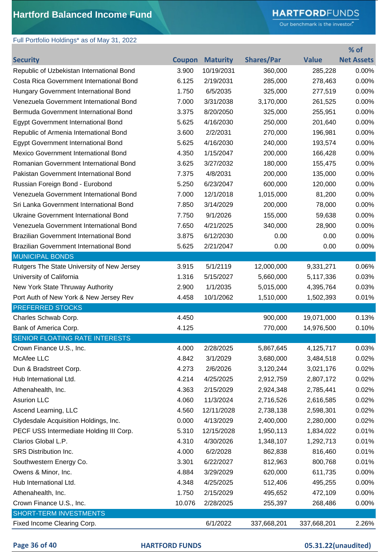# **HARTFORD**FUNDS

Our benchmark is the investor."

| Full Portfolio Holdings* as of May 31, 2022    |               |                 |                   |              |                   |
|------------------------------------------------|---------------|-----------------|-------------------|--------------|-------------------|
|                                                |               |                 |                   |              | % of              |
| <b>Security</b>                                | <b>Coupon</b> | <b>Maturity</b> | <b>Shares/Par</b> | <b>Value</b> | <b>Net Assets</b> |
| Republic of Uzbekistan International Bond      | 3.900         | 10/19/2031      | 360,000           | 285,228      | 0.00%             |
| Costa Rica Government International Bond       | 6.125         | 2/19/2031       | 285,000           | 278,463      | 0.00%             |
| Hungary Government International Bond          | 1.750         | 6/5/2035        | 325,000           | 277,519      | 0.00%             |
| Venezuela Government International Bond        | 7.000         | 3/31/2038       | 3,170,000         | 261,525      | 0.00%             |
| Bermuda Government International Bond          | 3.375         | 8/20/2050       | 325,000           | 255,951      | 0.00%             |
| Egypt Government International Bond            | 5.625         | 4/16/2030       | 250,000           | 201,640      | 0.00%             |
| Republic of Armenia International Bond         | 3.600         | 2/2/2031        | 270,000           | 196,981      | 0.00%             |
| <b>Egypt Government International Bond</b>     | 5.625         | 4/16/2030       | 240,000           | 193,574      | 0.00%             |
| Mexico Government International Bond           | 4.350         | 1/15/2047       | 200,000           | 166,428      | 0.00%             |
| Romanian Government International Bond         | 3.625         | 3/27/2032       | 180,000           | 155,475      | 0.00%             |
| Pakistan Government International Bond         | 7.375         | 4/8/2031        | 200,000           | 135,000      | 0.00%             |
| Russian Foreign Bond - Eurobond                | 5.250         | 6/23/2047       | 600,000           | 120,000      | 0.00%             |
| Venezuela Government International Bond        | 7.000         | 12/1/2018       | 1,015,000         | 81,200       | 0.00%             |
| Sri Lanka Government International Bond        | 7.850         | 3/14/2029       | 200,000           | 78,000       | 0.00%             |
| Ukraine Government International Bond          | 7.750         | 9/1/2026        | 155,000           | 59,638       | 0.00%             |
| Venezuela Government International Bond        | 7.650         | 4/21/2025       | 340,000           | 28,900       | 0.00%             |
| <b>Brazilian Government International Bond</b> | 3.875         | 6/12/2030       | 0.00              | 0.00         | 0.00%             |
| Brazilian Government International Bond        | 5.625         | 2/21/2047       | 0.00              | 0.00         | 0.00%             |
| <b>MUNICIPAL BONDS</b>                         |               |                 |                   |              |                   |
| Rutgers The State University of New Jersey     | 3.915         | 5/1/2119        | 12,000,000        | 9,331,271    | 0.06%             |
| University of California                       | 1.316         | 5/15/2027       | 5,660,000         | 5,117,336    | 0.03%             |
| New York State Thruway Authority               | 2.900         | 1/1/2035        | 5,015,000         | 4,395,764    | 0.03%             |
| Port Auth of New York & New Jersey Rev         | 4.458         | 10/1/2062       | 1,510,000         | 1,502,393    | 0.01%             |
| <b>PREFERRED STOCKS</b>                        |               |                 |                   |              |                   |
| Charles Schwab Corp.                           | 4.450         |                 | 900,000           | 19,071,000   | 0.13%             |
| Bank of America Corp.                          | 4.125         |                 | 770,000           | 14,976,500   | 0.10%             |
| SENIOR FLOATING RATE INTERESTS                 |               |                 |                   |              |                   |
| Crown Finance U.S., Inc.                       | 4.000         | 2/28/2025       | 5,867,645         | 4,125,717    | 0.03%             |
| McAfee LLC                                     | 4.842         | 3/1/2029        | 3,680,000         | 3,484,518    | 0.02%             |
| Dun & Bradstreet Corp.                         | 4.273         | 2/6/2026        | 3,120,244         | 3,021,176    | 0.02%             |
| Hub International Ltd.                         | 4.214         | 4/25/2025       | 2,912,759         | 2,807,172    | 0.02%             |
| Athenahealth, Inc.                             | 4.363         | 2/15/2029       | 2,924,348         | 2,785,441    | 0.02%             |
| <b>Asurion LLC</b>                             | 4.060         | 11/3/2024       | 2,716,526         | 2,616,585    | 0.02%             |
| Ascend Learning, LLC                           | 4.560         | 12/11/2028      | 2,738,138         | 2,598,301    | 0.02%             |
| Clydesdale Acquisition Holdings, Inc.          | 0.000         | 4/13/2029       | 2,400,000         | 2,280,000    | 0.02%             |
| PECF USS Intermediate Holding III Corp.        | 5.310         | 12/15/2028      | 1,950,113         | 1,834,022    | 0.01%             |
| Clarios Global L.P.                            | 4.310         | 4/30/2026       | 1,348,107         | 1,292,713    | 0.01%             |
| SRS Distribution Inc.                          | 4.000         | 6/2/2028        | 862,838           | 816,460      | 0.01%             |
| Southwestern Energy Co.                        | 3.301         | 6/22/2027       | 812,963           | 800,768      | 0.01%             |
| Owens & Minor, Inc.                            | 4.884         | 3/29/2029       | 620,000           | 611,735      | 0.00%             |
| Hub International Ltd.                         | 4.348         | 4/25/2025       | 512,406           | 495,255      | 0.00%             |
| Athenahealth, Inc.                             | 1.750         | 2/15/2029       | 495,652           | 472,109      | 0.00%             |
| Crown Finance U.S., Inc.                       | 10.076        | 2/28/2025       | 255,397           | 268,486      | 0.00%             |
| SHORT-TERM INVESTMENTS                         |               |                 |                   |              |                   |
| Fixed Income Clearing Corp.                    |               | 6/1/2022        | 337,668,201       | 337,668,201  | 2.26%             |
|                                                |               |                 |                   |              |                   |

### **Page 36 of 40 HARTFORD FUNDS 05.31.22(unaudited)**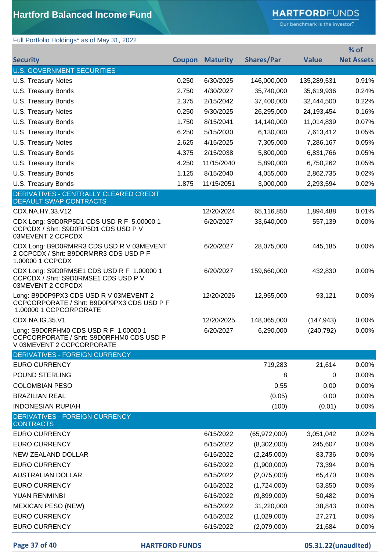# **HARTFORD**FUNDS

Our benchmark is the investor."

# Full Portfolio Holdings\* as of May 31, 2022

|                                                                                                                |               |                 |                   |              | % of              |
|----------------------------------------------------------------------------------------------------------------|---------------|-----------------|-------------------|--------------|-------------------|
| <b>Security</b>                                                                                                | <b>Coupon</b> | <b>Maturity</b> | <b>Shares/Par</b> | <b>Value</b> | <b>Net Assets</b> |
| <b>U.S. GOVERNMENT SECURITIES</b>                                                                              |               |                 |                   |              |                   |
| U.S. Treasury Notes                                                                                            | 0.250         | 6/30/2025       | 146,000,000       | 135,289,531  | 0.91%             |
| U.S. Treasury Bonds                                                                                            | 2.750         | 4/30/2027       | 35,740,000        | 35,619,936   | 0.24%             |
| U.S. Treasury Bonds                                                                                            | 2.375         | 2/15/2042       | 37,400,000        | 32,444,500   | 0.22%             |
| U.S. Treasury Notes                                                                                            | 0.250         | 9/30/2025       | 26,295,000        | 24,193,454   | 0.16%             |
| U.S. Treasury Bonds                                                                                            | 1.750         | 8/15/2041       | 14,140,000        | 11,014,839   | 0.07%             |
| U.S. Treasury Bonds                                                                                            | 6.250         | 5/15/2030       | 6,130,000         | 7,613,412    | 0.05%             |
| <b>U.S. Treasury Notes</b>                                                                                     | 2.625         | 4/15/2025       | 7,305,000         | 7,286,167    | 0.05%             |
| U.S. Treasury Bonds                                                                                            | 4.375         | 2/15/2038       | 5,800,000         | 6,831,766    | 0.05%             |
| U.S. Treasury Bonds                                                                                            | 4.250         | 11/15/2040      | 5,890,000         | 6,750,262    | 0.05%             |
| U.S. Treasury Bonds                                                                                            | 1.125         | 8/15/2040       | 4,055,000         | 2,862,735    | 0.02%             |
| U.S. Treasury Bonds                                                                                            | 1.875         | 11/15/2051      | 3,000,000         | 2,293,594    | 0.02%             |
| DERIVATIVES - CENTRALLY CLEARED CREDIT                                                                         |               |                 |                   |              |                   |
| <b>DEFAULT SWAP CONTRACTS</b>                                                                                  |               |                 |                   |              |                   |
| CDX.NA.HY.33.V12                                                                                               |               | 12/20/2024      | 65,116,850        | 1,894,488    | 0.01%             |
| CDX Long: S9D0RP5D1 CDS USD R F 5.00000 1<br>CCPCDX / Shrt: S9D0RP5D1 CDS USD P V<br>03MEVENT 2 CCPCDX         |               | 6/20/2027       | 33,640,000        | 557,139      | 0.00%             |
| CDX Long: B9D0RMRR3 CDS USD R V 03MEVENT<br>2 CCPCDX / Shrt: B9D0RMRR3 CDS USD P F<br>1.00000 1 CCPCDX         |               | 6/20/2027       | 28,075,000        | 445,185      | 0.00%             |
| CDX Long: S9D0RMSE1 CDS USD R F 1.00000 1<br>CCPCDX / Shrt: S9D0RMSE1 CDS USD P V<br>03MEVENT 2 CCPCDX         |               | 6/20/2027       | 159,660,000       | 432,830      | 0.00%             |
| Long: B9D0P9PX3 CDS USD R V 03MEVENT 2<br>CCPCORPORATE / Shrt: B9D0P9PX3 CDS USD P F<br>1.00000 1 CCPCORPORATE |               | 12/20/2026      | 12,955,000        | 93,121       | 0.00%             |
| CDX.NA.IG.35.V1                                                                                                |               | 12/20/2025      | 148,065,000       | (147, 943)   | 0.00%             |
| Long: S9D0RFHM0 CDS USD R F 1.00000 1<br>CCPCORPORATE / Shrt: S9D0RFHM0 CDS USD P<br>V 03MEVENT 2 CCPCORPORATE |               | 6/20/2027       | 6,290,000         | (240, 792)   | 0.00%             |
| <b>DERIVATIVES - FOREIGN CURRENCY</b>                                                                          |               |                 |                   |              |                   |
| <b>EURO CURRENCY</b>                                                                                           |               |                 | 719,283           | 21,614       | 0.00%             |
| POUND STERLING                                                                                                 |               |                 | 8                 | 0            | 0.00%             |
| <b>COLOMBIAN PESO</b>                                                                                          |               |                 | 0.55              | 0.00         | 0.00%             |
| <b>BRAZILIAN REAL</b>                                                                                          |               |                 | (0.05)            | 0.00         | 0.00%             |
| <b>INDONESIAN RUPIAH</b>                                                                                       |               |                 | (100)             | (0.01)       | 0.00%             |
| <b>DERIVATIVES - FOREIGN CURRENCY</b><br><b>CONTRACTS</b>                                                      |               |                 |                   |              |                   |
| <b>EURO CURRENCY</b>                                                                                           |               | 6/15/2022       | (65,972,000)      | 3,051,042    | 0.02%             |
| <b>EURO CURRENCY</b>                                                                                           |               | 6/15/2022       | (8,302,000)       | 245,607      | 0.00%             |
| NEW ZEALAND DOLLAR                                                                                             |               | 6/15/2022       | (2,245,000)       | 83,736       | 0.00%             |
| <b>EURO CURRENCY</b>                                                                                           |               | 6/15/2022       | (1,900,000)       | 73,394       | 0.00%             |
| <b>AUSTRALIAN DOLLAR</b>                                                                                       |               | 6/15/2022       | (2,075,000)       | 65,470       | 0.00%             |
| <b>EURO CURRENCY</b>                                                                                           |               | 6/15/2022       | (1,724,000)       | 53,850       | 0.00%             |
| YUAN RENMINBI                                                                                                  |               | 6/15/2022       | (9,899,000)       | 50,482       | 0.00%             |
| <b>MEXICAN PESO (NEW)</b>                                                                                      |               | 6/15/2022       | 31,220,000        | 38,843       | 0.00%             |
| <b>EURO CURRENCY</b>                                                                                           |               | 6/15/2022       | (1,029,000)       | 27,271       | 0.00%             |
| <b>EURO CURRENCY</b>                                                                                           |               | 6/15/2022       | (2,079,000)       | 21,684       | 0.00%             |
|                                                                                                                |               |                 |                   |              |                   |

**Page 37 of 40 HARTFORD FUNDS 05.31.22(unaudited)**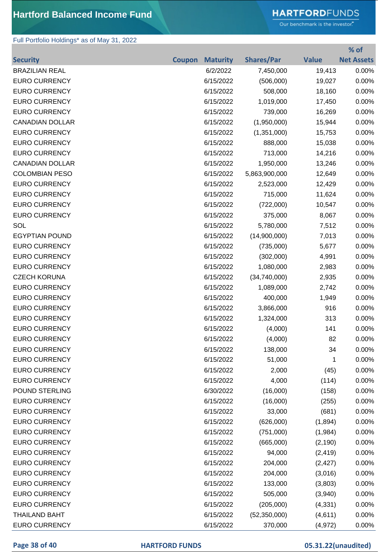# **HARTFORD**FUNDS

Our benchmark is the investor."

**% of** 

## Full Portfolio Holdings\* as of May 31, 2022

|                        |               |                 |                   |              | 70 OT             |
|------------------------|---------------|-----------------|-------------------|--------------|-------------------|
| <b>Security</b>        | <b>Coupon</b> | <b>Maturity</b> | <b>Shares/Par</b> | <b>Value</b> | <b>Net Assets</b> |
| <b>BRAZILIAN REAL</b>  |               | 6/2/2022        | 7,450,000         | 19,413       | 0.00%             |
| <b>EURO CURRENCY</b>   |               | 6/15/2022       | (506,000)         | 19,027       | 0.00%             |
| <b>EURO CURRENCY</b>   |               | 6/15/2022       | 508,000           | 18,160       | 0.00%             |
| <b>EURO CURRENCY</b>   |               | 6/15/2022       | 1,019,000         | 17,450       | 0.00%             |
| <b>EURO CURRENCY</b>   |               | 6/15/2022       | 739,000           | 16,269       | 0.00%             |
| <b>CANADIAN DOLLAR</b> |               | 6/15/2022       | (1,950,000)       | 15,944       | 0.00%             |
| <b>EURO CURRENCY</b>   |               | 6/15/2022       | (1,351,000)       | 15,753       | 0.00%             |
| <b>EURO CURRENCY</b>   |               | 6/15/2022       | 888,000           | 15,038       | 0.00%             |
| <b>EURO CURRENCY</b>   |               | 6/15/2022       | 713,000           | 14,216       | 0.00%             |
| <b>CANADIAN DOLLAR</b> |               | 6/15/2022       | 1,950,000         | 13,246       | 0.00%             |
| <b>COLOMBIAN PESO</b>  |               | 6/15/2022       | 5,863,900,000     | 12,649       | 0.00%             |
| <b>EURO CURRENCY</b>   |               | 6/15/2022       | 2,523,000         | 12,429       | 0.00%             |
| <b>EURO CURRENCY</b>   |               | 6/15/2022       | 715,000           | 11,624       | 0.00%             |
| <b>EURO CURRENCY</b>   |               | 6/15/2022       | (722,000)         | 10,547       | 0.00%             |
| <b>EURO CURRENCY</b>   |               | 6/15/2022       | 375,000           | 8,067        | 0.00%             |
| SOL                    |               | 6/15/2022       | 5,780,000         | 7,512        | 0.00%             |
| <b>EGYPTIAN POUND</b>  |               | 6/15/2022       | (14,900,000)      | 7,013        | 0.00%             |
| <b>EURO CURRENCY</b>   |               | 6/15/2022       | (735,000)         | 5,677        | 0.00%             |
| <b>EURO CURRENCY</b>   |               | 6/15/2022       | (302,000)         | 4,991        | 0.00%             |
| <b>EURO CURRENCY</b>   |               | 6/15/2022       | 1,080,000         | 2,983        | 0.00%             |
| <b>CZECH KORUNA</b>    |               | 6/15/2022       | (34,740,000)      | 2,935        | 0.00%             |
| <b>EURO CURRENCY</b>   |               | 6/15/2022       | 1,089,000         | 2,742        | 0.00%             |
| <b>EURO CURRENCY</b>   |               | 6/15/2022       | 400,000           | 1,949        | 0.00%             |
| <b>EURO CURRENCY</b>   |               | 6/15/2022       | 3,866,000         | 916          | 0.00%             |
| <b>EURO CURRENCY</b>   |               | 6/15/2022       | 1,324,000         | 313          | 0.00%             |
| <b>EURO CURRENCY</b>   |               | 6/15/2022       | (4,000)           | 141          | 0.00%             |
| <b>EURO CURRENCY</b>   |               | 6/15/2022       | (4,000)           | 82           | 0.00%             |
| <b>EURO CURRENCY</b>   |               | 6/15/2022       | 138,000           | 34           | 0.00%             |
| <b>EURO CURRENCY</b>   |               | 6/15/2022       | 51,000            | 1            | 0.00%             |
| <b>EURO CURRENCY</b>   |               | 6/15/2022       | 2,000             | (45)         | 0.00%             |
| <b>EURO CURRENCY</b>   |               | 6/15/2022       | 4,000             | (114)        | 0.00%             |
| POUND STERLING         |               | 6/30/2022       | (16,000)          | (158)        | 0.00%             |
| <b>EURO CURRENCY</b>   |               | 6/15/2022       | (16,000)          | (255)        | 0.00%             |
| <b>EURO CURRENCY</b>   |               | 6/15/2022       | 33,000            | (681)        | 0.00%             |
| <b>EURO CURRENCY</b>   |               | 6/15/2022       | (626,000)         | (1,894)      | 0.00%             |
| <b>EURO CURRENCY</b>   |               | 6/15/2022       | (751,000)         | (1,984)      | 0.00%             |
| <b>EURO CURRENCY</b>   |               | 6/15/2022       | (665,000)         | (2, 190)     | 0.00%             |
| <b>EURO CURRENCY</b>   |               | 6/15/2022       | 94,000            | (2, 419)     | 0.00%             |
| <b>EURO CURRENCY</b>   |               | 6/15/2022       | 204,000           | (2, 427)     | 0.00%             |
| <b>EURO CURRENCY</b>   |               | 6/15/2022       | 204,000           | (3,016)      | 0.00%             |
| <b>EURO CURRENCY</b>   |               | 6/15/2022       | 133,000           | (3,803)      | 0.00%             |
| <b>EURO CURRENCY</b>   |               | 6/15/2022       | 505,000           | (3,940)      | 0.00%             |
| <b>EURO CURRENCY</b>   |               | 6/15/2022       | (205,000)         | (4, 331)     | 0.00%             |
| <b>THAILAND BAHT</b>   |               | 6/15/2022       | (52,350,000)      | (4,611)      | 0.00%             |
| <b>EURO CURRENCY</b>   |               | 6/15/2022       | 370,000           | (4, 972)     | 0.00%             |

### **Page 38 of 40 HARTFORD FUNDS 05.31.22(unaudited)**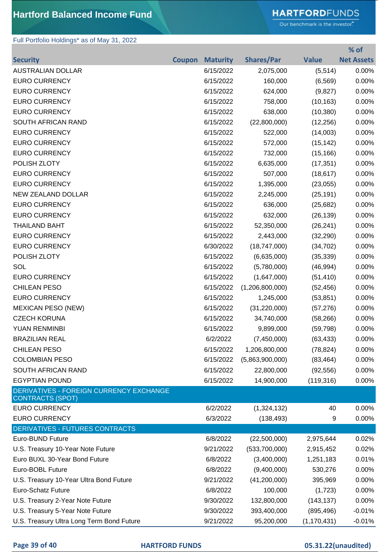# **HARTFORD**FUNDS

Our benchmark is the investor."

## Full Portfolio Holdings\* as of May 31, 2022

|                                                                    |               |                 |                   |               | % of              |
|--------------------------------------------------------------------|---------------|-----------------|-------------------|---------------|-------------------|
| <b>Security</b>                                                    | <b>Coupon</b> | <b>Maturity</b> | <b>Shares/Par</b> | <b>Value</b>  | <b>Net Assets</b> |
| <b>AUSTRALIAN DOLLAR</b>                                           |               | 6/15/2022       | 2,075,000         | (5, 514)      | 0.00%             |
| <b>EURO CURRENCY</b>                                               |               | 6/15/2022       | 160,000           | (6, 569)      | 0.00%             |
| <b>EURO CURRENCY</b>                                               |               | 6/15/2022       | 624,000           | (9,827)       | 0.00%             |
| <b>EURO CURRENCY</b>                                               |               | 6/15/2022       | 758,000           | (10, 163)     | 0.00%             |
| <b>EURO CURRENCY</b>                                               |               | 6/15/2022       | 638,000           | (10, 380)     | 0.00%             |
| <b>SOUTH AFRICAN RAND</b>                                          |               | 6/15/2022       | (22,800,000)      | (12, 256)     | 0.00%             |
| <b>EURO CURRENCY</b>                                               |               | 6/15/2022       | 522,000           | (14,003)      | 0.00%             |
| <b>EURO CURRENCY</b>                                               |               | 6/15/2022       | 572,000           | (15, 142)     | 0.00%             |
| <b>EURO CURRENCY</b>                                               |               | 6/15/2022       | 732,000           | (15, 166)     | 0.00%             |
| POLISH ZLOTY                                                       |               | 6/15/2022       | 6,635,000         | (17, 351)     | 0.00%             |
| <b>EURO CURRENCY</b>                                               |               | 6/15/2022       | 507,000           | (18, 617)     | 0.00%             |
| <b>EURO CURRENCY</b>                                               |               | 6/15/2022       | 1,395,000         | (23,055)      | 0.00%             |
| <b>NEW ZEALAND DOLLAR</b>                                          |               | 6/15/2022       | 2,245,000         | (25, 191)     | 0.00%             |
| <b>EURO CURRENCY</b>                                               |               | 6/15/2022       | 636,000           | (25, 682)     | 0.00%             |
| <b>EURO CURRENCY</b>                                               |               | 6/15/2022       | 632,000           | (26, 139)     | 0.00%             |
| <b>THAILAND BAHT</b>                                               |               | 6/15/2022       | 52,350,000        | (26, 241)     | 0.00%             |
| <b>EURO CURRENCY</b>                                               |               | 6/15/2022       | 2,443,000         | (32, 290)     | 0.00%             |
| <b>EURO CURRENCY</b>                                               |               | 6/30/2022       | (18,747,000)      | (34, 702)     | 0.00%             |
| POLISH ZLOTY                                                       |               | 6/15/2022       | (6,635,000)       | (35, 339)     | 0.00%             |
| SOL                                                                |               | 6/15/2022       | (5,780,000)       | (46, 994)     | 0.00%             |
| <b>EURO CURRENCY</b>                                               |               | 6/15/2022       | (1,647,000)       | (51, 410)     | 0.00%             |
| <b>CHILEAN PESO</b>                                                |               | 6/15/2022       | (1,206,800,000)   | (52, 456)     | 0.00%             |
| <b>EURO CURRENCY</b>                                               |               | 6/15/2022       | 1,245,000         | (53, 851)     | 0.00%             |
| <b>MEXICAN PESO (NEW)</b>                                          |               | 6/15/2022       | (31, 220, 000)    | (57, 276)     | 0.00%             |
| <b>CZECH KORUNA</b>                                                |               | 6/15/2022       | 34,740,000        | (58, 266)     | 0.00%             |
| YUAN RENMINBI                                                      |               | 6/15/2022       | 9,899,000         | (59, 798)     | 0.00%             |
| <b>BRAZILIAN REAL</b>                                              |               | 6/2/2022        | (7,450,000)       | (63, 433)     | 0.00%             |
| <b>CHILEAN PESO</b>                                                |               | 6/15/2022       | 1,206,800,000     | (78, 824)     | 0.00%             |
| <b>COLOMBIAN PESO</b>                                              |               | 6/15/2022       | (5,863,900,000)   | (83, 464)     | 0.00%             |
| SOUTH AFRICAN RAND                                                 |               | 6/15/2022       | 22,800,000        | (92, 556)     | 0.00%             |
| <b>EGYPTIAN POUND</b>                                              |               | 6/15/2022       | 14,900,000        | (119, 316)    | 0.00%             |
| DERIVATIVES - FOREIGN CURRENCY EXCHANGE<br><b>CONTRACTS (SPOT)</b> |               |                 |                   |               |                   |
| <b>EURO CURRENCY</b>                                               |               | 6/2/2022        | (1,324,132)       | 40            | 0.00%             |
| <b>EURO CURRENCY</b>                                               |               | 6/3/2022        | (138, 493)        | 9             | 0.00%             |
| DERIVATIVES - FUTURES CONTRACTS                                    |               |                 |                   |               |                   |
| Euro-BUND Future                                                   |               | 6/8/2022        | (22,500,000)      | 2,975,644     | 0.02%             |
| U.S. Treasury 10-Year Note Future                                  |               | 9/21/2022       | (533,700,000)     | 2,915,452     | 0.02%             |
| Euro BUXL 30-Year Bond Future                                      |               | 6/8/2022        | (3,400,000)       | 1,251,183     | 0.01%             |
| Euro-BOBL Future                                                   |               | 6/8/2022        | (9,400,000)       | 530,276       | 0.00%             |
| U.S. Treasury 10-Year Ultra Bond Future                            |               | 9/21/2022       | (41,200,000)      | 395,969       | 0.00%             |
| <b>Euro-Schatz Future</b>                                          |               | 6/8/2022        | 100,000           | (1,723)       | 0.00%             |
| U.S. Treasury 2-Year Note Future                                   |               | 9/30/2022       | 132,800,000       | (143, 137)    | 0.00%             |
| U.S. Treasury 5-Year Note Future                                   |               | 9/30/2022       | 393,400,000       | (895, 496)    | $-0.01%$          |
| U.S. Treasury Ultra Long Term Bond Future                          |               | 9/21/2022       | 95,200,000        | (1, 170, 431) | $-0.01%$          |

**Page 39 of 40 HARTFORD FUNDS 05.31.22(unaudited)**